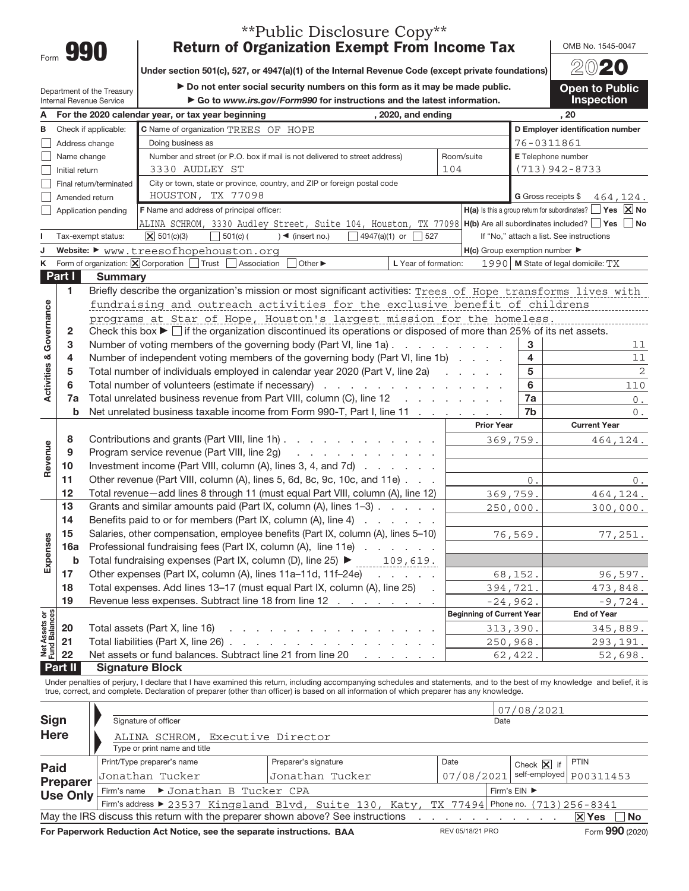Department of the Treasury

# Form **990** Return of Organization Exempt From Income Tax Discussion on B No. 1545-00<br>
Under section 501(c), 527, or 4947(a)(1) of the Internal Revenue Code (except private foundations) \*\*Public Disclosure Copy\*\*

OMB No. 1545-0047

**Under section 501(c), 527, or 4947(a)(1) of the Internal Revenue Code (except private foundations)**

 $\blacktriangleright$  Do not enter social security numbers on this form as it may be made public.

**Open to Public** 

| <b>Internal Revenue Service</b> |                |                                                                              | Go to www.irs.gov/Form990 for instructions and the latest information.                                                                              | <b>Inspection</b>                                                    |                                  |                                          |  |  |  |
|---------------------------------|----------------|------------------------------------------------------------------------------|-----------------------------------------------------------------------------------------------------------------------------------------------------|----------------------------------------------------------------------|----------------------------------|------------------------------------------|--|--|--|
| Α                               |                |                                                                              | For the 2020 calendar year, or tax year beginning<br>, 2020, and ending                                                                             |                                                                      | , 20                             |                                          |  |  |  |
| в                               |                | Check if applicable:                                                         | C Name of organization TREES OF HOPE                                                                                                                |                                                                      | D Employer identification number |                                          |  |  |  |
|                                 |                | Address change                                                               | Doing business as                                                                                                                                   |                                                                      | 76-0311861                       |                                          |  |  |  |
|                                 | Name change    |                                                                              | Number and street (or P.O. box if mail is not delivered to street address)                                                                          | Room/suite                                                           | E Telephone number               |                                          |  |  |  |
|                                 | Initial return |                                                                              | 3330 AUDLEY ST                                                                                                                                      | 104                                                                  |                                  | $(713)$ 942-8733                         |  |  |  |
|                                 |                | Final return/terminated                                                      | City or town, state or province, country, and ZIP or foreign postal code                                                                            |                                                                      |                                  |                                          |  |  |  |
|                                 |                | Amended return                                                               |                                                                                                                                                     | G Gross receipts \$<br>464,124.                                      |                                  |                                          |  |  |  |
|                                 |                | Application pending                                                          |                                                                                                                                                     | $H(a)$ is this a group return for subordinates? $\Box$ Yes $\Box$ No |                                  |                                          |  |  |  |
|                                 |                |                                                                              |                                                                                                                                                     | TX 77098 $H(b)$ Are all subordinates included? $\Box$ Yes $\Box$ No  |                                  |                                          |  |  |  |
|                                 |                | Tax-exempt status:                                                           | $ \mathsf{X} $ 501(c)(3)<br>$501(c)$ (<br>527<br>$\rightarrow$ (insert no.)<br>4947(a)(1) or                                                        |                                                                      |                                  | If "No," attach a list. See instructions |  |  |  |
| J                               |                |                                                                              | Website: ▶ www.treesofhopehouston.org                                                                                                               | $H(c)$ Group exemption number $\blacktriangleright$                  |                                  |                                          |  |  |  |
| κ                               |                |                                                                              | Form of organization: $\boxed{\times}$ Corporation $\boxed{\phantom{1}}$ Trust $\boxed{\phantom{1}}$ Association<br>Other ▶<br>L Year of formation: |                                                                      |                                  | 1990   M State of legal domicile: TX     |  |  |  |
|                                 | <b>Part I</b>  | <b>Summary</b>                                                               |                                                                                                                                                     |                                                                      |                                  |                                          |  |  |  |
|                                 | 1.             |                                                                              | Briefly describe the organization's mission or most significant activities: Trees of Hope transforms lives with                                     |                                                                      |                                  |                                          |  |  |  |
|                                 |                |                                                                              | fundraising and outreach activities for the exclusive benefit of childrens                                                                          |                                                                      |                                  |                                          |  |  |  |
|                                 |                |                                                                              | programs at Star of Hope, Houston's largest mission for the homeless.                                                                               |                                                                      |                                  |                                          |  |  |  |
| Governance                      | 2              |                                                                              | Check this box $\blacktriangleright$ $\Box$ if the organization discontinued its operations or disposed of more than 25% of its net assets.         |                                                                      |                                  |                                          |  |  |  |
|                                 | 3              |                                                                              | Number of voting members of the governing body (Part VI, line 1a)                                                                                   |                                                                      | 3                                | 11                                       |  |  |  |
| <b>Activities &amp;</b>         | 4              |                                                                              | Number of independent voting members of the governing body (Part VI, line 1b)                                                                       |                                                                      | 4                                | 11                                       |  |  |  |
|                                 | 5              | Total number of individuals employed in calendar year 2020 (Part V, line 2a) | 5                                                                                                                                                   | 2                                                                    |                                  |                                          |  |  |  |
|                                 | 6              | Total number of volunteers (estimate if necessary)                           | 6                                                                                                                                                   | 110                                                                  |                                  |                                          |  |  |  |
|                                 | 7a             | Total unrelated business revenue from Part VIII, column (C), line 12         | 7a                                                                                                                                                  | 0.                                                                   |                                  |                                          |  |  |  |
|                                 | $\mathbf b$    |                                                                              | Net unrelated business taxable income from Form 990-T, Part I, line 11                                                                              |                                                                      | 7b                               | 0.                                       |  |  |  |
|                                 |                |                                                                              |                                                                                                                                                     | <b>Prior Year</b>                                                    |                                  | <b>Current Year</b>                      |  |  |  |
|                                 | 8              |                                                                              | Contributions and grants (Part VIII, line 1h).<br>the contract of the contract of the contract of                                                   |                                                                      | 369,759.                         | 464, 124.                                |  |  |  |
| Revenue                         | 9              |                                                                              | Program service revenue (Part VIII, line 2g)<br>and a state of the state of the state                                                               |                                                                      |                                  |                                          |  |  |  |
|                                 | 10             |                                                                              | Investment income (Part VIII, column (A), lines 3, 4, and 7d)                                                                                       |                                                                      |                                  |                                          |  |  |  |
|                                 | 11             |                                                                              | Other revenue (Part VIII, column (A), lines 5, 6d, 8c, 9c, 10c, and 11e)                                                                            |                                                                      | $\circ$ .                        | 0.                                       |  |  |  |
|                                 | 12             |                                                                              | Total revenue-add lines 8 through 11 (must equal Part VIII, column (A), line 12)                                                                    |                                                                      | 369,759.                         | 464,124.                                 |  |  |  |
|                                 | 13             |                                                                              | Grants and similar amounts paid (Part IX, column (A), lines 1-3)                                                                                    | 250,000.                                                             | 300,000.                         |                                          |  |  |  |
|                                 | 14             |                                                                              | Benefits paid to or for members (Part IX, column (A), line 4)                                                                                       |                                                                      |                                  |                                          |  |  |  |
| Expenses                        | 15             |                                                                              | Salaries, other compensation, employee benefits (Part IX, column (A), lines 5–10)                                                                   |                                                                      | 76,569.                          | 77,251.                                  |  |  |  |
|                                 | <b>16a</b>     |                                                                              | Professional fundraising fees (Part IX, column (A), line 11e)                                                                                       |                                                                      |                                  |                                          |  |  |  |
|                                 | b              |                                                                              |                                                                                                                                                     |                                                                      |                                  |                                          |  |  |  |
|                                 | 17             |                                                                              | Other expenses (Part IX, column (A), lines 11a-11d, 11f-24e)<br>and a state and a                                                                   |                                                                      | 68,152.                          | 96,597.                                  |  |  |  |
|                                 | 18             |                                                                              | Total expenses. Add lines 13-17 (must equal Part IX, column (A), line 25)<br>$\mathcal{L}$                                                          |                                                                      | 394,721.                         | 473,848.                                 |  |  |  |
|                                 | 19             |                                                                              | Revenue less expenses. Subtract line 18 from line 12                                                                                                |                                                                      | $-24,962.$                       | $-9,724.$                                |  |  |  |
| Net Assets or<br>Fund Balances  |                |                                                                              |                                                                                                                                                     | <b>Beginning of Current Year</b>                                     |                                  | <b>End of Year</b>                       |  |  |  |
|                                 | 20             |                                                                              | Total assets (Part X, line 16)<br>the company of the company of                                                                                     |                                                                      | 313,390.                         | 345,889.                                 |  |  |  |
|                                 | 21             |                                                                              | Total liabilities (Part X, line 26).<br>and a state of the state of                                                                                 |                                                                      | 250,968.                         | 293,191.                                 |  |  |  |
|                                 | 22             |                                                                              | Net assets or fund balances. Subtract line 21 from line 20<br><b>Service Control</b>                                                                |                                                                      | 62,422.                          | 52,698.                                  |  |  |  |
|                                 | Part II        |                                                                              | <b>Signature Block</b>                                                                                                                              |                                                                      |                                  |                                          |  |  |  |

Under penalties of perjury, I declare that I have examined this return, including accompanying schedules and statements, and to the best of my knowledge and belief, it is true, correct, and complete. Declaration of preparer (other than officer) is based on all information of which preparer has any knowledge.

|                 |                                                                                                                                    |                                                                                                          | 07/08/2021                               |  |                                   |  |  |  |  |  |
|-----------------|------------------------------------------------------------------------------------------------------------------------------------|----------------------------------------------------------------------------------------------------------|------------------------------------------|--|-----------------------------------|--|--|--|--|--|
| <b>Sign</b>     | Signature of officer                                                                                                               |                                                                                                          | Date                                     |  |                                   |  |  |  |  |  |
| <b>Here</b>     | ALINA SCHROM, Executive Director                                                                                                   |                                                                                                          |                                          |  |                                   |  |  |  |  |  |
|                 | Type or print name and title                                                                                                       |                                                                                                          |                                          |  |                                   |  |  |  |  |  |
| <b>Paid</b>     | Print/Type preparer's name                                                                                                         | Preparer's signature                                                                                     | Date<br>Check $\overline{\mathsf{x}}$ if |  | <b>PTIN</b>                       |  |  |  |  |  |
| <b>Preparer</b> | Jonathan Tucker                                                                                                                    | Jonathan Tucker                                                                                          | 07/08/2021                               |  | $_1$ self-employed $p$ $00311453$ |  |  |  |  |  |
| <b>Use Only</b> | Firm's name > Jonathan B Tucker CPA                                                                                                |                                                                                                          | Firm's EIN ▶                             |  |                                   |  |  |  |  |  |
|                 |                                                                                                                                    | Firm's address $\triangleright$ 23537 Kingsland Blvd, Suite 130, Katy, TX 77494 Phone no. (713) 256-8341 |                                          |  |                                   |  |  |  |  |  |
|                 | May the IRS discuss this return with the preparer shown above? See instructions enter the state of the state of<br>∣ No<br>∣×l Yes |                                                                                                          |                                          |  |                                   |  |  |  |  |  |
|                 | Form 990 (2020)<br>For Paperwork Reduction Act Notice, see the separate instructions. BAA<br>REV 05/18/21 PRO                      |                                                                                                          |                                          |  |                                   |  |  |  |  |  |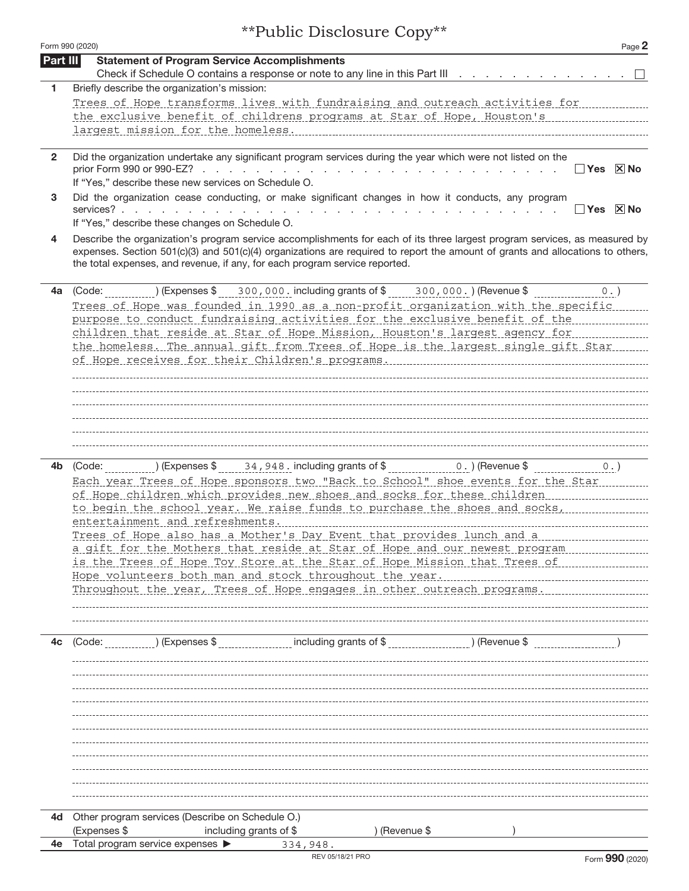| Form 990 (2020) | Page 2                                                                                                                                                                                                                                                                                                                                      |
|-----------------|---------------------------------------------------------------------------------------------------------------------------------------------------------------------------------------------------------------------------------------------------------------------------------------------------------------------------------------------|
| Part III        | <b>Statement of Program Service Accomplishments</b><br>Check if Schedule O contains a response or note to any line in this Part III                                                                                                                                                                                                         |
| 1.              | Briefly describe the organization's mission:                                                                                                                                                                                                                                                                                                |
|                 | Trees of Hope transforms lives with fundraising and outreach activities for                                                                                                                                                                                                                                                                 |
|                 | the exclusive benefit of childrens programs at Star of Hope, Houston's                                                                                                                                                                                                                                                                      |
|                 | largest mission for the homeless.                                                                                                                                                                                                                                                                                                           |
|                 |                                                                                                                                                                                                                                                                                                                                             |
| $\mathbf{2}$    | Did the organization undertake any significant program services during the year which were not listed on the<br>$\Box$ Yes $\bar{\boxtimes}$ No<br>If "Yes," describe these new services on Schedule O.                                                                                                                                     |
| 3               | Did the organization cease conducting, or make significant changes in how it conducts, any program<br>$\Box$ Yes $\Box$ No                                                                                                                                                                                                                  |
|                 | If "Yes," describe these changes on Schedule O.                                                                                                                                                                                                                                                                                             |
| 4               | Describe the organization's program service accomplishments for each of its three largest program services, as measured by<br>expenses. Section 501(c)(3) and 501(c)(4) organizations are required to report the amount of grants and allocations to others,<br>the total expenses, and revenue, if any, for each program service reported. |
| 4a              | $0.$ )                                                                                                                                                                                                                                                                                                                                      |
|                 | Trees of Hope was founded in 1990 as a non-profit organization with the specific<br>purpose to conduct fundraising activities for the exclusive benefit of the<br>children that reside at Star of Hope Mission, Houston's largest agency for<br>the homeless. The annual gift from Trees of Hope is the largest single gift Star            |
|                 |                                                                                                                                                                                                                                                                                                                                             |
|                 |                                                                                                                                                                                                                                                                                                                                             |
|                 |                                                                                                                                                                                                                                                                                                                                             |
|                 |                                                                                                                                                                                                                                                                                                                                             |
|                 |                                                                                                                                                                                                                                                                                                                                             |
| 4b.             | (Code: _____________) (Expenses $\frac{1}{2}$ $\frac{34,948}{2}$ including grants of $\frac{1}{2}$ $\frac{0}{2}$ (Revenue $\frac{1}{2}$ $\frac{0}{2}$ $\frac{0}{2}$ )                                                                                                                                                                       |
|                 | Each year Trees of Hope sponsors two "Back to School" shoe events for the Star                                                                                                                                                                                                                                                              |
|                 | of Hope children which provides new shoes and socks for these children                                                                                                                                                                                                                                                                      |
|                 | to begin the school year. We raise funds to purchase the shoes and socks,                                                                                                                                                                                                                                                                   |
|                 |                                                                                                                                                                                                                                                                                                                                             |
|                 | Trees of Hope also has a Mother's Day Event that provides lunch and a                                                                                                                                                                                                                                                                       |
|                 | a gift for the Mothers that reside at Star of Hope and our newest program.                                                                                                                                                                                                                                                                  |
|                 | is the Trees of Hope Toy Store at the Star of Hope Mission that Trees of                                                                                                                                                                                                                                                                    |
|                 |                                                                                                                                                                                                                                                                                                                                             |
|                 | Throughout the year, Trees of Hope engages in other outreach programs.                                                                                                                                                                                                                                                                      |
|                 |                                                                                                                                                                                                                                                                                                                                             |
|                 |                                                                                                                                                                                                                                                                                                                                             |
| 4c              | including grants of \$ (Revenue \$<br>) (Expenses \$<br>(Code:                                                                                                                                                                                                                                                                              |
|                 |                                                                                                                                                                                                                                                                                                                                             |
|                 |                                                                                                                                                                                                                                                                                                                                             |
|                 |                                                                                                                                                                                                                                                                                                                                             |
|                 |                                                                                                                                                                                                                                                                                                                                             |
|                 |                                                                                                                                                                                                                                                                                                                                             |
|                 |                                                                                                                                                                                                                                                                                                                                             |
|                 |                                                                                                                                                                                                                                                                                                                                             |
|                 |                                                                                                                                                                                                                                                                                                                                             |
|                 |                                                                                                                                                                                                                                                                                                                                             |
|                 |                                                                                                                                                                                                                                                                                                                                             |
|                 |                                                                                                                                                                                                                                                                                                                                             |
|                 | 4d Other program services (Describe on Schedule O.)                                                                                                                                                                                                                                                                                         |
| 4e              | (Expenses \$<br>including grants of \$<br>) (Revenue \$<br>Total program service expenses<br>334,948.                                                                                                                                                                                                                                       |
|                 |                                                                                                                                                                                                                                                                                                                                             |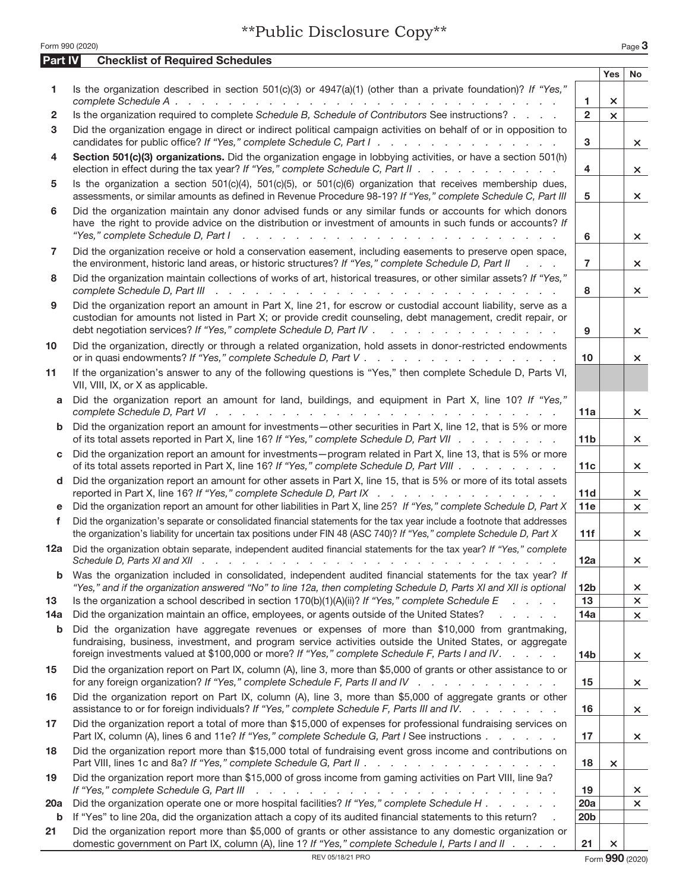|              | Form 990 (2020)                                                                                                                                                                                                                                                                                                     |                 |              | Page 3               |
|--------------|---------------------------------------------------------------------------------------------------------------------------------------------------------------------------------------------------------------------------------------------------------------------------------------------------------------------|-----------------|--------------|----------------------|
| Part IV      | <b>Checklist of Required Schedules</b>                                                                                                                                                                                                                                                                              |                 |              |                      |
|              |                                                                                                                                                                                                                                                                                                                     |                 | Yes $ $      | <b>No</b>            |
| 1            | Is the organization described in section 501(c)(3) or 4947(a)(1) (other than a private foundation)? If "Yes,"                                                                                                                                                                                                       | 1               | $\times$     |                      |
| $\mathbf{2}$ | Is the organization required to complete Schedule B, Schedule of Contributors See instructions?                                                                                                                                                                                                                     | $\overline{2}$  | $\mathsf{x}$ |                      |
| 3            | Did the organization engage in direct or indirect political campaign activities on behalf of or in opposition to<br>candidates for public office? If "Yes," complete Schedule C, Part I.                                                                                                                            | 3               |              | $\times$             |
| 4            | Section 501(c)(3) organizations. Did the organization engage in lobbying activities, or have a section 501(h)<br>election in effect during the tax year? If "Yes," complete Schedule C, Part II                                                                                                                     | 4               |              | $\times$             |
| 5            | Is the organization a section $501(c)(4)$ , $501(c)(5)$ , or $501(c)(6)$ organization that receives membership dues,<br>assessments, or similar amounts as defined in Revenue Procedure 98-19? If "Yes," complete Schedule C, Part III                                                                              | 5               |              | $\times$             |
| 6            | Did the organization maintain any donor advised funds or any similar funds or accounts for which donors<br>have the right to provide advice on the distribution or investment of amounts in such funds or accounts? If<br>"Yes," complete Schedule D, Part I<br>and the contract of the contract of the contract of | 6               |              | ×                    |
| 7            | Did the organization receive or hold a conservation easement, including easements to preserve open space,<br>the environment, historic land areas, or historic structures? If "Yes," complete Schedule D, Part II                                                                                                   | $\overline{7}$  |              | ×                    |
| 8            | Did the organization maintain collections of works of art, historical treasures, or other similar assets? If "Yes,"                                                                                                                                                                                                 | 8               |              | $\times$             |
| 9            | Did the organization report an amount in Part X, line 21, for escrow or custodial account liability, serve as a<br>custodian for amounts not listed in Part X; or provide credit counseling, debt management, credit repair, or<br>debt negotiation services? If "Yes," complete Schedule D, Part IV                | 9               |              | ×                    |
| 10           | Did the organization, directly or through a related organization, hold assets in donor-restricted endowments                                                                                                                                                                                                        | 10              |              | $\times$             |
| 11           | If the organization's answer to any of the following questions is "Yes," then complete Schedule D, Parts VI,<br>VII, VIII, IX, or X as applicable.                                                                                                                                                                  |                 |              |                      |
| a            | Did the organization report an amount for land, buildings, and equipment in Part X, line 10? If "Yes,"                                                                                                                                                                                                              | 11a             |              | ×                    |
| b            | Did the organization report an amount for investments-other securities in Part X, line 12, that is 5% or more<br>of its total assets reported in Part X, line 16? If "Yes," complete Schedule D, Part VII                                                                                                           | 11 <sub>b</sub> |              | ×                    |
| c            | Did the organization report an amount for investments - program related in Part X, line 13, that is 5% or more<br>of its total assets reported in Part X, line 16? If "Yes," complete Schedule D, Part VIII                                                                                                         | 11c             |              | ×                    |
| d            | Did the organization report an amount for other assets in Part X, line 15, that is 5% or more of its total assets<br>reported in Part X, line 16? If "Yes," complete Schedule D, Part IX                                                                                                                            | 11d             |              | $\times$             |
| е            | Did the organization report an amount for other liabilities in Part X, line 25? If "Yes," complete Schedule D, Part X                                                                                                                                                                                               | 11e             |              | $\times$             |
| f            | Did the organization's separate or consolidated financial statements for the tax year include a footnote that addresses<br>the organization's liability for uncertain tax positions under FIN 48 (ASC 740)? If "Yes," complete Schedule D, Part X                                                                   | 11f             |              | $\times$             |
| 12а          | Did the organization obtain separate, independent audited financial statements for the tax year? If "Yes," complete<br>Schedule D. Parts XI and XII recently recently a series and contact the contact of the series of the series of                                                                               | 12a             |              | ×                    |
| b            | Was the organization included in consolidated, independent audited financial statements for the tax year? If<br>"Yes," and if the organization answered "No" to line 12a, then completing Schedule D, Parts XI and XII is optional                                                                                  | 12 <sub>b</sub> |              | ×                    |
| 13<br>14a    | Is the organization a school described in section $170(b)(1)(A)(ii)?$ If "Yes," complete Schedule E<br>Did the organization maintain an office, employees, or agents outside of the United States?                                                                                                                  | 13<br>14a       |              | $\times$<br>$\times$ |
| b            | Did the organization have aggregate revenues or expenses of more than \$10,000 from grantmaking,<br>fundraising, business, investment, and program service activities outside the United States, or aggregate<br>foreign investments valued at \$100,000 or more? If "Yes," complete Schedule F, Parts I and IV.    | 14 <sub>b</sub> |              | ×                    |
| 15           | Did the organization report on Part IX, column (A), line 3, more than \$5,000 of grants or other assistance to or<br>for any foreign organization? If "Yes," complete Schedule F, Parts II and IV                                                                                                                   | 15              |              | $\times$             |
| 16           | Did the organization report on Part IX, column (A), line 3, more than \$5,000 of aggregate grants or other<br>assistance to or for foreign individuals? If "Yes," complete Schedule F, Parts III and IV.                                                                                                            | 16              |              | ×                    |
| 17           | Did the organization report a total of more than \$15,000 of expenses for professional fundraising services on<br>Part IX, column (A), lines 6 and 11e? If "Yes," complete Schedule G, Part I See instructions                                                                                                      | 17              |              | $\times$             |
| 18           | Did the organization report more than \$15,000 total of fundraising event gross income and contributions on<br>Part VIII, lines 1c and 8a? If "Yes," complete Schedule G, Part II                                                                                                                                   | 18              | X            |                      |
| 19           | Did the organization report more than \$15,000 of gross income from gaming activities on Part VIII, line 9a?<br>If "Yes," complete Schedule G, Part III<br>and the contract of the contract of the contract of the contract of the contract of                                                                      | 19              |              | ×.                   |
| <b>20a</b>   | Did the organization operate one or more hospital facilities? If "Yes," complete Schedule H                                                                                                                                                                                                                         | 20a             |              | $\times$             |
| b            | If "Yes" to line 20a, did the organization attach a copy of its audited financial statements to this return?                                                                                                                                                                                                        | 20 <sub>b</sub> |              |                      |
| 21           | Did the organization report more than \$5,000 of grants or other assistance to any domestic organization or                                                                                                                                                                                                         |                 |              |                      |

domestic government on Part IX, column (A), line 1? If "Yes," complete Schedule I, Parts I and II .... **21** 

 $\overline{a}$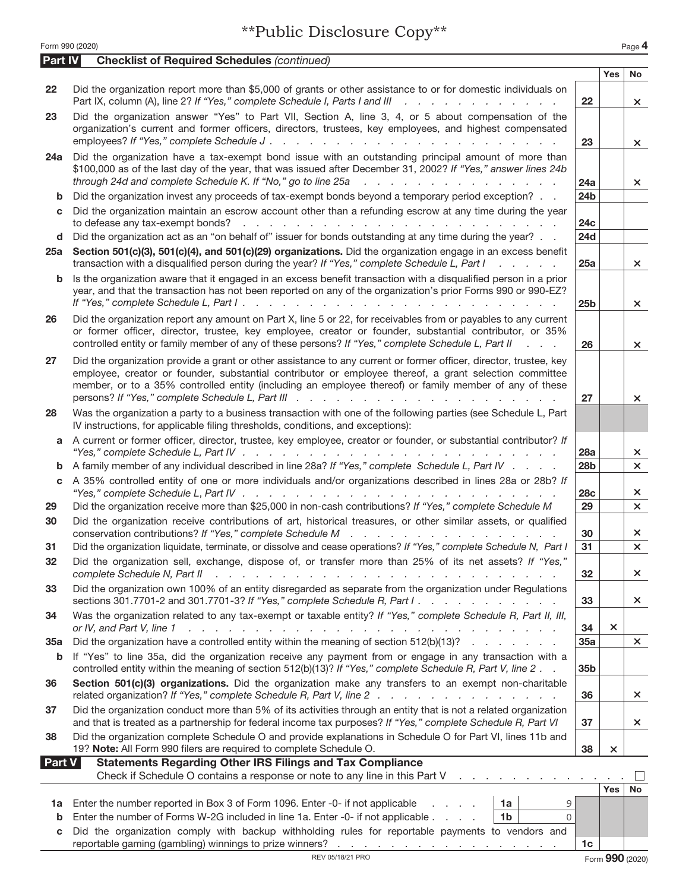| Form 990 (2020) |                                                                                                                                                                                                                                                                                                                                                       |                 |     | Page 4     |
|-----------------|-------------------------------------------------------------------------------------------------------------------------------------------------------------------------------------------------------------------------------------------------------------------------------------------------------------------------------------------------------|-----------------|-----|------------|
| <b>Part IV</b>  | <b>Checklist of Required Schedules (continued)</b>                                                                                                                                                                                                                                                                                                    |                 |     |            |
|                 |                                                                                                                                                                                                                                                                                                                                                       |                 | Yes | <b>No</b>  |
| 22              | Did the organization report more than \$5,000 of grants or other assistance to or for domestic individuals on<br>Part IX, column (A), line 2? If "Yes," complete Schedule I, Parts I and III                                                                                                                                                          | 22              |     | $\times$   |
| 23              | Did the organization answer "Yes" to Part VII, Section A, line 3, 4, or 5 about compensation of the<br>organization's current and former officers, directors, trustees, key employees, and highest compensated                                                                                                                                        | 23              |     | $\times$   |
| 24a             | Did the organization have a tax-exempt bond issue with an outstanding principal amount of more than<br>\$100,000 as of the last day of the year, that was issued after December 31, 2002? If "Yes," answer lines 24b<br>through 24d and complete Schedule K. If "No," go to line 25a<br>and the contract of the contract of the contract              | 24a             |     | ×.         |
| b               | Did the organization invest any proceeds of tax-exempt bonds beyond a temporary period exception?                                                                                                                                                                                                                                                     | 24 <sub>b</sub> |     |            |
| c               | Did the organization maintain an escrow account other than a refunding escrow at any time during the year                                                                                                                                                                                                                                             | 24c             |     |            |
| d               | Did the organization act as an "on behalf of" issuer for bonds outstanding at any time during the year?                                                                                                                                                                                                                                               | 24d             |     |            |
| 25a             | Section 501(c)(3), 501(c)(4), and 501(c)(29) organizations. Did the organization engage in an excess benefit<br>transaction with a disqualified person during the year? If "Yes," complete Schedule L, Part I<br>and the company of the                                                                                                               | 25a             |     | $\times$   |
| b               | Is the organization aware that it engaged in an excess benefit transaction with a disqualified person in a prior<br>year, and that the transaction has not been reported on any of the organization's prior Forms 990 or 990-EZ?                                                                                                                      | 25 <sub>b</sub> |     | ×          |
| 26              | Did the organization report any amount on Part X, line 5 or 22, for receivables from or payables to any current<br>or former officer, director, trustee, key employee, creator or founder, substantial contributor, or 35%<br>controlled entity or family member of any of these persons? If "Yes," complete Schedule L, Part II<br><b>Contractor</b> | 26              |     | $\times$   |
| 27              | Did the organization provide a grant or other assistance to any current or former officer, director, trustee, key<br>employee, creator or founder, substantial contributor or employee thereof, a grant selection committee<br>member, or to a 35% controlled entity (including an employee thereof) or family member of any of these                 | 27              |     | $\times$   |
| 28              | Was the organization a party to a business transaction with one of the following parties (see Schedule L, Part<br>IV instructions, for applicable filing thresholds, conditions, and exceptions):                                                                                                                                                     |                 |     |            |
| a               | A current or former officer, director, trustee, key employee, creator or founder, or substantial contributor? If                                                                                                                                                                                                                                      | 28a             |     | ×          |
| b               | A family member of any individual described in line 28a? If "Yes," complete Schedule L, Part IV                                                                                                                                                                                                                                                       | 28 <sub>b</sub> |     | $\times$   |
| C               | A 35% controlled entity of one or more individuals and/or organizations described in lines 28a or 28b? If<br>"Yes," complete Schedule L, Part IV $\ldots$ , $\ldots$ , $\ldots$ , $\ldots$ , $\ldots$ , $\ldots$                                                                                                                                      | 28c             |     | ×          |
| 29              | Did the organization receive more than \$25,000 in non-cash contributions? If "Yes," complete Schedule M                                                                                                                                                                                                                                              | 29              |     | $\times$   |
| 30              | Did the organization receive contributions of art, historical treasures, or other similar assets, or qualified                                                                                                                                                                                                                                        | 30              |     | ×.         |
| 31              | Did the organization liquidate, terminate, or dissolve and cease operations? If "Yes," complete Schedule N, Part I                                                                                                                                                                                                                                    | 31              |     | $\times^-$ |
| 32              | Did the organization sell, exchange, dispose of, or transfer more than 25% of its net assets? If "Yes,"<br>complete Schedule N, Part II<br>and the contract of the contract of the contract of the contract of the contract of                                                                                                                        | 32              |     | ×.         |
| 33              | Did the organization own 100% of an entity disregarded as separate from the organization under Regulations<br>sections 301.7701-2 and 301.7701-3? If "Yes," complete Schedule R, Part I.                                                                                                                                                              | 33              |     | ×          |
| 34              | Was the organization related to any tax-exempt or taxable entity? If "Yes," complete Schedule R, Part II, III,<br>or IV, and Part V, line 1<br>المتعاون والمتعاون والمتعاون والمتعاون والمتعاونة والمتعاونة والمتعاونة والمتعاونة والمتعاونة والمتعاونة                                                                                               | 34              | ×   |            |
| 35a             | Did the organization have a controlled entity within the meaning of section $512(b)(13)?$                                                                                                                                                                                                                                                             | 35a             |     | ×.         |
| b               | If "Yes" to line 35a, did the organization receive any payment from or engage in any transaction with a<br>controlled entity within the meaning of section 512(b)(13)? If "Yes," complete Schedule R, Part V, line 2.                                                                                                                                 | 35 <sub>b</sub> |     |            |
| 36              | Section 501(c)(3) organizations. Did the organization make any transfers to an exempt non-charitable<br>related organization? If "Yes," complete Schedule R, Part V, line 2.                                                                                                                                                                          | 36              |     | ×.         |
| 37              | Did the organization conduct more than 5% of its activities through an entity that is not a related organization<br>and that is treated as a partnership for federal income tax purposes? If "Yes," complete Schedule R, Part VI                                                                                                                      | 37              |     | ×          |
| 38              | Did the organization complete Schedule O and provide explanations in Schedule O for Part VI, lines 11b and<br>19? Note: All Form 990 filers are required to complete Schedule O.                                                                                                                                                                      | 38              | ×   |            |
| Part V          | <b>Statements Regarding Other IRS Filings and Tax Compliance</b><br>Check if Schedule O contains a response or note to any line in this Part V                                                                                                                                                                                                        |                 |     |            |
|                 |                                                                                                                                                                                                                                                                                                                                                       |                 | Yes | <b>No</b>  |
| 1a<br>b         | Enter the number reported in Box 3 of Form 1096. Enter -0- if not applicable<br>1a<br>9<br><b>Contractor</b><br>Enter the number of Forms W-2G included in line 1a. Enter -0- if not applicable<br>1 <sub>b</sub><br>$\mathbf 0$                                                                                                                      |                 |     |            |

| <b>b</b> Enter the number of Forms W-2G included in line 1a. Enter -0- if not applicable           | $\vert$ 1b $\vert$ |  |    |
|----------------------------------------------------------------------------------------------------|--------------------|--|----|
| c Did the organization comply with backup withholding rules for reportable payments to vendors and |                    |  |    |
|                                                                                                    |                    |  | 1c |

REV 05/18/21 PRO

| Form 990 (2020) |
|-----------------|
|-----------------|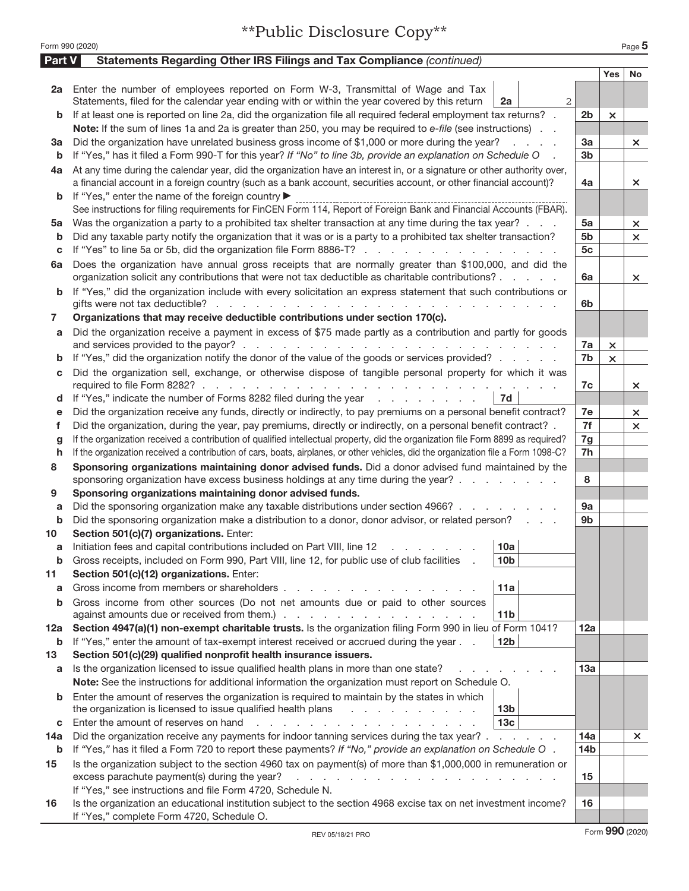|                 | --     |   |
|-----------------|--------|---|
| Form 990 (2020) | Page 5 | - |
|                 |        |   |

| <b>Part V</b> | Statements Regarding Other IRS Filings and Tax Compliance (continued)                                                                                                                                      |                 |            |                      |  |  |  |  |
|---------------|------------------------------------------------------------------------------------------------------------------------------------------------------------------------------------------------------------|-----------------|------------|----------------------|--|--|--|--|
|               |                                                                                                                                                                                                            |                 | <b>Yes</b> | <b>No</b>            |  |  |  |  |
|               | 2a Enter the number of employees reported on Form W-3, Transmittal of Wage and Tax                                                                                                                         |                 |            |                      |  |  |  |  |
|               | Statements, filed for the calendar year ending with or within the year covered by this return<br>2a<br>2                                                                                                   |                 |            |                      |  |  |  |  |
| b             | If at least one is reported on line 2a, did the organization file all required federal employment tax returns? .                                                                                           | 2 <sub>b</sub>  | ×          |                      |  |  |  |  |
|               | Note: If the sum of lines 1a and 2a is greater than 250, you may be required to e-file (see instructions).                                                                                                 |                 |            |                      |  |  |  |  |
| За            | Did the organization have unrelated business gross income of \$1,000 or more during the year?                                                                                                              | 3a              |            | $\times$             |  |  |  |  |
| b             | If "Yes," has it filed a Form 990-T for this year? If "No" to line 3b, provide an explanation on Schedule O                                                                                                |                 |            |                      |  |  |  |  |
| 4а            | At any time during the calendar year, did the organization have an interest in, or a signature or other authority over,                                                                                    | 3 <sub>b</sub>  |            |                      |  |  |  |  |
|               | a financial account in a foreign country (such as a bank account, securities account, or other financial account)?                                                                                         | 4a              |            | $\times$             |  |  |  |  |
| b             | If "Yes," enter the name of the foreign country ▶                                                                                                                                                          |                 |            |                      |  |  |  |  |
|               | See instructions for filing requirements for FinCEN Form 114, Report of Foreign Bank and Financial Accounts (FBAR).                                                                                        |                 |            |                      |  |  |  |  |
|               | Was the organization a party to a prohibited tax shelter transaction at any time during the tax year?                                                                                                      | 5a              |            |                      |  |  |  |  |
| 5a<br>b       | Did any taxable party notify the organization that it was or is a party to a prohibited tax shelter transaction?                                                                                           | 5 <sub>b</sub>  |            | $\times$<br>$\times$ |  |  |  |  |
|               |                                                                                                                                                                                                            | <b>5c</b>       |            |                      |  |  |  |  |
| с             |                                                                                                                                                                                                            |                 |            |                      |  |  |  |  |
| 6a            | Does the organization have annual gross receipts that are normally greater than \$100,000, and did the<br>organization solicit any contributions that were not tax deductible as charitable contributions? | 6a              |            | $\times$             |  |  |  |  |
| b             | If "Yes," did the organization include with every solicitation an express statement that such contributions or                                                                                             | 6b              |            |                      |  |  |  |  |
| 7             | Organizations that may receive deductible contributions under section 170(c).                                                                                                                              |                 |            |                      |  |  |  |  |
| a             | Did the organization receive a payment in excess of \$75 made partly as a contribution and partly for goods                                                                                                |                 |            |                      |  |  |  |  |
|               |                                                                                                                                                                                                            | 7a              | $\times$   |                      |  |  |  |  |
| b             | If "Yes," did the organization notify the donor of the value of the goods or services provided?                                                                                                            | 7 <sub>b</sub>  | $\times$   |                      |  |  |  |  |
| С             | Did the organization sell, exchange, or otherwise dispose of tangible personal property for which it was                                                                                                   | 7c              |            | $\times$             |  |  |  |  |
| d             | If "Yes," indicate the number of Forms 8282 filed during the year<br>7d                                                                                                                                    |                 |            |                      |  |  |  |  |
| е             | Did the organization receive any funds, directly or indirectly, to pay premiums on a personal benefit contract?                                                                                            | 7e              |            | $\times$             |  |  |  |  |
| f             | Did the organization, during the year, pay premiums, directly or indirectly, on a personal benefit contract? .                                                                                             | 7f              |            | $\times$             |  |  |  |  |
| g             | If the organization received a contribution of qualified intellectual property, did the organization file Form 8899 as required?                                                                           | 7g              |            |                      |  |  |  |  |
| h.            | If the organization received a contribution of cars, boats, airplanes, or other vehicles, did the organization file a Form 1098-C?                                                                         | 7h              |            |                      |  |  |  |  |
| 8             | Sponsoring organizations maintaining donor advised funds. Did a donor advised fund maintained by the                                                                                                       |                 |            |                      |  |  |  |  |
|               | sponsoring organization have excess business holdings at any time during the year?                                                                                                                         | 8               |            |                      |  |  |  |  |
| 9             | Sponsoring organizations maintaining donor advised funds.                                                                                                                                                  |                 |            |                      |  |  |  |  |
| a             | Did the sponsoring organization make any taxable distributions under section 4966?                                                                                                                         | 9a              |            |                      |  |  |  |  |
| b             | Did the sponsoring organization make a distribution to a donor, donor advisor, or related person?                                                                                                          | 9 <sub>b</sub>  |            |                      |  |  |  |  |
| 10            | Section 501(c)(7) organizations. Enter:                                                                                                                                                                    |                 |            |                      |  |  |  |  |
| a             | Initiation fees and capital contributions included on Part VIII, line 12<br>10a                                                                                                                            |                 |            |                      |  |  |  |  |
|               | 10 <sub>b</sub><br>Gross receipts, included on Form 990, Part VIII, line 12, for public use of club facilities                                                                                             |                 |            |                      |  |  |  |  |
| 11            | Section 501(c)(12) organizations. Enter:                                                                                                                                                                   |                 |            |                      |  |  |  |  |
|               | Gross income from members or shareholders.<br>11a<br>and the company of the company of                                                                                                                     |                 |            |                      |  |  |  |  |
| a             |                                                                                                                                                                                                            |                 |            |                      |  |  |  |  |
| b             | Gross income from other sources (Do not net amounts due or paid to other sources<br>11 <sub>b</sub>                                                                                                        |                 |            |                      |  |  |  |  |
|               | Section 4947(a)(1) non-exempt charitable trusts. Is the organization filing Form 990 in lieu of Form 1041?                                                                                                 |                 |            |                      |  |  |  |  |
| 12a           | 12 <sub>b</sub>                                                                                                                                                                                            | 12a             |            |                      |  |  |  |  |
| b             | If "Yes," enter the amount of tax-exempt interest received or accrued during the year                                                                                                                      |                 |            |                      |  |  |  |  |
| 13            | Section 501(c)(29) qualified nonprofit health insurance issuers.                                                                                                                                           |                 |            |                      |  |  |  |  |
| a             | Is the organization licensed to issue qualified health plans in more than one state?                                                                                                                       | 13a             |            |                      |  |  |  |  |
|               | Note: See the instructions for additional information the organization must report on Schedule O.                                                                                                          |                 |            |                      |  |  |  |  |
| b             | Enter the amount of reserves the organization is required to maintain by the states in which                                                                                                               |                 |            |                      |  |  |  |  |
|               | the organization is licensed to issue qualified health plans<br>13 <sub>b</sub><br>and a strain and a strain and a                                                                                         |                 |            |                      |  |  |  |  |
| c             | Enter the amount of reserves on hand<br>13 <sub>c</sub>                                                                                                                                                    |                 |            |                      |  |  |  |  |
| 14a           | Did the organization receive any payments for indoor tanning services during the tax year?.<br>the company's com-                                                                                          | 14a             |            | ×.                   |  |  |  |  |
| b             | If "Yes," has it filed a Form 720 to report these payments? If "No," provide an explanation on Schedule O.                                                                                                 | 14 <sub>b</sub> |            |                      |  |  |  |  |
| 15            | Is the organization subject to the section 4960 tax on payment(s) of more than \$1,000,000 in remuneration or                                                                                              |                 |            |                      |  |  |  |  |
|               | excess parachute payment(s) during the year?<br>المنافر والمنافر والمنافر والمنافر والمنافر والمنافر                                                                                                       | 15              |            |                      |  |  |  |  |
|               | If "Yes," see instructions and file Form 4720, Schedule N.                                                                                                                                                 |                 |            |                      |  |  |  |  |
| 16            | Is the organization an educational institution subject to the section 4968 excise tax on net investment income?                                                                                            | 16              |            |                      |  |  |  |  |
|               | If "Yes," complete Form 4720, Schedule O.                                                                                                                                                                  |                 |            |                      |  |  |  |  |
|               |                                                                                                                                                                                                            |                 |            |                      |  |  |  |  |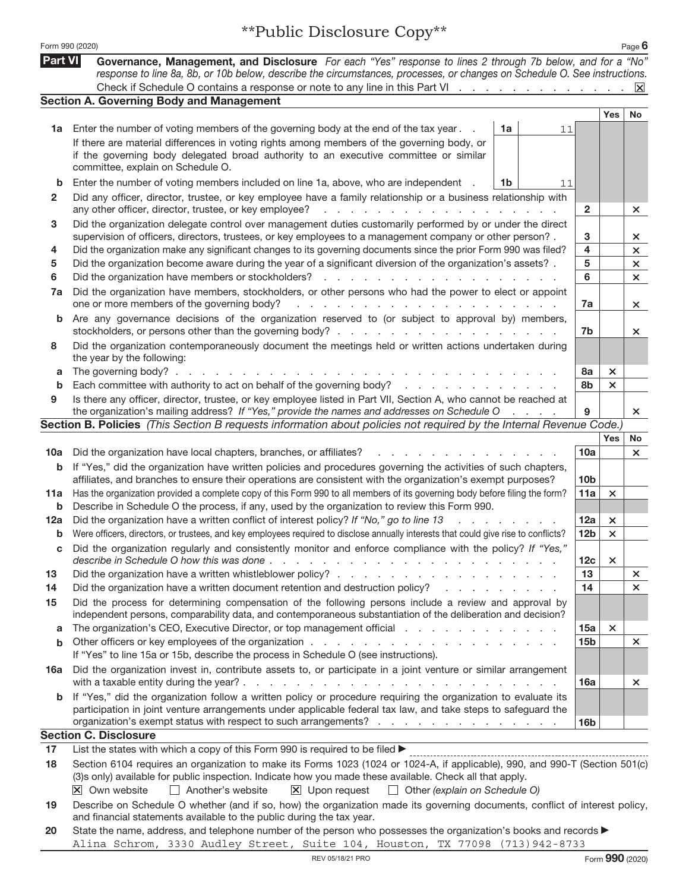| Form 990 (2020) |                                                                                                                                                                                                                                              |    |                |                 |            | Page $6$          |  |  |  |
|-----------------|----------------------------------------------------------------------------------------------------------------------------------------------------------------------------------------------------------------------------------------------|----|----------------|-----------------|------------|-------------------|--|--|--|
| <b>Part VI</b>  | Governance, Management, and Disclosure For each "Yes" response to lines 2 through 7b below, and for a "No"<br>response to line 8a, 8b, or 10b below, describe the circumstances, processes, or changes on Schedule O. See instructions.      |    |                |                 |            |                   |  |  |  |
|                 | Check if Schedule O contains a response or note to any line in this Part VI                                                                                                                                                                  |    |                |                 |            | $\mathbf{\times}$ |  |  |  |
|                 | <b>Section A. Governing Body and Management</b>                                                                                                                                                                                              |    |                |                 |            |                   |  |  |  |
|                 |                                                                                                                                                                                                                                              |    |                |                 | Yes        | No                |  |  |  |
|                 | 1a Enter the number of voting members of the governing body at the end of the tax year.                                                                                                                                                      | 1a | 11             |                 |            |                   |  |  |  |
|                 | If there are material differences in voting rights among members of the governing body, or                                                                                                                                                   |    |                |                 |            |                   |  |  |  |
|                 | if the governing body delegated broad authority to an executive committee or similar                                                                                                                                                         |    |                |                 |            |                   |  |  |  |
|                 | committee, explain on Schedule O.                                                                                                                                                                                                            |    |                |                 |            |                   |  |  |  |
| b               | Enter the number of voting members included on line 1a, above, who are independent<br>1b<br>11                                                                                                                                               |    |                |                 |            |                   |  |  |  |
| 2               | Did any officer, director, trustee, or key employee have a family relationship or a business relationship with                                                                                                                               |    |                |                 |            |                   |  |  |  |
|                 | any other officer, director, trustee, or key employee?<br>the contract of the contract of the contract of the contract of the contract of the contract of the contract of                                                                    |    |                | $\mathbf{2}$    |            | ×                 |  |  |  |
| З               | Did the organization delegate control over management duties customarily performed by or under the direct                                                                                                                                    |    |                |                 |            |                   |  |  |  |
|                 | supervision of officers, directors, trustees, or key employees to a management company or other person?.                                                                                                                                     |    |                | 3               |            | ×                 |  |  |  |
| 4               | Did the organization make any significant changes to its governing documents since the prior Form 990 was filed?                                                                                                                             |    |                | 4               |            | $\times$          |  |  |  |
| 5               | Did the organization become aware during the year of a significant diversion of the organization's assets?.                                                                                                                                  |    |                | 5               |            | $\times$          |  |  |  |
| 6               | Did the organization have members or stockholders?<br><b>Contractor</b><br><b>Service</b> State                                                                                                                                              |    |                | 6               |            | $\times$          |  |  |  |
| 7a              | Did the organization have members, stockholders, or other persons who had the power to elect or appoint                                                                                                                                      |    |                |                 |            |                   |  |  |  |
|                 | one or more members of the governing body?<br>a construction of the construction of the construction                                                                                                                                         |    |                | 7a              |            | ×.                |  |  |  |
| b               | Are any governance decisions of the organization reserved to (or subject to approval by) members,                                                                                                                                            |    |                | 7b              |            |                   |  |  |  |
|                 |                                                                                                                                                                                                                                              |    |                |                 |            | ×                 |  |  |  |
| 8               | Did the organization contemporaneously document the meetings held or written actions undertaken during<br>the year by the following:                                                                                                         |    |                |                 |            |                   |  |  |  |
| a               | The governing body? $\ldots$ $\ldots$ $\ldots$ $\ldots$<br>and the contract of the con-                                                                                                                                                      |    |                | 8а              | ×          |                   |  |  |  |
| b               | Each committee with authority to act on behalf of the governing body?                                                                                                                                                                        |    |                | 8b              | $\times$   |                   |  |  |  |
| 9               | Is there any officer, director, trustee, or key employee listed in Part VII, Section A, who cannot be reached at                                                                                                                             |    |                |                 |            |                   |  |  |  |
|                 | the organization's mailing address? If "Yes," provide the names and addresses on Schedule O                                                                                                                                                  |    | and a state of | 9               |            | ×                 |  |  |  |
|                 | Section B. Policies (This Section B requests information about policies not required by the Internal Revenue Code.)                                                                                                                          |    |                |                 |            |                   |  |  |  |
|                 |                                                                                                                                                                                                                                              |    |                |                 | <b>Yes</b> | No.               |  |  |  |
| 10a             | Did the organization have local chapters, branches, or affiliates?<br>and a contract                                                                                                                                                         |    |                | 10a             |            | $\times$          |  |  |  |
| b               | If "Yes," did the organization have written policies and procedures governing the activities of such chapters,                                                                                                                               |    |                |                 |            |                   |  |  |  |
|                 | affiliates, and branches to ensure their operations are consistent with the organization's exempt purposes?                                                                                                                                  |    |                | 10 <sub>b</sub> |            |                   |  |  |  |
| 11a             | Has the organization provided a complete copy of this Form 990 to all members of its governing body before filing the form?                                                                                                                  |    |                | 11a             | $\times$   |                   |  |  |  |
| b               | Describe in Schedule O the process, if any, used by the organization to review this Form 990.                                                                                                                                                |    |                |                 |            |                   |  |  |  |
| 12a             | Did the organization have a written conflict of interest policy? If "No," go to line 13                                                                                                                                                      |    |                | 12a             | ×          |                   |  |  |  |
| b               | Were officers, directors, or trustees, and key employees required to disclose annually interests that could give rise to conflicts?                                                                                                          |    |                | 12 <sub>b</sub> | $\times$   |                   |  |  |  |
|                 | Did the organization regularly and consistently monitor and enforce compliance with the policy? If "Yes,                                                                                                                                     |    |                |                 |            |                   |  |  |  |
|                 |                                                                                                                                                                                                                                              |    |                | 12 <sub>c</sub> | $\times$   |                   |  |  |  |
| 13              |                                                                                                                                                                                                                                              |    |                | 13              |            | ×                 |  |  |  |
| 14              | Did the organization have a written document retention and destruction policy?                                                                                                                                                               |    |                | 14              |            | $\mathsf{x}$      |  |  |  |
| 15              | Did the process for determining compensation of the following persons include a review and approval by                                                                                                                                       |    |                |                 |            |                   |  |  |  |
|                 | independent persons, comparability data, and contemporaneous substantiation of the deliberation and decision?                                                                                                                                |    |                |                 |            |                   |  |  |  |
| a               | The organization's CEO, Executive Director, or top management official                                                                                                                                                                       |    |                | 15a             | $\times$   |                   |  |  |  |
| b               |                                                                                                                                                                                                                                              |    |                | 15 <sub>b</sub> |            | ×                 |  |  |  |
|                 | If "Yes" to line 15a or 15b, describe the process in Schedule O (see instructions).                                                                                                                                                          |    |                |                 |            |                   |  |  |  |
| 16a             | Did the organization invest in, contribute assets to, or participate in a joint venture or similar arrangement<br>with a taxable entity during the year?.<br>the contract of the contract of the contract of the contract of the contract of |    |                | <b>16a</b>      |            | ×                 |  |  |  |
|                 |                                                                                                                                                                                                                                              |    |                |                 |            |                   |  |  |  |
|                 | <b>b</b> If "Yes," did the organization follow a written policy or procedure requiring the organization to evaluate its<br>participation in joint venture arrangements under applicable federal tax law, and take steps to safeguard the     |    |                |                 |            |                   |  |  |  |
|                 | organization's exempt status with respect to such arrangements?<br>16 <sub>b</sub>                                                                                                                                                           |    |                |                 |            |                   |  |  |  |
|                 | <b>Section C. Disclosure</b>                                                                                                                                                                                                                 |    |                |                 |            |                   |  |  |  |
| 17              | List the states with which a copy of this Form 990 is required to be filed >                                                                                                                                                                 |    |                |                 |            |                   |  |  |  |
| 18              | Section 6104 requires an organization to make its Forms 1023 (1024 or 1024-A, if applicable), 990, and 990-T (Section 501(c)                                                                                                                 |    |                |                 |            |                   |  |  |  |
|                 | (3) sonly) available for public inspection. Indicate how you made these available. Check all that apply.                                                                                                                                     |    |                |                 |            |                   |  |  |  |
|                 | $ \mathsf{X} $ Own website<br>$\Box$ Another's website<br>$X$ Upon request<br>$\Box$ Other (explain on Schedule O)                                                                                                                           |    |                |                 |            |                   |  |  |  |
| 19              | Describe on Schedule O whether (and if so, how) the organization made its governing documents, conflict of interest policy,                                                                                                                  |    |                |                 |            |                   |  |  |  |
|                 | and financial statements available to the public during the tax year.                                                                                                                                                                        |    |                |                 |            |                   |  |  |  |

20 State the name, address, and telephone number of the person who possesses the organization's books and records Alina Schrom, 3330 Audley Street, Suite 104, Houston, TX 77098 (713)942-8733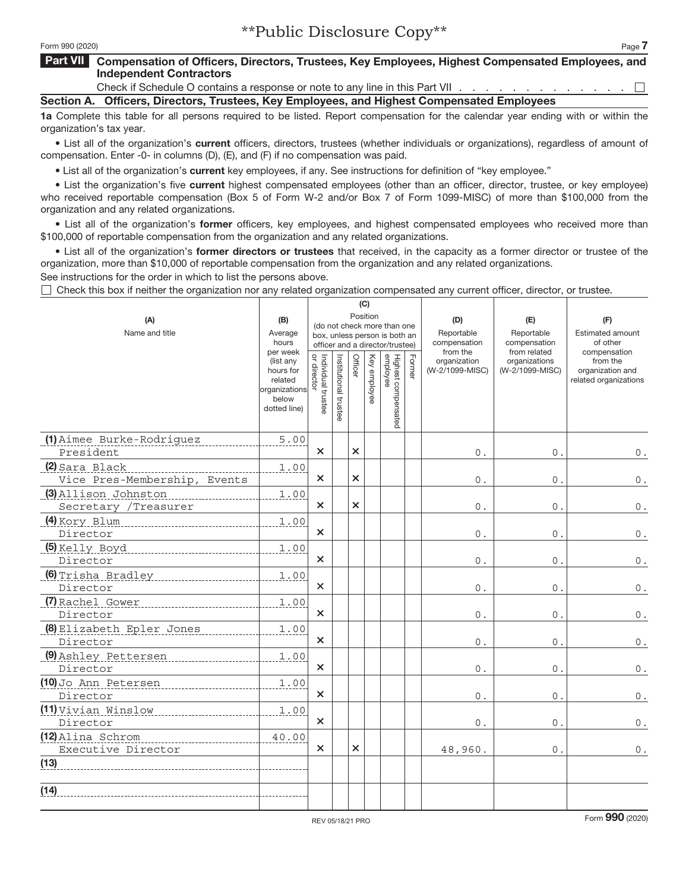#### **Part VII Compensation of Officers, Directors, Trustees, Key Employees, Highest Compensated Employees, and Independent Contractors**

Check if Schedule O contains a response or note to any line in this Part VII.  $\Box$ **Section A. Officers, Directors, Trustees, Key Employees, and Highest Compensated Employees**

**1a** Complete this table for all persons required to be listed. Report compensation for the calendar year ending with or within the organization's tax year.

• List all of the organization's **current** officers, directors, trustees (whether individuals or organizations), regardless of amount of compensation. Enter -0- in columns (D), (E), and (F) if no compensation was paid.

• List all of the organization's **current** key employees, if any. See instructions for definition of "key employee."

• List the organization's five **current** highest compensated employees (other than an officer, director, trustee, or key employee) who received reportable compensation (Box 5 of Form W-2 and/or Box 7 of Form 1099-MISC) of more than \$100,000 from the organization and any related organizations.

• List all of the organization's **former** officers, key employees, and highest compensated employees who received more than \$100,000 of reportable compensation from the organization and any related organizations.

• List all of the organization's **former directors or trustees** that received, in the capacity as a former director or trustee of the organization, more than \$10,000 of reportable compensation from the organization and any related organizations.

See instructions for the order in which to list the persons above.

 $\Box$  Check this box if neither the organization nor any related organization compensated any current officer, director, or trustee.

|                                         |                      | (C)                               |                                                              |                         |              |                                 |        |                          |                              |                          |
|-----------------------------------------|----------------------|-----------------------------------|--------------------------------------------------------------|-------------------------|--------------|---------------------------------|--------|--------------------------|------------------------------|--------------------------|
| (A)                                     | (B)                  | Position                          |                                                              |                         |              |                                 |        | (D)                      | (E)                          | (F)                      |
| Name and title                          | Average              |                                   | (do not check more than one<br>box, unless person is both an |                         |              |                                 |        | Reportable               | Reportable                   | <b>Estimated amount</b>  |
|                                         | hours<br>per week    |                                   |                                                              |                         |              | officer and a director/trustee) |        | compensation<br>from the | compensation<br>from related | of other<br>compensation |
|                                         | (list any            | Individual trustee<br>or director |                                                              | Officer                 |              |                                 | Formel | organization             | organizations                | from the                 |
|                                         | hours for<br>related |                                   |                                                              |                         |              |                                 |        | (W-2/1099-MISC)          | (W-2/1099-MISC)              | organization and         |
|                                         | organizations        |                                   | Institutional trustee                                        |                         | Key employee |                                 |        |                          |                              | related organizations    |
|                                         | below                |                                   |                                                              |                         |              |                                 |        |                          |                              |                          |
|                                         | dotted line)         |                                   |                                                              |                         |              | Highest compensated<br>employee |        |                          |                              |                          |
|                                         |                      |                                   |                                                              |                         |              |                                 |        |                          |                              |                          |
| (1) Aimee Burke-Rodriguez               | 5.00                 | X                                 |                                                              | $\times$                |              |                                 |        |                          |                              |                          |
| President                               |                      |                                   |                                                              |                         |              |                                 |        | $0$ .                    | $\circ$ .                    | $0$ .                    |
| (2) Sara Black                          | 1.00                 | $\boldsymbol{\times}$             |                                                              | $\overline{\mathsf{x}}$ |              |                                 |        |                          |                              |                          |
| Vice Pres-Membership, Events            |                      |                                   |                                                              |                         |              |                                 |        | $0$ .                    | 0.                           | $0$ .                    |
| (3) Allison Johnston                    | 1.00                 | ×                                 |                                                              | $\times$                |              |                                 |        |                          |                              |                          |
| Secretary / Treasurer                   |                      |                                   |                                                              |                         |              |                                 |        | $0$ .                    | 0.                           | $0$ .                    |
| (4) Kory Blum                           | 1.00                 | $\times$                          |                                                              |                         |              |                                 |        |                          |                              |                          |
| Director                                |                      |                                   |                                                              |                         |              |                                 |        | $0$ .                    | 0.                           | $0$ .                    |
| (5) Kelly Boyd                          | 1.00                 | $\times$                          |                                                              |                         |              |                                 |        |                          |                              |                          |
| Director                                |                      |                                   |                                                              |                         |              |                                 |        | $0$ .                    | 0.                           | $0$ .                    |
| (6) Trisha Bradley                      | 1.00                 | $\times$                          |                                                              |                         |              |                                 |        |                          |                              |                          |
| Director                                |                      |                                   |                                                              |                         |              |                                 |        | $0$ .                    | 0.                           | $0$ .                    |
| (7) Rachel Gower                        | 1.00                 | $\overline{\mathsf{x}}$           |                                                              |                         |              |                                 |        |                          |                              |                          |
| Director                                |                      |                                   |                                                              |                         |              |                                 |        | $\circ$ .                | 0.                           | $\mathsf{0}$ .           |
| (8) Elizabeth Epler Jones               | 1.00                 | $\times$                          |                                                              |                         |              |                                 |        |                          |                              |                          |
| Director                                |                      |                                   |                                                              |                         |              |                                 |        | $0$ .                    | 0.                           | $0$ .                    |
| (9) Ashley Pettersen                    | 1.00                 | $\overline{\mathsf{x}}$           |                                                              |                         |              |                                 |        |                          |                              |                          |
| Director                                |                      |                                   |                                                              |                         |              |                                 |        | 0.                       | 0.                           | $\mathsf{0}$ .           |
| (10) Jo Ann Petersen                    | 1.00                 | $\times$                          |                                                              |                         |              |                                 |        |                          |                              |                          |
| Director                                |                      |                                   |                                                              |                         |              |                                 |        | 0.                       | 0.                           | 0.                       |
| (11) Vivian Winslow                     | 1.00                 | $\overline{\mathsf{x}}$           |                                                              |                         |              |                                 |        |                          |                              |                          |
| Director                                |                      |                                   |                                                              |                         |              |                                 |        | $0$ .                    | 0.                           | $\circ$ .                |
| (12) Alina Schrom<br>Executive Director | 40.00                | $\overline{\mathsf{x}}$           |                                                              | $\times$                |              |                                 |        |                          | 0.                           | $\circ$ .                |
|                                         |                      |                                   |                                                              |                         |              |                                 |        | 48,960.                  |                              |                          |
| (13)                                    |                      |                                   |                                                              |                         |              |                                 |        |                          |                              |                          |
| (14)                                    |                      |                                   |                                                              |                         |              |                                 |        |                          |                              |                          |
|                                         |                      |                                   |                                                              |                         |              |                                 |        |                          |                              |                          |
|                                         |                      |                                   |                                                              |                         |              |                                 |        |                          |                              |                          |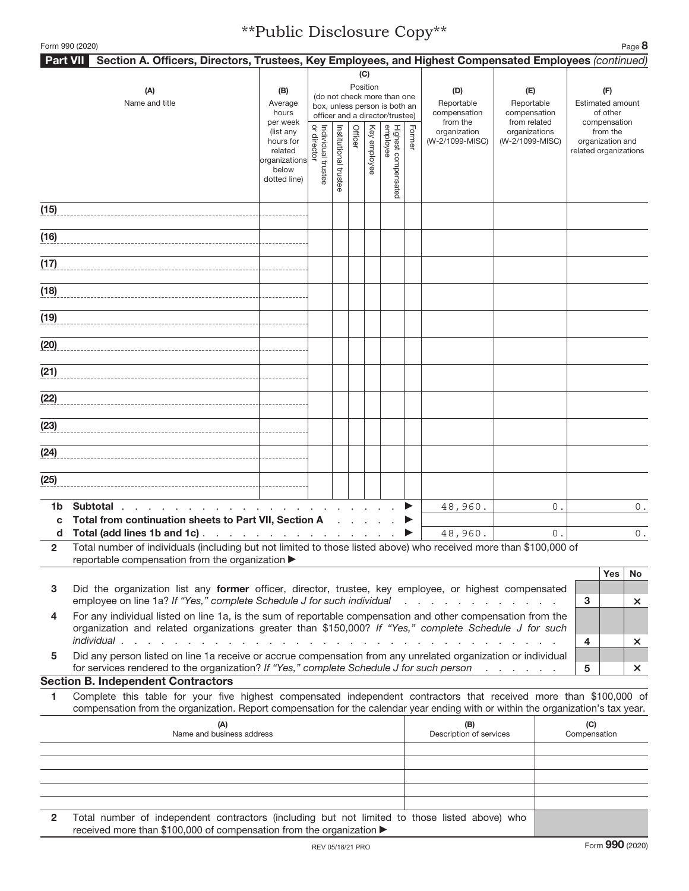| Part VII     | Section A. Officers, Directors, Trustees, Key Employees, and Highest Compensated Employees (continued)                                                               |                                                                             |                                   |                       |         |                 |                                                                  |        |                                 |                                  |                                                       |
|--------------|----------------------------------------------------------------------------------------------------------------------------------------------------------------------|-----------------------------------------------------------------------------|-----------------------------------|-----------------------|---------|-----------------|------------------------------------------------------------------|--------|---------------------------------|----------------------------------|-------------------------------------------------------|
|              | (A)<br>Name and title                                                                                                                                                | (B)                                                                         |                                   |                       |         | (C)<br>Position | (do not check more than one                                      |        | (D)<br>Reportable               | (E)<br>Reportable                | (F)<br>Estimated amount                               |
|              |                                                                                                                                                                      | Average<br>hours<br>per week                                                |                                   |                       |         |                 | box, unless person is both an<br>officer and a director/trustee) |        | compensation<br>from the        | compensation<br>from related     | of other<br>compensation                              |
|              |                                                                                                                                                                      | (list any<br>hours for<br>related<br>organizations<br>below<br>dotted line) | or director<br>Individual trustee | Institutional trustee | Officer | Key employee    | Highest compensated<br>employee                                  | Former | organization<br>(W-2/1099-MISC) | organizations<br>(W-2/1099-MISC) | from the<br>organization and<br>related organizations |
| (15)         |                                                                                                                                                                      |                                                                             |                                   |                       |         |                 |                                                                  |        |                                 |                                  |                                                       |
| (16)         |                                                                                                                                                                      |                                                                             |                                   |                       |         |                 |                                                                  |        |                                 |                                  |                                                       |
| (17)         |                                                                                                                                                                      |                                                                             |                                   |                       |         |                 |                                                                  |        |                                 |                                  |                                                       |
| (18)         |                                                                                                                                                                      |                                                                             |                                   |                       |         |                 |                                                                  |        |                                 |                                  |                                                       |
| (19)         |                                                                                                                                                                      |                                                                             |                                   |                       |         |                 |                                                                  |        |                                 |                                  |                                                       |
| (20)         |                                                                                                                                                                      |                                                                             |                                   |                       |         |                 |                                                                  |        |                                 |                                  |                                                       |
| (21)         |                                                                                                                                                                      |                                                                             |                                   |                       |         |                 |                                                                  |        |                                 |                                  |                                                       |
| (22)         |                                                                                                                                                                      |                                                                             |                                   |                       |         |                 |                                                                  |        |                                 |                                  |                                                       |
| (23)         |                                                                                                                                                                      |                                                                             |                                   |                       |         |                 |                                                                  |        |                                 |                                  |                                                       |
| (24)         |                                                                                                                                                                      |                                                                             |                                   |                       |         |                 |                                                                  |        |                                 |                                  |                                                       |
| (25)         |                                                                                                                                                                      |                                                                             |                                   |                       |         |                 |                                                                  |        |                                 |                                  |                                                       |
| 1b<br>C      | Subtotal.<br>the contract of the contract of the contract of the contract of<br>Total from continuation sheets to Part VII, Section A                                |                                                                             |                                   |                       |         |                 |                                                                  |        | 48,960.                         | 0.                               | 0.                                                    |
| d            | Total (add lines 1b and 1c).<br>the contract of the contract of the contract of                                                                                      |                                                                             |                                   |                       |         |                 |                                                                  |        | 48,960.                         | $\circ$ .                        | 0.                                                    |
| $\mathbf{2}$ | Total number of individuals (including but not limited to those listed above) who received more than \$100,000 of<br>reportable compensation from the organization ▶ |                                                                             |                                   |                       |         |                 |                                                                  |        |                                 |                                  |                                                       |

|    |                                                                                                                                                                                                                      |   | Yes | <b>No</b> |
|----|----------------------------------------------------------------------------------------------------------------------------------------------------------------------------------------------------------------------|---|-----|-----------|
|    | Did the organization list any former officer, director, trustee, key employee, or highest compensated                                                                                                                |   |     |           |
|    | employee on line 1a? If "Yes," complete Schedule J for such individual                                                                                                                                               |   |     |           |
| 4  | For any individual listed on line 1a, is the sum of reportable compensation and other compensation from the<br>organization and related organizations greater than \$150,000? If "Yes," complete Schedule J for such |   |     |           |
|    |                                                                                                                                                                                                                      | 4 |     |           |
| 5. | Did any person listed on line 1a receive or accrue compensation from any unrelated organization or individual                                                                                                        |   |     |           |
|    | for services rendered to the organization? If "Yes," complete Schedule J for such person                                                                                                                             | 5 |     |           |
|    |                                                                                                                                                                                                                      |   |     |           |

#### **Section B. Independent Contractors**

**1** Complete this table for your five highest compensated independent contractors that received more than \$100,000 of compensation from the organization. Report compensation for the calendar year ending with or within the organization's tax year.

|   | (A)<br>Name and business address                                                                                                                                      | (B)<br>Description of services | (C)<br>Compensation |
|---|-----------------------------------------------------------------------------------------------------------------------------------------------------------------------|--------------------------------|---------------------|
|   |                                                                                                                                                                       |                                |                     |
|   |                                                                                                                                                                       |                                |                     |
|   |                                                                                                                                                                       |                                |                     |
|   |                                                                                                                                                                       |                                |                     |
|   |                                                                                                                                                                       |                                |                     |
| 2 | Total number of independent contractors (including but not limited to those listed above) who<br>received more than \$100,000 of compensation from the organization ▶ |                                |                     |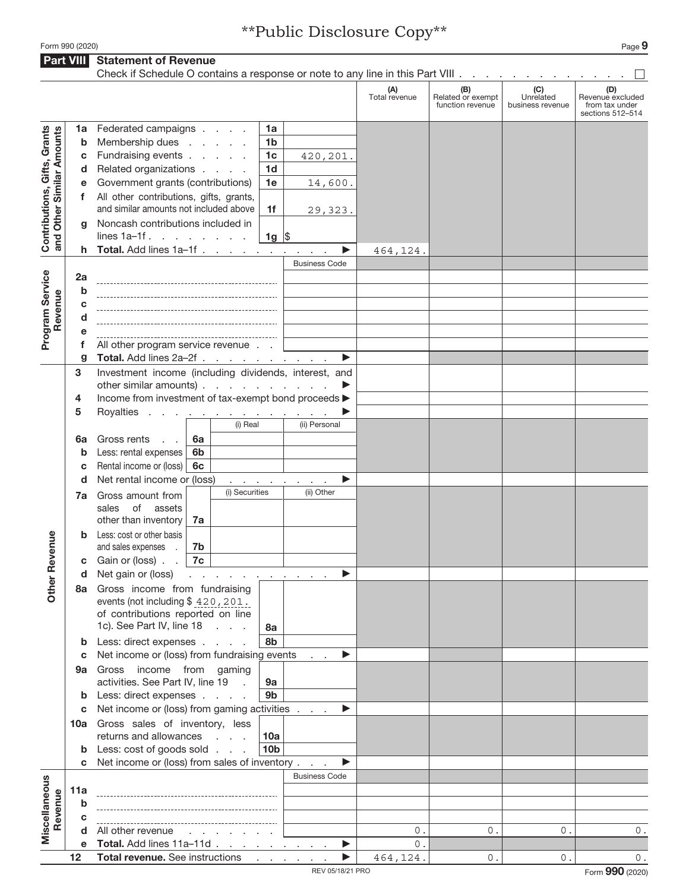Check if Schedule O contains a response or note to any line in this Part VIII.

**Part VIII Statement of Revenue** 

 $\Box$ 

#### **(C) (A) (B) (D)**  Total revenue Related or exempt Unrelated Revenue excluded function revenue business revenue from tax under sections 512–514 **Contributions, Gifts, Grants**  Contributions, Gifts, Grants<br>| and Other Similar Amounts **1a** Federated campaigns .... **1a and Other Similar Amounts b** Membership dues ..... **1b c** Fundraising events ..... **1c**  420,201. **d** Related organizations .... **1d** 14,600. **e** Government grants (contributions) **1e f** All other contributions, gifts, grants, and similar amounts not included above **1f**  29,323. **g** Noncash contributions included in  $\frac{1}{9}$  **1a** -1f. . . . . . . . **1g**  $\frac{1}{9}$ **h Total.** Add lines 1a–1f . . . . . . . . . . ▶ 464,124. Business Code Program Service **Program Service 2a b**  Revenue **Revenue c d e f** All other program service revenue . . **g Total.** Add lines 2a–2f . . . . . . . . . . . ▶ **3** Investment income (including dividends, interest, and other similar amounts) .......... a 4 Income from investment of tax-exempt bond proceeds  $\blacktriangleright$ **5** Royalties . (i) Real (ii) Personal **6a** Gross rents . . **6a b** Less: rental expenses | 6b **c** Rental income or (loss) **6c d** Net rental income or (loss) . . . . . . . . ▶ (i) Securities | (ii) Other **7a**  Gross amount from sales of assets other than inventory **7a b** Less: cost or other basis Other Revenue **Other Revenue** and sales expenses . **7b c** Gain or (loss) . . **7c d** Net gain or (loss) . . . . . . . . . . . ▶ **8a** Gross income from fundraising events (not including \$ 420,201. of contributions reported on line 1c). See Part IV, line 18 . . . **8a b** Less: direct expenses .... **8b c** Net income or (loss) from fundraising events . . ▶ **9a** Gross income from gaming activities. See Part IV, line 19 . **9a b** Less: direct expenses .... **9b c** Net income or (loss) from gaming activities . . . ▶ **10a** Gross sales of inventory, less returns and allowances . . . **10a b** Less: cost of goods sold . . . **10b c** Net income or (loss) from sales of inventory . . . ▶ Business Code **Miscellaneous Miscellaneous 11a**  Revenue **Revenue b c d** All other revenue  $0.$  0. 0. 0.  $0.$  0. 0. 0. **e Total.** Add lines 11a–11d . . . . . . . . . . ▶  $\Omega$ . 12 Total revenue. See instructions . . . . . .  $\blacktriangleright$ 464,124.  $0.$  0. 0. 0. 0.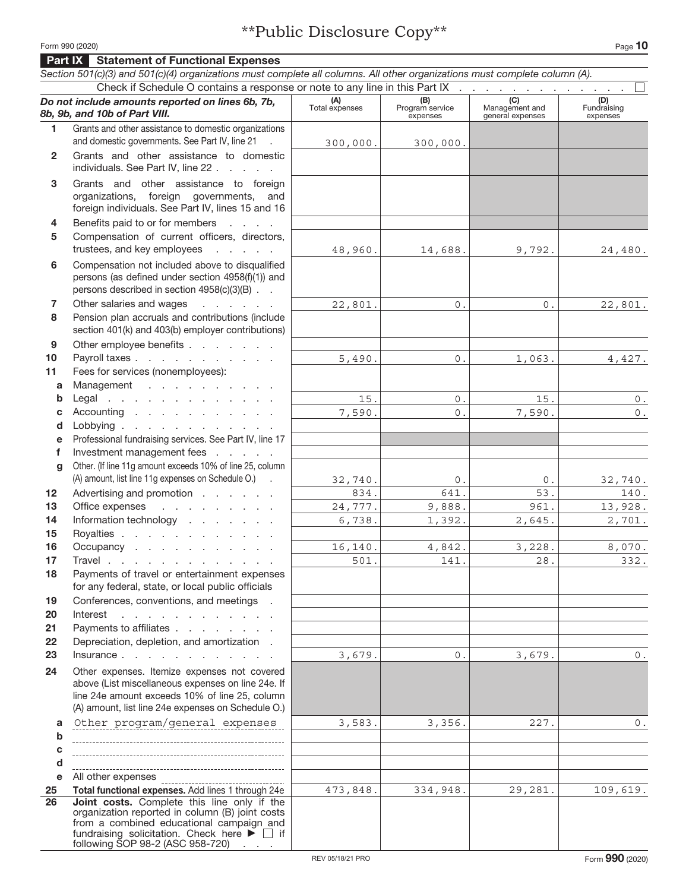|              | <b>Part IX</b> Statement of Functional Expenses<br>Section 501(c)(3) and 501(c)(4) organizations must complete all columns. All other organizations must complete column (A).                                                                                 |                       |                                    |                                           |                                |
|--------------|---------------------------------------------------------------------------------------------------------------------------------------------------------------------------------------------------------------------------------------------------------------|-----------------------|------------------------------------|-------------------------------------------|--------------------------------|
|              | Check if Schedule O contains a response or note to any line in this Part IX                                                                                                                                                                                   |                       |                                    |                                           |                                |
|              | Do not include amounts reported on lines 6b, 7b,<br>8b, 9b, and 10b of Part VIII.                                                                                                                                                                             | (A)<br>Total expenses | (B)<br>Program service<br>expenses | (C)<br>Management and<br>general expenses | (D)<br>Fundraising<br>expenses |
| 1            | Grants and other assistance to domestic organizations<br>and domestic governments. See Part IV, line 21                                                                                                                                                       | 300,000.              | 300,000.                           |                                           |                                |
| $\mathbf{2}$ | Grants and other assistance to domestic<br>individuals. See Part IV, line 22                                                                                                                                                                                  |                       |                                    |                                           |                                |
| 3            | Grants and other assistance to foreign<br>organizations, foreign governments, and<br>foreign individuals. See Part IV, lines 15 and 16                                                                                                                        |                       |                                    |                                           |                                |
| 4<br>5       | Benefits paid to or for members<br>Compensation of current officers, directors,<br>trustees, and key employees                                                                                                                                                | 48,960.               | 14,688.                            | 9,792.                                    | 24,480.                        |
| 6            | Compensation not included above to disqualified<br>persons (as defined under section 4958(f)(1)) and<br>persons described in section 4958(c)(3)(B)                                                                                                            |                       |                                    |                                           |                                |
| 7            | Other salaries and wages<br>and the company of the                                                                                                                                                                                                            | 22,801.               | 0.                                 | $0$ .                                     | 22,801.                        |
| 8            | Pension plan accruals and contributions (include                                                                                                                                                                                                              |                       |                                    |                                           |                                |
|              | section 401(k) and 403(b) employer contributions)                                                                                                                                                                                                             |                       |                                    |                                           |                                |
| 9            | Other employee benefits                                                                                                                                                                                                                                       |                       |                                    |                                           |                                |
| 10           | Payroll taxes                                                                                                                                                                                                                                                 | 5,490.                | 0.                                 | 1,063.                                    | 4,427.                         |
| 11           | Fees for services (nonemployees):                                                                                                                                                                                                                             |                       |                                    |                                           |                                |
|              | Management                                                                                                                                                                                                                                                    |                       |                                    |                                           |                                |
| a            |                                                                                                                                                                                                                                                               |                       |                                    |                                           |                                |
| b            | Legal                                                                                                                                                                                                                                                         | 15.                   | 0.                                 | 15.                                       | $0$ .                          |
| с            | Accounting                                                                                                                                                                                                                                                    | 7,590.                | $\circ$ .                          | 7,590.                                    | $\mathtt{0}$ .                 |
| d            | Lobbying                                                                                                                                                                                                                                                      |                       |                                    |                                           |                                |
| е            | Professional fundraising services. See Part IV, line 17                                                                                                                                                                                                       |                       |                                    |                                           |                                |
| f            | Investment management fees                                                                                                                                                                                                                                    |                       |                                    |                                           |                                |
| g            | Other. (If line 11g amount exceeds 10% of line 25, column<br>(A) amount, list line 11g expenses on Schedule O.) .                                                                                                                                             | 32,740.               | 0.                                 | $0$ .                                     | 32,740.                        |
| 12           | Advertising and promotion                                                                                                                                                                                                                                     | 834.                  | 641.                               | 53.                                       | 140.                           |
| 13           | Office expenses<br>and the contract of the con-                                                                                                                                                                                                               | 24,777.               | 9,888.                             | 961.                                      | 13,928.                        |
| 14           | Information technology                                                                                                                                                                                                                                        | 6,738.                | 1,392.                             | 2,645.                                    | 2,701.                         |
| 15           | Royalties                                                                                                                                                                                                                                                     |                       |                                    |                                           |                                |
| 16           | Occupancy                                                                                                                                                                                                                                                     | 16,140.               | 4,842.                             | 3,228.                                    | 8,070.                         |
| 17           | Travel                                                                                                                                                                                                                                                        | 501.                  | 141.                               | $28.$                                     | 332.                           |
| 18           | Payments of travel or entertainment expenses<br>for any federal, state, or local public officials                                                                                                                                                             |                       |                                    |                                           |                                |
| 19           | Conferences, conventions, and meetings .                                                                                                                                                                                                                      |                       |                                    |                                           |                                |
| 20           | and the contract of the contract of<br>Interest                                                                                                                                                                                                               |                       |                                    |                                           |                                |
| 21           | Payments to affiliates                                                                                                                                                                                                                                        |                       |                                    |                                           |                                |
| 22           | Depreciation, depletion, and amortization.                                                                                                                                                                                                                    |                       |                                    |                                           |                                |
| 23           | Insurance                                                                                                                                                                                                                                                     | 3,679.                | 0.                                 | 3,679.                                    | $0$ .                          |
| 24           | Other expenses. Itemize expenses not covered<br>above (List miscellaneous expenses on line 24e. If<br>line 24e amount exceeds 10% of line 25, column                                                                                                          |                       |                                    |                                           |                                |
|              | (A) amount, list line 24e expenses on Schedule O.)                                                                                                                                                                                                            |                       |                                    |                                           |                                |
| a            | Other program/general expenses                                                                                                                                                                                                                                | 3,583.                | 3,356.                             | 227.                                      | $0$ .                          |
| b            |                                                                                                                                                                                                                                                               |                       |                                    |                                           |                                |
| C            |                                                                                                                                                                                                                                                               |                       |                                    |                                           |                                |
| d            |                                                                                                                                                                                                                                                               |                       |                                    |                                           |                                |
| e            | All other expenses                                                                                                                                                                                                                                            |                       |                                    |                                           |                                |
| 25           | Total functional expenses. Add lines 1 through 24e                                                                                                                                                                                                            | 473,848.              | 334,948.                           | 29,281.                                   | 109,619.                       |
| 26           | Joint costs. Complete this line only if the<br>organization reported in column (B) joint costs<br>from a combined educational campaign and<br>fundraising solicitation. Check here $\blacktriangleright \Box$ if<br>following SOP 98-2 (ASC 958-720) $\ldots$ |                       |                                    |                                           |                                |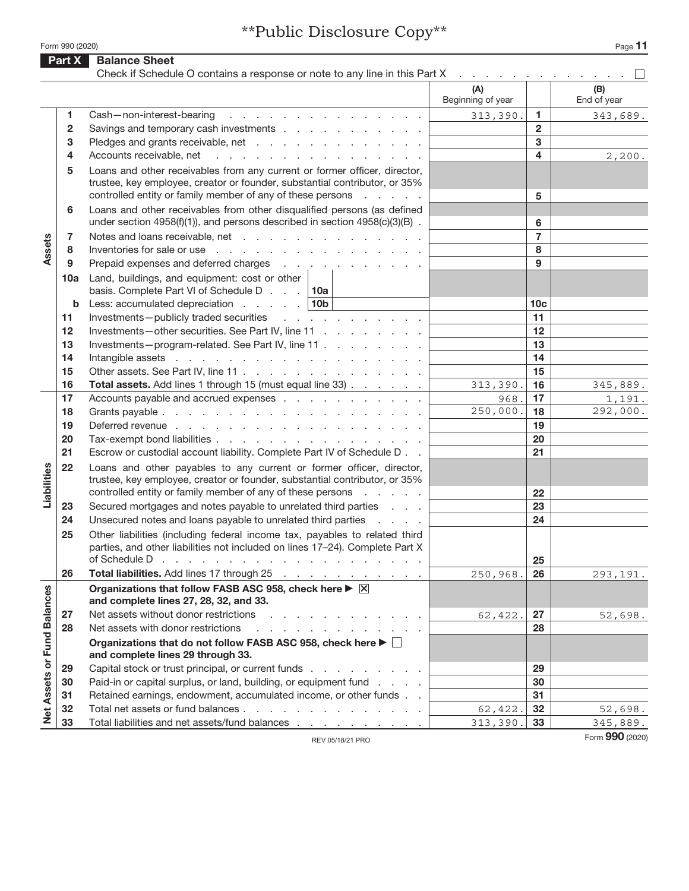| × |  |  |
|---|--|--|

| Part X<br><b>Balance Sheet</b><br>Check if Schedule O contains a response or note to any line in this Part X<br>(A)<br>(B)<br>Beginning of year<br>End of year<br>Cash-non-interest-bearing<br>$\mathbf{1}$<br>1<br>and a straightful and a straight and a<br>313,390.<br>$\overline{2}$<br>$\mathbf{2}$<br>Savings and temporary cash investments<br>3<br>Pledges and grants receivable, net<br>3<br>$\overline{\mathbf{4}}$<br>4<br>Loans and other receivables from any current or former officer, director,<br>5<br>trustee, key employee, creator or founder, substantial contributor, or 35%<br>controlled entity or family member of any of these persons<br>5<br>Loans and other receivables from other disqualified persons (as defined<br>6<br>under section $4958(f)(1)$ ), and persons described in section $4958(c)(3)(B)$ .<br>6<br>$\overline{7}$<br>Notes and loans receivable, net<br>Assets<br>7<br>8<br>Inventories for sale or use<br>8<br>9<br>Prepaid expenses and deferred charges<br>9<br>Land, buildings, and equipment: cost or other<br>10a<br>basis. Complete Part VI of Schedule D $\ldots$ 10a<br>Less: accumulated depreciation $\ldots$ 10b<br>10 <sub>c</sub><br>b<br>11<br>Investments-publicly traded securities<br>11<br>and the contract of the contract of<br>Investments-other securities. See Part IV, line 11<br>12<br>12<br>13<br>13<br>Investments-program-related. See Part IV, line 11<br>14<br>14<br>15<br>15<br>Other assets. See Part IV, line 11<br>16<br>Total assets. Add lines 1 through 15 (must equal line 33)<br>313,390.<br>16<br>345,889.<br>Accounts payable and accrued expenses<br>17<br>17<br>968.<br>250,000.<br>18<br>292,000.<br>18<br>19<br>19<br>Deferred revenue response a contract to contract the contract of the contract of the contract of the contract of<br>20<br>20 | 343,689. |
|-------------------------------------------------------------------------------------------------------------------------------------------------------------------------------------------------------------------------------------------------------------------------------------------------------------------------------------------------------------------------------------------------------------------------------------------------------------------------------------------------------------------------------------------------------------------------------------------------------------------------------------------------------------------------------------------------------------------------------------------------------------------------------------------------------------------------------------------------------------------------------------------------------------------------------------------------------------------------------------------------------------------------------------------------------------------------------------------------------------------------------------------------------------------------------------------------------------------------------------------------------------------------------------------------------------------------------------------------------------------------------------------------------------------------------------------------------------------------------------------------------------------------------------------------------------------------------------------------------------------------------------------------------------------------------------------------------------------------------------------------------------------------------------------------------------------------------------------------|----------|
|                                                                                                                                                                                                                                                                                                                                                                                                                                                                                                                                                                                                                                                                                                                                                                                                                                                                                                                                                                                                                                                                                                                                                                                                                                                                                                                                                                                                                                                                                                                                                                                                                                                                                                                                                                                                                                                 |          |
|                                                                                                                                                                                                                                                                                                                                                                                                                                                                                                                                                                                                                                                                                                                                                                                                                                                                                                                                                                                                                                                                                                                                                                                                                                                                                                                                                                                                                                                                                                                                                                                                                                                                                                                                                                                                                                                 |          |
|                                                                                                                                                                                                                                                                                                                                                                                                                                                                                                                                                                                                                                                                                                                                                                                                                                                                                                                                                                                                                                                                                                                                                                                                                                                                                                                                                                                                                                                                                                                                                                                                                                                                                                                                                                                                                                                 |          |
|                                                                                                                                                                                                                                                                                                                                                                                                                                                                                                                                                                                                                                                                                                                                                                                                                                                                                                                                                                                                                                                                                                                                                                                                                                                                                                                                                                                                                                                                                                                                                                                                                                                                                                                                                                                                                                                 |          |
|                                                                                                                                                                                                                                                                                                                                                                                                                                                                                                                                                                                                                                                                                                                                                                                                                                                                                                                                                                                                                                                                                                                                                                                                                                                                                                                                                                                                                                                                                                                                                                                                                                                                                                                                                                                                                                                 |          |
|                                                                                                                                                                                                                                                                                                                                                                                                                                                                                                                                                                                                                                                                                                                                                                                                                                                                                                                                                                                                                                                                                                                                                                                                                                                                                                                                                                                                                                                                                                                                                                                                                                                                                                                                                                                                                                                 | 2,200.   |
|                                                                                                                                                                                                                                                                                                                                                                                                                                                                                                                                                                                                                                                                                                                                                                                                                                                                                                                                                                                                                                                                                                                                                                                                                                                                                                                                                                                                                                                                                                                                                                                                                                                                                                                                                                                                                                                 |          |
|                                                                                                                                                                                                                                                                                                                                                                                                                                                                                                                                                                                                                                                                                                                                                                                                                                                                                                                                                                                                                                                                                                                                                                                                                                                                                                                                                                                                                                                                                                                                                                                                                                                                                                                                                                                                                                                 |          |
|                                                                                                                                                                                                                                                                                                                                                                                                                                                                                                                                                                                                                                                                                                                                                                                                                                                                                                                                                                                                                                                                                                                                                                                                                                                                                                                                                                                                                                                                                                                                                                                                                                                                                                                                                                                                                                                 |          |
|                                                                                                                                                                                                                                                                                                                                                                                                                                                                                                                                                                                                                                                                                                                                                                                                                                                                                                                                                                                                                                                                                                                                                                                                                                                                                                                                                                                                                                                                                                                                                                                                                                                                                                                                                                                                                                                 |          |
|                                                                                                                                                                                                                                                                                                                                                                                                                                                                                                                                                                                                                                                                                                                                                                                                                                                                                                                                                                                                                                                                                                                                                                                                                                                                                                                                                                                                                                                                                                                                                                                                                                                                                                                                                                                                                                                 |          |
|                                                                                                                                                                                                                                                                                                                                                                                                                                                                                                                                                                                                                                                                                                                                                                                                                                                                                                                                                                                                                                                                                                                                                                                                                                                                                                                                                                                                                                                                                                                                                                                                                                                                                                                                                                                                                                                 |          |
|                                                                                                                                                                                                                                                                                                                                                                                                                                                                                                                                                                                                                                                                                                                                                                                                                                                                                                                                                                                                                                                                                                                                                                                                                                                                                                                                                                                                                                                                                                                                                                                                                                                                                                                                                                                                                                                 |          |
|                                                                                                                                                                                                                                                                                                                                                                                                                                                                                                                                                                                                                                                                                                                                                                                                                                                                                                                                                                                                                                                                                                                                                                                                                                                                                                                                                                                                                                                                                                                                                                                                                                                                                                                                                                                                                                                 |          |
|                                                                                                                                                                                                                                                                                                                                                                                                                                                                                                                                                                                                                                                                                                                                                                                                                                                                                                                                                                                                                                                                                                                                                                                                                                                                                                                                                                                                                                                                                                                                                                                                                                                                                                                                                                                                                                                 |          |
|                                                                                                                                                                                                                                                                                                                                                                                                                                                                                                                                                                                                                                                                                                                                                                                                                                                                                                                                                                                                                                                                                                                                                                                                                                                                                                                                                                                                                                                                                                                                                                                                                                                                                                                                                                                                                                                 |          |
|                                                                                                                                                                                                                                                                                                                                                                                                                                                                                                                                                                                                                                                                                                                                                                                                                                                                                                                                                                                                                                                                                                                                                                                                                                                                                                                                                                                                                                                                                                                                                                                                                                                                                                                                                                                                                                                 |          |
|                                                                                                                                                                                                                                                                                                                                                                                                                                                                                                                                                                                                                                                                                                                                                                                                                                                                                                                                                                                                                                                                                                                                                                                                                                                                                                                                                                                                                                                                                                                                                                                                                                                                                                                                                                                                                                                 |          |
|                                                                                                                                                                                                                                                                                                                                                                                                                                                                                                                                                                                                                                                                                                                                                                                                                                                                                                                                                                                                                                                                                                                                                                                                                                                                                                                                                                                                                                                                                                                                                                                                                                                                                                                                                                                                                                                 |          |
|                                                                                                                                                                                                                                                                                                                                                                                                                                                                                                                                                                                                                                                                                                                                                                                                                                                                                                                                                                                                                                                                                                                                                                                                                                                                                                                                                                                                                                                                                                                                                                                                                                                                                                                                                                                                                                                 |          |
|                                                                                                                                                                                                                                                                                                                                                                                                                                                                                                                                                                                                                                                                                                                                                                                                                                                                                                                                                                                                                                                                                                                                                                                                                                                                                                                                                                                                                                                                                                                                                                                                                                                                                                                                                                                                                                                 |          |
|                                                                                                                                                                                                                                                                                                                                                                                                                                                                                                                                                                                                                                                                                                                                                                                                                                                                                                                                                                                                                                                                                                                                                                                                                                                                                                                                                                                                                                                                                                                                                                                                                                                                                                                                                                                                                                                 |          |
|                                                                                                                                                                                                                                                                                                                                                                                                                                                                                                                                                                                                                                                                                                                                                                                                                                                                                                                                                                                                                                                                                                                                                                                                                                                                                                                                                                                                                                                                                                                                                                                                                                                                                                                                                                                                                                                 | 1,191.   |
|                                                                                                                                                                                                                                                                                                                                                                                                                                                                                                                                                                                                                                                                                                                                                                                                                                                                                                                                                                                                                                                                                                                                                                                                                                                                                                                                                                                                                                                                                                                                                                                                                                                                                                                                                                                                                                                 |          |
|                                                                                                                                                                                                                                                                                                                                                                                                                                                                                                                                                                                                                                                                                                                                                                                                                                                                                                                                                                                                                                                                                                                                                                                                                                                                                                                                                                                                                                                                                                                                                                                                                                                                                                                                                                                                                                                 |          |
|                                                                                                                                                                                                                                                                                                                                                                                                                                                                                                                                                                                                                                                                                                                                                                                                                                                                                                                                                                                                                                                                                                                                                                                                                                                                                                                                                                                                                                                                                                                                                                                                                                                                                                                                                                                                                                                 |          |
| 21<br>21<br>Escrow or custodial account liability. Complete Part IV of Schedule D                                                                                                                                                                                                                                                                                                                                                                                                                                                                                                                                                                                                                                                                                                                                                                                                                                                                                                                                                                                                                                                                                                                                                                                                                                                                                                                                                                                                                                                                                                                                                                                                                                                                                                                                                               |          |
| Liabilities<br>Loans and other payables to any current or former officer, director,<br>22<br>trustee, key employee, creator or founder, substantial contributor, or 35%                                                                                                                                                                                                                                                                                                                                                                                                                                                                                                                                                                                                                                                                                                                                                                                                                                                                                                                                                                                                                                                                                                                                                                                                                                                                                                                                                                                                                                                                                                                                                                                                                                                                         |          |
| controlled entity or family member of any of these persons<br>22                                                                                                                                                                                                                                                                                                                                                                                                                                                                                                                                                                                                                                                                                                                                                                                                                                                                                                                                                                                                                                                                                                                                                                                                                                                                                                                                                                                                                                                                                                                                                                                                                                                                                                                                                                                |          |
| 23<br>Secured mortgages and notes payable to unrelated third parties<br>23<br>24                                                                                                                                                                                                                                                                                                                                                                                                                                                                                                                                                                                                                                                                                                                                                                                                                                                                                                                                                                                                                                                                                                                                                                                                                                                                                                                                                                                                                                                                                                                                                                                                                                                                                                                                                                |          |
| Unsecured notes and loans payable to unrelated third parties<br>24<br><b>Service State</b>                                                                                                                                                                                                                                                                                                                                                                                                                                                                                                                                                                                                                                                                                                                                                                                                                                                                                                                                                                                                                                                                                                                                                                                                                                                                                                                                                                                                                                                                                                                                                                                                                                                                                                                                                      |          |
| Other liabilities (including federal income tax, payables to related third<br>25<br>parties, and other liabilities not included on lines 17-24). Complete Part X<br>of Schedule D<br>25<br>the contract of the contract of the contract of the contract of the                                                                                                                                                                                                                                                                                                                                                                                                                                                                                                                                                                                                                                                                                                                                                                                                                                                                                                                                                                                                                                                                                                                                                                                                                                                                                                                                                                                                                                                                                                                                                                                  |          |
| Total liabilities. Add lines 17 through 25<br>26<br>26<br>250,968.<br>293,191.                                                                                                                                                                                                                                                                                                                                                                                                                                                                                                                                                                                                                                                                                                                                                                                                                                                                                                                                                                                                                                                                                                                                                                                                                                                                                                                                                                                                                                                                                                                                                                                                                                                                                                                                                                  |          |
| Organizations that follow FASB ASC 958, check here $\blacktriangleright \boxtimes$<br>and complete lines 27, 28, 32, and 33.                                                                                                                                                                                                                                                                                                                                                                                                                                                                                                                                                                                                                                                                                                                                                                                                                                                                                                                                                                                                                                                                                                                                                                                                                                                                                                                                                                                                                                                                                                                                                                                                                                                                                                                    |          |
| Net assets without donor restrictions<br>27<br>27<br>62,422.<br>and a straightful and a straight                                                                                                                                                                                                                                                                                                                                                                                                                                                                                                                                                                                                                                                                                                                                                                                                                                                                                                                                                                                                                                                                                                                                                                                                                                                                                                                                                                                                                                                                                                                                                                                                                                                                                                                                                | 52,698.  |
| Net assets with donor restrictions<br>28<br>28<br>design and a state of the state of                                                                                                                                                                                                                                                                                                                                                                                                                                                                                                                                                                                                                                                                                                                                                                                                                                                                                                                                                                                                                                                                                                                                                                                                                                                                                                                                                                                                                                                                                                                                                                                                                                                                                                                                                            |          |
| Net Assets or Fund Balances<br>Organizations that do not follow FASB ASC 958, check here ▶ □<br>and complete lines 29 through 33.                                                                                                                                                                                                                                                                                                                                                                                                                                                                                                                                                                                                                                                                                                                                                                                                                                                                                                                                                                                                                                                                                                                                                                                                                                                                                                                                                                                                                                                                                                                                                                                                                                                                                                               |          |
| Capital stock or trust principal, or current funds<br>29<br>29                                                                                                                                                                                                                                                                                                                                                                                                                                                                                                                                                                                                                                                                                                                                                                                                                                                                                                                                                                                                                                                                                                                                                                                                                                                                                                                                                                                                                                                                                                                                                                                                                                                                                                                                                                                  |          |
| Paid-in or capital surplus, or land, building, or equipment fund<br>30<br>30                                                                                                                                                                                                                                                                                                                                                                                                                                                                                                                                                                                                                                                                                                                                                                                                                                                                                                                                                                                                                                                                                                                                                                                                                                                                                                                                                                                                                                                                                                                                                                                                                                                                                                                                                                    |          |
| Retained earnings, endowment, accumulated income, or other funds<br>31<br>31                                                                                                                                                                                                                                                                                                                                                                                                                                                                                                                                                                                                                                                                                                                                                                                                                                                                                                                                                                                                                                                                                                                                                                                                                                                                                                                                                                                                                                                                                                                                                                                                                                                                                                                                                                    |          |
| Total net assets or fund balances<br>32<br>32<br>62,422.                                                                                                                                                                                                                                                                                                                                                                                                                                                                                                                                                                                                                                                                                                                                                                                                                                                                                                                                                                                                                                                                                                                                                                                                                                                                                                                                                                                                                                                                                                                                                                                                                                                                                                                                                                                        | 52,698.  |
| 33<br>Total liabilities and net assets/fund balances<br>33<br>313,390.<br>345,889.                                                                                                                                                                                                                                                                                                                                                                                                                                                                                                                                                                                                                                                                                                                                                                                                                                                                                                                                                                                                                                                                                                                                                                                                                                                                                                                                                                                                                                                                                                                                                                                                                                                                                                                                                              |          |

REV 05/18/21 PRO

Form **990** (2020)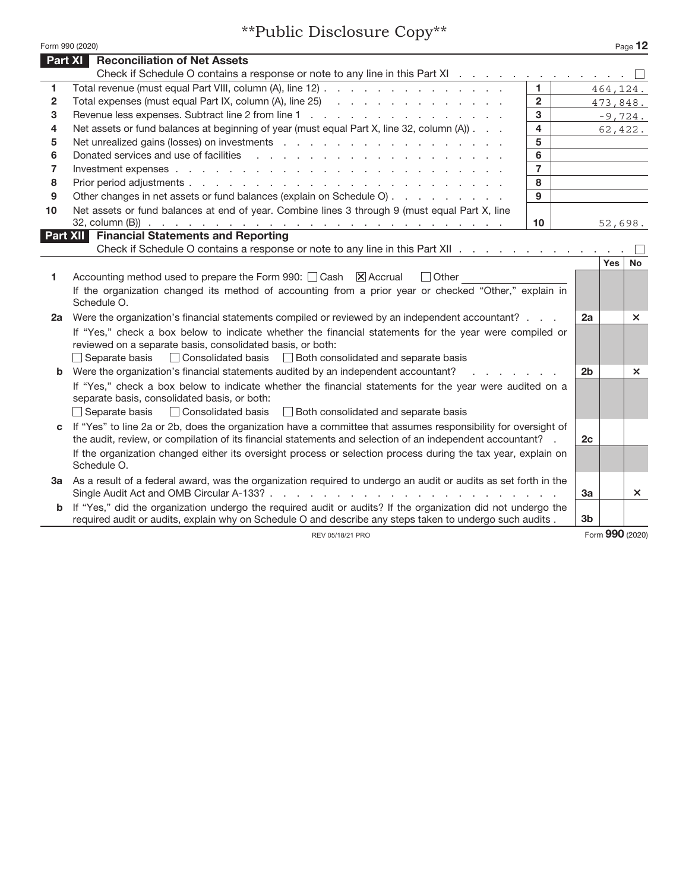|                         | Form 990 (2020)                                                                                                                                                                                                          |                         |                  |            | Page 12      |
|-------------------------|--------------------------------------------------------------------------------------------------------------------------------------------------------------------------------------------------------------------------|-------------------------|------------------|------------|--------------|
| Part XI                 | <b>Reconciliation of Net Assets</b>                                                                                                                                                                                      |                         |                  |            |              |
|                         | Check if Schedule O contains a response or note to any line in this Part XI 0                                                                                                                                            |                         |                  |            |              |
| 1                       | Total revenue (must equal Part VIII, column (A), line 12)                                                                                                                                                                | 1.                      |                  | 464,124.   |              |
| $\overline{\mathbf{c}}$ | Total expenses (must equal Part IX, column (A), line 25)                                                                                                                                                                 | $\overline{2}$          |                  | 473,848.   |              |
| 3                       | Revenue less expenses. Subtract line 2 from line 1                                                                                                                                                                       | 3                       |                  | $-9,724.$  |              |
| 4                       | Net assets or fund balances at beginning of year (must equal Part X, line 32, column (A))                                                                                                                                | $\overline{\mathbf{4}}$ |                  | 62,422.    |              |
| 5                       |                                                                                                                                                                                                                          | 5                       |                  |            |              |
| 6                       |                                                                                                                                                                                                                          | 6                       |                  |            |              |
| 7                       |                                                                                                                                                                                                                          | $\overline{7}$          |                  |            |              |
| 8                       |                                                                                                                                                                                                                          | 8                       |                  |            |              |
| 9                       | Other changes in net assets or fund balances (explain on Schedule O)                                                                                                                                                     | 9                       |                  |            |              |
| 10                      | Net assets or fund balances at end of year. Combine lines 3 through 9 (must equal Part X, line                                                                                                                           |                         |                  |            |              |
|                         |                                                                                                                                                                                                                          | 10 <sup>°</sup>         |                  | 52,698.    |              |
| Part XII                | <b>Financial Statements and Reporting</b>                                                                                                                                                                                |                         |                  |            |              |
|                         | Check if Schedule O contains a response or note to any line in this Part XII                                                                                                                                             |                         |                  |            |              |
|                         |                                                                                                                                                                                                                          |                         |                  | <b>Yes</b> | <b>No</b>    |
| 1.                      | Accounting method used to prepare the Form 990: $\Box$ Cash $\Box$ Accrual<br>$\Box$ Other                                                                                                                               |                         |                  |            |              |
|                         | If the organization changed its method of accounting from a prior year or checked "Other," explain in<br>Schedule O.                                                                                                     |                         |                  |            |              |
| 2a                      | Were the organization's financial statements compiled or reviewed by an independent accountant?                                                                                                                          |                         | 2a               |            | ×            |
|                         | If "Yes," check a box below to indicate whether the financial statements for the year were compiled or                                                                                                                   |                         |                  |            |              |
|                         | reviewed on a separate basis, consolidated basis, or both:                                                                                                                                                               |                         |                  |            |              |
|                         | □ Consolidated basis □ Both consolidated and separate basis<br>Separate basis                                                                                                                                            |                         |                  |            |              |
|                         | Were the organization's financial statements audited by an independent accountant?<br>and a state of the                                                                                                                 |                         | 2 <sub>b</sub>   |            | $\times$     |
|                         | If "Yes," check a box below to indicate whether the financial statements for the year were audited on a<br>separate basis, consolidated basis, or both:                                                                  |                         |                  |            |              |
|                         | $\Box$ Separate basis<br>□ Consolidated basis □ Both consolidated and separate basis                                                                                                                                     |                         |                  |            |              |
|                         | If "Yes" to line 2a or 2b, does the organization have a committee that assumes responsibility for oversight of                                                                                                           |                         |                  |            |              |
| C                       | the audit, review, or compilation of its financial statements and selection of an independent accountant? .                                                                                                              |                         | 2c               |            |              |
|                         | If the organization changed either its oversight process or selection process during the tax year, explain on<br>Schedule O.                                                                                             |                         |                  |            |              |
| За                      | As a result of a federal award, was the organization required to undergo an audit or audits as set forth in the                                                                                                          |                         | За               |            | $\times$     |
| b                       | If "Yes," did the organization undergo the required audit or audits? If the organization did not undergo the<br>required audit or audits, explain why on Schedule O and describe any steps taken to undergo such audits. |                         | 3b               |            |              |
|                         | DEVALUATION DDO                                                                                                                                                                                                          |                         | $F_{\text{max}}$ |            | $000$ (2020) |

REV 05/18/21 PRO

Form **990** (2020)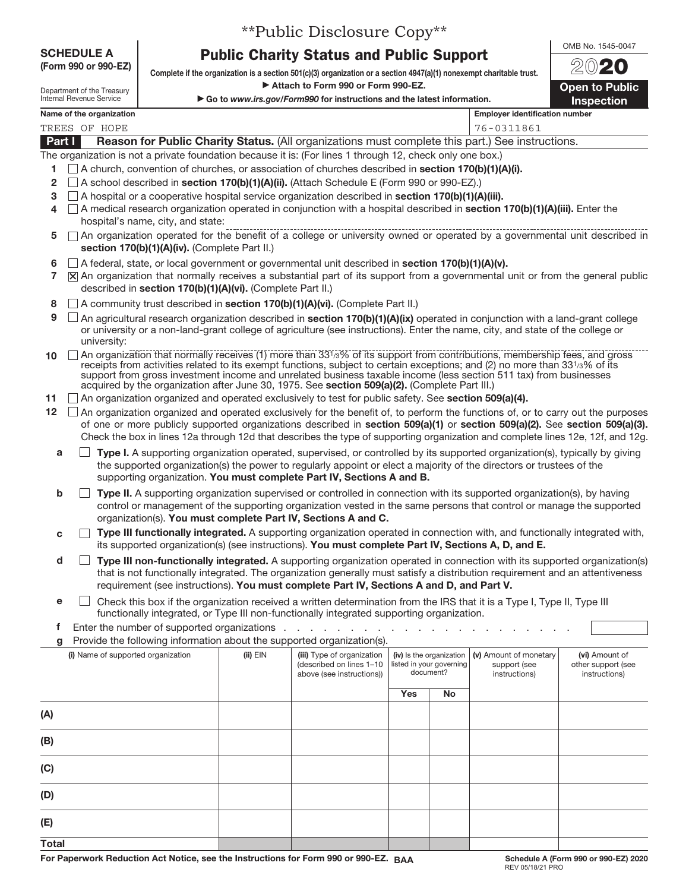#### **SCHEDULE A (Form 990 or 990-EZ)**

**Public Charity Status and Public Support**

**Complete if the organization is a section 501(c)(3) organization or a section 4947(a)(1) nonexempt charitable trust.** a **Attach to Form 990 or Form 990-EZ.** 

Department of the Treasury Internal Revenue Service

**(C)**

**(D)**

**(E) Total**

| $\triangleright$ Go to www.irs.gov/Form990 for instructions and the latest information. |  |
|-----------------------------------------------------------------------------------------|--|



OMB No. 1545-0047

|  | Name of the organization |  |
|--|--------------------------|--|
|  |                          |  |

|                 | Name of the organization                                                                                                                                                                                                                                                                                                                                                                                                                                                       |          |                                                                                     |     |                                                                   | <b>Employer identification number</b>                   |                                                       |  |  |
|-----------------|--------------------------------------------------------------------------------------------------------------------------------------------------------------------------------------------------------------------------------------------------------------------------------------------------------------------------------------------------------------------------------------------------------------------------------------------------------------------------------|----------|-------------------------------------------------------------------------------------|-----|-------------------------------------------------------------------|---------------------------------------------------------|-------------------------------------------------------|--|--|
|                 | TREES OF HOPE<br>76-0311861                                                                                                                                                                                                                                                                                                                                                                                                                                                    |          |                                                                                     |     |                                                                   |                                                         |                                                       |  |  |
|                 | Reason for Public Charity Status. (All organizations must complete this part.) See instructions.<br>Part I                                                                                                                                                                                                                                                                                                                                                                     |          |                                                                                     |     |                                                                   |                                                         |                                                       |  |  |
|                 | The organization is not a private foundation because it is: (For lines 1 through 12, check only one box.)                                                                                                                                                                                                                                                                                                                                                                      |          |                                                                                     |     |                                                                   |                                                         |                                                       |  |  |
| 1               | $\Box$ A church, convention of churches, or association of churches described in <b>section 170(b)(1)(A)(i).</b><br>$\Box$ A school described in section 170(b)(1)(A)(ii). (Attach Schedule E (Form 990 or 990-EZ).)                                                                                                                                                                                                                                                           |          |                                                                                     |     |                                                                   |                                                         |                                                       |  |  |
| 2               |                                                                                                                                                                                                                                                                                                                                                                                                                                                                                |          |                                                                                     |     |                                                                   |                                                         |                                                       |  |  |
| 3<br>4          | $\Box$ A hospital or a cooperative hospital service organization described in <b>section 170(b)(1)(A)(iii).</b><br>$\Box$ A medical research organization operated in conjunction with a hospital described in section 170(b)(1)(A)(iii). Enter the                                                                                                                                                                                                                            |          |                                                                                     |     |                                                                   |                                                         |                                                       |  |  |
|                 | hospital's name, city, and state:                                                                                                                                                                                                                                                                                                                                                                                                                                              |          |                                                                                     |     |                                                                   |                                                         |                                                       |  |  |
| 5               | □ An organization operated for the benefit of a college or university owned or operated by a governmental unit described in<br>section 170(b)(1)(A)(iv). (Complete Part II.)                                                                                                                                                                                                                                                                                                   |          |                                                                                     |     |                                                                   |                                                         |                                                       |  |  |
| 6               | $\Box$ A federal, state, or local government or governmental unit described in section 170(b)(1)(A)(v).                                                                                                                                                                                                                                                                                                                                                                        |          |                                                                                     |     |                                                                   |                                                         |                                                       |  |  |
| 7               | $[\overline{x}]$ An organization that normally receives a substantial part of its support from a governmental unit or from the general public                                                                                                                                                                                                                                                                                                                                  |          |                                                                                     |     |                                                                   |                                                         |                                                       |  |  |
|                 | described in section 170(b)(1)(A)(vi). (Complete Part II.)                                                                                                                                                                                                                                                                                                                                                                                                                     |          |                                                                                     |     |                                                                   |                                                         |                                                       |  |  |
| 8               | □ A community trust described in section 170(b)(1)(A)(vi). (Complete Part II.)                                                                                                                                                                                                                                                                                                                                                                                                 |          |                                                                                     |     |                                                                   |                                                         |                                                       |  |  |
| 9               | An agricultural research organization described in section 170(b)(1)(A)(ix) operated in conjunction with a land-grant college<br>or university or a non-land-grant college of agriculture (see instructions). Enter the name, city, and state of the college or<br>university:                                                                                                                                                                                                 |          |                                                                                     |     |                                                                   |                                                         |                                                       |  |  |
| 10              | An organization that normally receives (1) more than 331/3% of its support from contributions, membership fees, and gross<br>receipts from activities related to its exempt functions, subject to certain exceptions; and (2) no more than 331/3% of its<br>support from gross investment income and unrelated business taxable income (less section 511 tax) from businesses<br>acquired by the organization after June 30, 1975. See section 509(a)(2). (Complete Part III.) |          |                                                                                     |     |                                                                   |                                                         |                                                       |  |  |
| 11              | □ An organization organized and operated exclusively to test for public safety. See section 509(a)(4).                                                                                                                                                                                                                                                                                                                                                                         |          |                                                                                     |     |                                                                   |                                                         |                                                       |  |  |
| 12 <sub>2</sub> | $\Box$ An organization organized and operated exclusively for the benefit of, to perform the functions of, or to carry out the purposes                                                                                                                                                                                                                                                                                                                                        |          |                                                                                     |     |                                                                   |                                                         |                                                       |  |  |
|                 | of one or more publicly supported organizations described in section 509(a)(1) or section 509(a)(2). See section 509(a)(3).                                                                                                                                                                                                                                                                                                                                                    |          |                                                                                     |     |                                                                   |                                                         |                                                       |  |  |
|                 | Check the box in lines 12a through 12d that describes the type of supporting organization and complete lines 12e, 12f, and 12g.                                                                                                                                                                                                                                                                                                                                                |          |                                                                                     |     |                                                                   |                                                         |                                                       |  |  |
| a               | Type I. A supporting organization operated, supervised, or controlled by its supported organization(s), typically by giving<br>the supported organization(s) the power to regularly appoint or elect a majority of the directors or trustees of the<br>supporting organization. You must complete Part IV, Sections A and B.                                                                                                                                                   |          |                                                                                     |     |                                                                   |                                                         |                                                       |  |  |
| b               | Type II. A supporting organization supervised or controlled in connection with its supported organization(s), by having<br>control or management of the supporting organization vested in the same persons that control or manage the supported<br>organization(s). You must complete Part IV, Sections A and C.                                                                                                                                                               |          |                                                                                     |     |                                                                   |                                                         |                                                       |  |  |
| c               | Type III functionally integrated. A supporting organization operated in connection with, and functionally integrated with,<br>its supported organization(s) (see instructions). You must complete Part IV, Sections A, D, and E.                                                                                                                                                                                                                                               |          |                                                                                     |     |                                                                   |                                                         |                                                       |  |  |
| d               | Type III non-functionally integrated. A supporting organization operated in connection with its supported organization(s)<br>that is not functionally integrated. The organization generally must satisfy a distribution requirement and an attentiveness<br>requirement (see instructions). You must complete Part IV, Sections A and D, and Part V.                                                                                                                          |          |                                                                                     |     |                                                                   |                                                         |                                                       |  |  |
| е               | Check this box if the organization received a written determination from the IRS that it is a Type I, Type II, Type III<br>functionally integrated, or Type III non-functionally integrated supporting organization.                                                                                                                                                                                                                                                           |          |                                                                                     |     |                                                                   |                                                         |                                                       |  |  |
| f               | Enter the number of supported organizations .                                                                                                                                                                                                                                                                                                                                                                                                                                  |          | and a straight and a                                                                |     |                                                                   |                                                         |                                                       |  |  |
| g               | Provide the following information about the supported organization(s).                                                                                                                                                                                                                                                                                                                                                                                                         |          |                                                                                     |     |                                                                   |                                                         |                                                       |  |  |
|                 | (i) Name of supported organization                                                                                                                                                                                                                                                                                                                                                                                                                                             | (ii) EIN | (iii) Type of organization<br>(described on lines 1-10<br>above (see instructions)) |     | (iv) Is the organization<br>listed in your governing<br>document? | (v) Amount of monetary<br>support (see<br>instructions) | (vi) Amount of<br>other support (see<br>instructions) |  |  |
|                 |                                                                                                                                                                                                                                                                                                                                                                                                                                                                                |          |                                                                                     | Yes | No                                                                |                                                         |                                                       |  |  |
| (A)             |                                                                                                                                                                                                                                                                                                                                                                                                                                                                                |          |                                                                                     |     |                                                                   |                                                         |                                                       |  |  |
| (B)             |                                                                                                                                                                                                                                                                                                                                                                                                                                                                                |          |                                                                                     |     |                                                                   |                                                         |                                                       |  |  |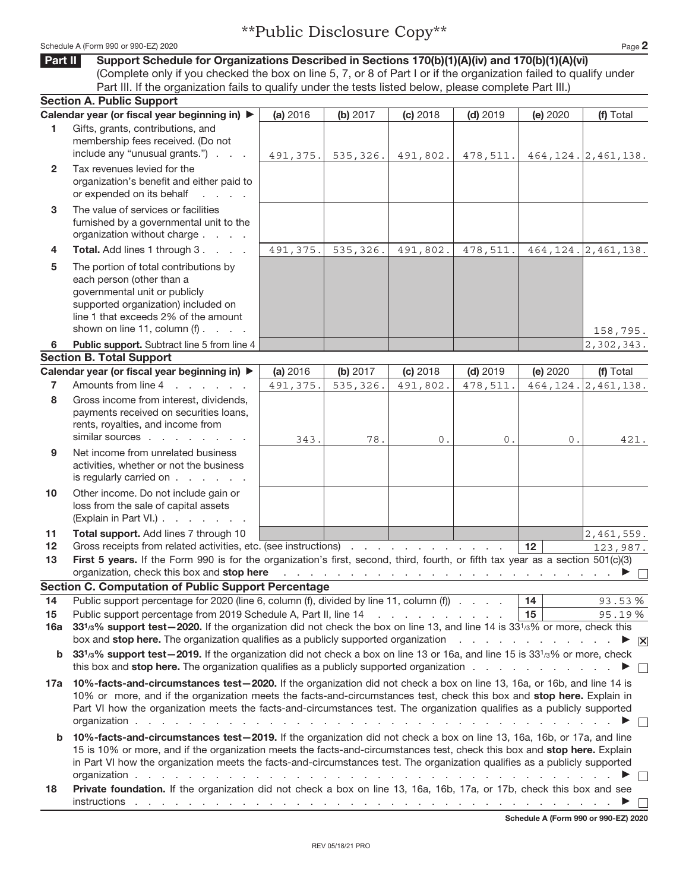Schedule A (Form 990 or 990-EZ) 2020 Page 2

**Part II** Support Schedule for Organizations Described in Sections 170(b)(1)(A)(iv) and 170(b)(1)(A)(vi) (Complete only if you checked the box on line 5, 7, or 8 of Part I or if the organization failed to qualify under Part III. If the organization fails to qualify under the tests listed below, please complete Part III.)

|                | <b>Section A. Public Support</b>                                                                                                                                                                                                                                                                                                                                                                                                                                                               |          |            |                                                                                 |            |          |                                                                                                                                                                                                                                                                                                 |
|----------------|------------------------------------------------------------------------------------------------------------------------------------------------------------------------------------------------------------------------------------------------------------------------------------------------------------------------------------------------------------------------------------------------------------------------------------------------------------------------------------------------|----------|------------|---------------------------------------------------------------------------------|------------|----------|-------------------------------------------------------------------------------------------------------------------------------------------------------------------------------------------------------------------------------------------------------------------------------------------------|
|                | Calendar year (or fiscal year beginning in) ▶                                                                                                                                                                                                                                                                                                                                                                                                                                                  | (a) 2016 | (b) 2017   | (c) 2018                                                                        | $(d)$ 2019 | (e) 2020 | (f) Total                                                                                                                                                                                                                                                                                       |
| 1.             | Gifts, grants, contributions, and<br>membership fees received. (Do not<br>include any "unusual grants.")                                                                                                                                                                                                                                                                                                                                                                                       | 491,375. | 535,326.   | 491,802.                                                                        | 478,511.   |          | $464, 124.$ $ 2, 461, 138.$                                                                                                                                                                                                                                                                     |
| $\overline{2}$ | Tax revenues levied for the<br>organization's benefit and either paid to<br>or expended on its behalf                                                                                                                                                                                                                                                                                                                                                                                          |          |            |                                                                                 |            |          |                                                                                                                                                                                                                                                                                                 |
| 3              | The value of services or facilities<br>furnished by a governmental unit to the<br>organization without charge                                                                                                                                                                                                                                                                                                                                                                                  |          |            |                                                                                 |            |          |                                                                                                                                                                                                                                                                                                 |
| 4              | Total. Add lines 1 through 3.                                                                                                                                                                                                                                                                                                                                                                                                                                                                  | 491,375. | 535,326.   | 491,802.                                                                        | 478,511.   |          | 464, 124.  2, 461, 138.                                                                                                                                                                                                                                                                         |
| 5              | The portion of total contributions by<br>each person (other than a<br>governmental unit or publicly<br>supported organization) included on<br>line 1 that exceeds 2% of the amount<br>shown on line 11, column $(f)$ .                                                                                                                                                                                                                                                                         |          |            |                                                                                 |            |          | 158,795.                                                                                                                                                                                                                                                                                        |
| 6              | Public support. Subtract line 5 from line 4                                                                                                                                                                                                                                                                                                                                                                                                                                                    |          |            |                                                                                 |            |          | 2,302,343.                                                                                                                                                                                                                                                                                      |
|                | <b>Section B. Total Support</b>                                                                                                                                                                                                                                                                                                                                                                                                                                                                |          |            |                                                                                 |            |          |                                                                                                                                                                                                                                                                                                 |
|                | Calendar year (or fiscal year beginning in) ▶                                                                                                                                                                                                                                                                                                                                                                                                                                                  | (a) 2016 | (b) $2017$ | (c) 2018                                                                        | $(d)$ 2019 | (e) 2020 | (f) Total                                                                                                                                                                                                                                                                                       |
| $\overline{7}$ | Amounts from line 4<br>and the control of                                                                                                                                                                                                                                                                                                                                                                                                                                                      | 491,375. | 535,326.   | 491,802.                                                                        | 478,511.   |          | 464, 124.  2, 461, 138.                                                                                                                                                                                                                                                                         |
| 8              | Gross income from interest, dividends,<br>payments received on securities loans,<br>rents, royalties, and income from<br>similar sources                                                                                                                                                                                                                                                                                                                                                       | 343.     | 78.        | $0$ .                                                                           | $0$ .      | $0$ .    | 421.                                                                                                                                                                                                                                                                                            |
| 9              | Net income from unrelated business<br>activities, whether or not the business<br>is regularly carried on                                                                                                                                                                                                                                                                                                                                                                                       |          |            |                                                                                 |            |          |                                                                                                                                                                                                                                                                                                 |
| 10             | Other income. Do not include gain or<br>loss from the sale of capital assets<br>(Explain in Part VI.)                                                                                                                                                                                                                                                                                                                                                                                          |          |            |                                                                                 |            |          |                                                                                                                                                                                                                                                                                                 |
| 11             | Total support. Add lines 7 through 10                                                                                                                                                                                                                                                                                                                                                                                                                                                          |          |            |                                                                                 |            |          | 2,461,559.                                                                                                                                                                                                                                                                                      |
| 12             | Gross receipts from related activities, etc. (see instructions)                                                                                                                                                                                                                                                                                                                                                                                                                                |          |            |                                                                                 |            | 12       | 123,987.                                                                                                                                                                                                                                                                                        |
| 13             | First 5 years. If the Form 990 is for the organization's first, second, third, fourth, or fifth tax year as a section 501(c)(3)<br>organization, check this box and stop here                                                                                                                                                                                                                                                                                                                  |          |            |                                                                                 |            |          |                                                                                                                                                                                                                                                                                                 |
|                | <b>Section C. Computation of Public Support Percentage</b>                                                                                                                                                                                                                                                                                                                                                                                                                                     |          |            |                                                                                 |            |          | $\mathcal{L}_{\mathcal{A}}(\mathcal{A},\mathcal{A},\mathcal{A},\mathcal{A},\mathcal{A},\mathcal{A},\mathcal{A},\mathcal{A},\mathcal{A},\mathcal{A},\mathcal{A},\mathcal{A},\mathcal{A},\mathcal{A},\mathcal{A},\mathcal{A},\mathcal{A},\mathcal{A},\mathcal{A})\cong \mathcal{L}_{\mathcal{A}}$ |
| 14             | Public support percentage for 2020 (line 6, column (f), divided by line 11, column (f)                                                                                                                                                                                                                                                                                                                                                                                                         |          |            |                                                                                 |            | 14       | 93.53%                                                                                                                                                                                                                                                                                          |
| 15             | Public support percentage from 2019 Schedule A, Part II, line 14 \[Co. \] \] . \] . \] . \] . \] . \]                                                                                                                                                                                                                                                                                                                                                                                          |          |            |                                                                                 |            | 15       | 95.19%                                                                                                                                                                                                                                                                                          |
| 16a            | 331/3% support test-2020. If the organization did not check the box on line 13, and line 14 is 331/3% or more, check this                                                                                                                                                                                                                                                                                                                                                                      |          |            |                                                                                 |            |          |                                                                                                                                                                                                                                                                                                 |
|                | box and <b>stop here.</b> The organization qualifies as a publicly supported organization                                                                                                                                                                                                                                                                                                                                                                                                      |          |            |                                                                                 |            |          | $\blacktriangleright$ $\boxtimes$                                                                                                                                                                                                                                                               |
| b              | 33 <sup>1</sup> / <sub>3</sub> % support test-2019. If the organization did not check a box on line 13 or 16a, and line 15 is 33 <sup>1</sup> / <sub>3</sub> % or more, check<br>this box and <b>stop here.</b> The organization qualifies as a publicly supported organization                                                                                                                                                                                                                |          |            |                                                                                 |            |          |                                                                                                                                                                                                                                                                                                 |
| 17a            | 10%-facts-and-circumstances test-2020. If the organization did not check a box on line 13, 16a, or 16b, and line 14 is<br>10% or more, and if the organization meets the facts-and-circumstances test, check this box and stop here. Explain in<br>Part VI how the organization meets the facts-and-circumstances test. The organization qualifies as a publicly supported<br>organization.<br>the contract of the contract of the contract of the contract of the contract of the contract of |          |            |                                                                                 |            |          |                                                                                                                                                                                                                                                                                                 |
| b              | 10%-facts-and-circumstances test-2019. If the organization did not check a box on line 13, 16a, 16b, or 17a, and line<br>15 is 10% or more, and if the organization meets the facts-and-circumstances test, check this box and stop here. Explain<br>in Part VI how the organization meets the facts-and-circumstances test. The organization qualifies as a publicly supported<br>organization.                                                                                               |          |            | the contract of the contract of the contract of                                 |            |          |                                                                                                                                                                                                                                                                                                 |
| 18             | Private foundation. If the organization did not check a box on line 13, 16a, 16b, 17a, or 17b, check this box and see<br>instructions                                                                                                                                                                                                                                                                                                                                                          |          |            | the contract of the contract of the contract of the contract of the contract of |            |          |                                                                                                                                                                                                                                                                                                 |
|                |                                                                                                                                                                                                                                                                                                                                                                                                                                                                                                |          |            |                                                                                 |            |          |                                                                                                                                                                                                                                                                                                 |

**Schedule A (Form 990 or 990-EZ) 2020**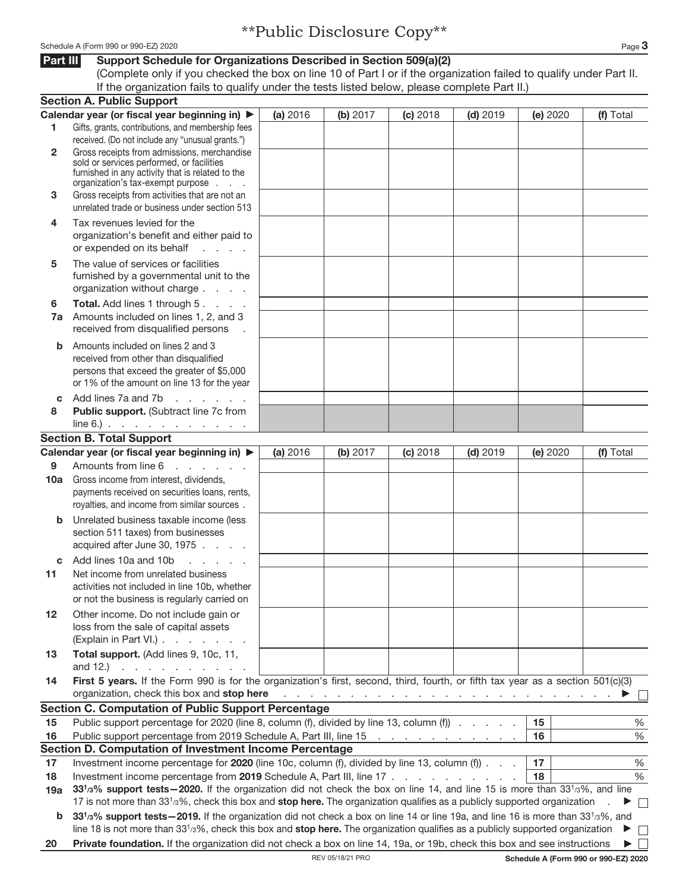Schedule A (Form 990 or 990-EZ) 2020 Page 3

#### **Part III** Support Schedule for Organizations Described in Section 509(a)(2)

(Complete only if you checked the box on line 10 of Part I or if the organization failed to qualify under Part II. If the organization fails to qualify under the tests listed below, please complete Part II.)

|              | <b>Section A. Public Support</b>                                                                                                       |          |                  |          |                                                                                                                                                                                                                                |          |                                      |
|--------------|----------------------------------------------------------------------------------------------------------------------------------------|----------|------------------|----------|--------------------------------------------------------------------------------------------------------------------------------------------------------------------------------------------------------------------------------|----------|--------------------------------------|
|              | Calendar year (or fiscal year beginning in) ▶                                                                                          | (a) 2016 | (b) $2017$       | (c) 2018 | $(d)$ 2019                                                                                                                                                                                                                     | (e) 2020 | (f) Total                            |
| 1            | Gifts, grants, contributions, and membership fees                                                                                      |          |                  |          |                                                                                                                                                                                                                                |          |                                      |
|              | received. (Do not include any "unusual grants.")                                                                                       |          |                  |          |                                                                                                                                                                                                                                |          |                                      |
| $\mathbf{2}$ | Gross receipts from admissions, merchandise                                                                                            |          |                  |          |                                                                                                                                                                                                                                |          |                                      |
|              | sold or services performed, or facilities<br>furnished in any activity that is related to the                                          |          |                  |          |                                                                                                                                                                                                                                |          |                                      |
|              | organization's tax-exempt purpose                                                                                                      |          |                  |          |                                                                                                                                                                                                                                |          |                                      |
| 3            | Gross receipts from activities that are not an                                                                                         |          |                  |          |                                                                                                                                                                                                                                |          |                                      |
|              | unrelated trade or business under section 513                                                                                          |          |                  |          |                                                                                                                                                                                                                                |          |                                      |
| 4            | Tax revenues levied for the                                                                                                            |          |                  |          |                                                                                                                                                                                                                                |          |                                      |
|              | organization's benefit and either paid to                                                                                              |          |                  |          |                                                                                                                                                                                                                                |          |                                      |
|              | or expended on its behalf<br><b>Contractor</b>                                                                                         |          |                  |          |                                                                                                                                                                                                                                |          |                                      |
| 5            | The value of services or facilities                                                                                                    |          |                  |          |                                                                                                                                                                                                                                |          |                                      |
|              | furnished by a governmental unit to the                                                                                                |          |                  |          |                                                                                                                                                                                                                                |          |                                      |
|              | organization without charge                                                                                                            |          |                  |          |                                                                                                                                                                                                                                |          |                                      |
| 6            | Total. Add lines 1 through 5.                                                                                                          |          |                  |          |                                                                                                                                                                                                                                |          |                                      |
| 7a           | Amounts included on lines 1, 2, and 3                                                                                                  |          |                  |          |                                                                                                                                                                                                                                |          |                                      |
|              | received from disqualified persons                                                                                                     |          |                  |          |                                                                                                                                                                                                                                |          |                                      |
| b            | Amounts included on lines 2 and 3                                                                                                      |          |                  |          |                                                                                                                                                                                                                                |          |                                      |
|              | received from other than disqualified                                                                                                  |          |                  |          |                                                                                                                                                                                                                                |          |                                      |
|              | persons that exceed the greater of \$5,000                                                                                             |          |                  |          |                                                                                                                                                                                                                                |          |                                      |
|              | or 1% of the amount on line 13 for the year                                                                                            |          |                  |          |                                                                                                                                                                                                                                |          |                                      |
| C            | Add lines 7a and 7b                                                                                                                    |          |                  |          |                                                                                                                                                                                                                                |          |                                      |
| 8            | Public support. (Subtract line 7c from                                                                                                 |          |                  |          |                                                                                                                                                                                                                                |          |                                      |
|              | $line 6.)$                                                                                                                             |          |                  |          |                                                                                                                                                                                                                                |          |                                      |
|              | <b>Section B. Total Support</b>                                                                                                        |          |                  |          |                                                                                                                                                                                                                                |          |                                      |
|              | Calendar year (or fiscal year beginning in) ▶                                                                                          | (a) 2016 | (b) 2017         | (c) 2018 | $(d)$ 2019                                                                                                                                                                                                                     | (e) 2020 | (f) Total                            |
| 9            | Amounts from line 6<br>and the company of the company of                                                                               |          |                  |          |                                                                                                                                                                                                                                |          |                                      |
| 10a          | Gross income from interest, dividends,                                                                                                 |          |                  |          |                                                                                                                                                                                                                                |          |                                      |
|              | payments received on securities loans, rents,                                                                                          |          |                  |          |                                                                                                                                                                                                                                |          |                                      |
|              | royalties, and income from similar sources.                                                                                            |          |                  |          |                                                                                                                                                                                                                                |          |                                      |
| b            | Unrelated business taxable income (less                                                                                                |          |                  |          |                                                                                                                                                                                                                                |          |                                      |
|              | section 511 taxes) from businesses                                                                                                     |          |                  |          |                                                                                                                                                                                                                                |          |                                      |
|              | acquired after June 30, 1975                                                                                                           |          |                  |          |                                                                                                                                                                                                                                |          |                                      |
| C            | Add lines 10a and 10b<br>and a state                                                                                                   |          |                  |          |                                                                                                                                                                                                                                |          |                                      |
| 11           | Net income from unrelated business                                                                                                     |          |                  |          |                                                                                                                                                                                                                                |          |                                      |
|              | activities not included in line 10b, whether                                                                                           |          |                  |          |                                                                                                                                                                                                                                |          |                                      |
|              | or not the business is regularly carried on                                                                                            |          |                  |          |                                                                                                                                                                                                                                |          |                                      |
| 12           | Other income. Do not include gain or                                                                                                   |          |                  |          |                                                                                                                                                                                                                                |          |                                      |
|              | loss from the sale of capital assets                                                                                                   |          |                  |          |                                                                                                                                                                                                                                |          |                                      |
|              | (Explain in Part VI.)                                                                                                                  |          |                  |          |                                                                                                                                                                                                                                |          |                                      |
| 13           | Total support. (Add lines 9, 10c, 11,                                                                                                  |          |                  |          |                                                                                                                                                                                                                                |          |                                      |
|              | and 12.) $\therefore$ $\therefore$ $\therefore$ $\therefore$ $\therefore$ $\therefore$ $\therefore$                                    |          |                  |          |                                                                                                                                                                                                                                |          |                                      |
| 14           | First 5 years. If the Form 990 is for the organization's first, second, third, fourth, or fifth tax year as a section 501(c)(3)        |          |                  |          |                                                                                                                                                                                                                                |          |                                      |
|              | organization, check this box and stop here                                                                                             |          |                  |          | and the contract of the contract of the contract of the contract of the contract of the contract of the contract of the contract of the contract of the contract of the contract of the contract of the contract of the contra |          |                                      |
|              | <b>Section C. Computation of Public Support Percentage</b>                                                                             |          |                  |          |                                                                                                                                                                                                                                |          |                                      |
| 15           | Public support percentage for 2020 (line 8, column (f), divided by line 13, column (f))                                                |          |                  |          |                                                                                                                                                                                                                                | 15       | $\%$                                 |
| 16           | Public support percentage from 2019 Schedule A, Part III, line 15 \[mathburst Reserves A and Reserves A and R                          |          |                  |          |                                                                                                                                                                                                                                | 16       | %                                    |
|              | Section D. Computation of Investment Income Percentage                                                                                 |          |                  |          |                                                                                                                                                                                                                                |          |                                      |
| 17           | Investment income percentage for 2020 (line 10c, column (f), divided by line 13, column (f)                                            |          |                  |          |                                                                                                                                                                                                                                | 17       | %                                    |
| 18           | Investment income percentage from 2019 Schedule A, Part III, line 17                                                                   |          |                  |          |                                                                                                                                                                                                                                | 18       | %                                    |
| 19a          | 331/3% support tests - 2020. If the organization did not check the box on line 14, and line 15 is more than 331/3%, and line           |          |                  |          |                                                                                                                                                                                                                                |          |                                      |
|              | 17 is not more than 33 <sup>1</sup> /3%, check this box and stop here. The organization qualifies as a publicly supported organization |          |                  |          |                                                                                                                                                                                                                                |          | $\Box$<br>▶                          |
| b            | 331/3% support tests - 2019. If the organization did not check a box on line 14 or line 19a, and line 16 is more than 331/3%, and      |          |                  |          |                                                                                                                                                                                                                                |          |                                      |
|              | line 18 is not more than $3313%$ , check this box and stop here. The organization qualifies as a publicly supported organization       |          |                  |          |                                                                                                                                                                                                                                |          | ▶<br>$\Box$                          |
| 20           | Private foundation. If the organization did not check a box on line 14, 19a, or 19b, check this box and see instructions               |          |                  |          |                                                                                                                                                                                                                                |          | $\mathbf{1}$<br>▶                    |
|              |                                                                                                                                        |          | REV 05/18/21 PRO |          |                                                                                                                                                                                                                                |          | Schedule A (Form 990 or 990-EZ) 2020 |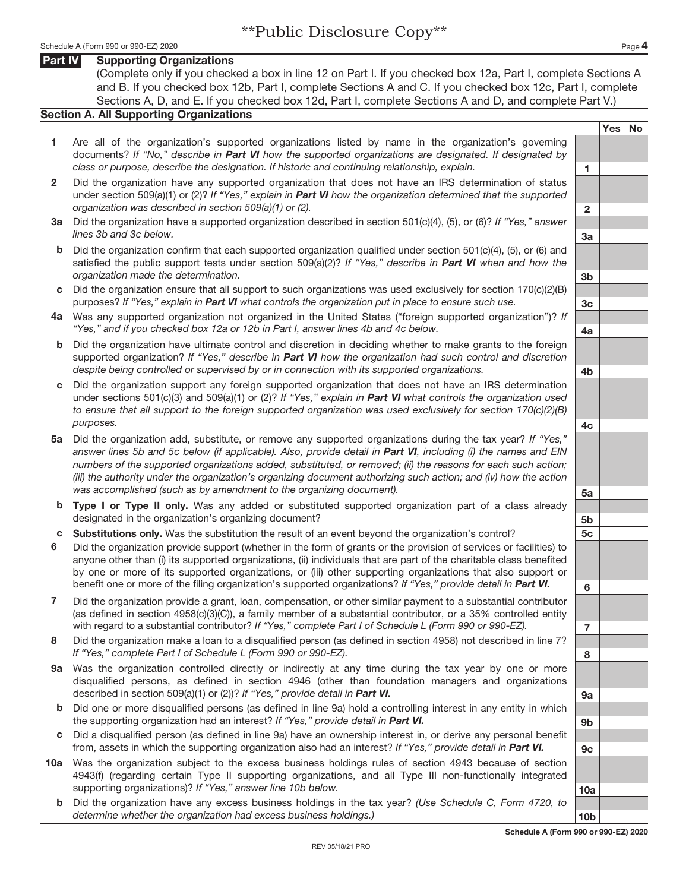#### **Part IV Supporting Organizations**

(Complete only if you checked a box in line 12 on Part I. If you checked box 12a, Part I, complete Sections A and B. If you checked box 12b, Part I, complete Sections A and C. If you checked box 12c, Part I, complete Sections A, D, and E. If you checked box 12d, Part I, complete Sections A and D, and complete Part V.)

#### **Section A. All Supporting Organizations**

- **1** Are all of the organization's supported organizations listed by name in the organization's governing documents? If "No," describe in *Part VI* how the supported organizations are designated. If designated by class or purpose, describe the designation. If historic and continuing relationship, explain. **1**
- **2** Did the organization have any supported organization that does not have an IRS determination of status under section 509(a)(1) or (2)? If "Yes," explain in *Part VI* how the organization determined that the supported organization was described in section 509(a)(1) or (2). **2**
- **3a** Did the organization have a supported organization described in section 501(c)(4), (5), or (6)? If "Yes," answer lines 3b and 3c below. **3a**
- **b** Did the organization confirm that each supported organization qualified under section 501(c)(4), (5), or (6) and satisfied the public support tests under section 509(a)(2)? If "Yes," describe in **Part VI** when and how the organization made the determination. **3b**
- **c** Did the organization ensure that all support to such organizations was used exclusively for section 170(c)(2)(B) purposes? If "Yes," explain in *Part VI* what controls the organization put in place to ensure such use. **3c**
- **4a** Was any supported organization not organized in the United States ("foreign supported organization")? If "Yes," and if you checked box 12a or 12b in Part I, answer lines 4b and 4c below. **4a**
- **b** Did the organization have ultimate control and discretion in deciding whether to make grants to the foreign supported organization? If "Yes," describe in *Part VI* how the organization had such control and discretion despite being controlled or supervised by or in connection with its supported organizations. **4b**
- **c** Did the organization support any foreign supported organization that does not have an IRS determination under sections 501(c)(3) and 509(a)(1) or (2)? If "Yes," explain in *Part VI* what controls the organization used to ensure that all support to the foreign supported organization was used exclusively for section 170(c)(2)(B) purposes. **4c**
- **5a** Did the organization add, substitute, or remove any supported organizations during the tax year? If "Yes," answer lines 5b and 5c below (if applicable). Also, provide detail in *Part VI*, including (i) the names and EIN numbers of the supported organizations added, substituted, or removed; (ii) the reasons for each such action; (iii) the authority under the organization's organizing document authorizing such action; and (iv) how the action was accomplished (such as by amendment to the organizing document). **5a**
- **b Type I or Type II only.** Was any added or substituted supported organization part of a class already designated in the organization's organizing document? **5b**
- **c Substitutions only.** Was the substitution the result of an event beyond the organization's control? **5c**
- **6** Did the organization provide support (whether in the form of grants or the provision of services or facilities) to anyone other than (i) its supported organizations, (ii) individuals that are part of the charitable class benefited by one or more of its supported organizations, or (iii) other supporting organizations that also support or benefit one or more of the filing organization's supported organizations? If "Yes," provide detail in *Part VI.* **6**
- **7** Did the organization provide a grant, loan, compensation, or other similar payment to a substantial contributor (as defined in section 4958(c)(3)(C)), a family member of a substantial contributor, or a 35% controlled entity with regard to a substantial contributor? If "Yes," complete Part I of Schedule L (Form 990 or 990-EZ).
- **8** Did the organization make a loan to a disqualified person (as defined in section 4958) not described in line 7? If "Yes," complete Part I of Schedule L (Form 990 or 990-EZ). **8**
- **9a** Was the organization controlled directly or indirectly at any time during the tax year by one or more disqualified persons, as defined in section 4946 (other than foundation managers and organizations described in section 509(a)(1) or (2))? If "Yes," provide detail in **Part VI. 1999 1999**
- **b** Did one or more disqualified persons (as defined in line 9a) hold a controlling interest in any entity in which the supporting organization had an interest? If "Yes," provide detail in **Part VI. 9b 9b**
- **c** Did a disqualified person (as defined in line 9a) have an ownership interest in, or derive any personal benefit from, assets in which the supporting organization also had an interest? If "Yes," provide detail in *Part VI.* **9c**
- **10a** Was the organization subject to the excess business holdings rules of section 4943 because of section 4943(f) (regarding certain Type II supporting organizations, and all Type III non-functionally integrated supporting organizations)? If "Yes," answer line 10b below. **10a 10a 10a 10a** 
	- **b** Did the organization have any excess business holdings in the tax year? (Use Schedule C, Form 4720, to determine whether the organization had excess business holdings.) **10b**

**Yes No**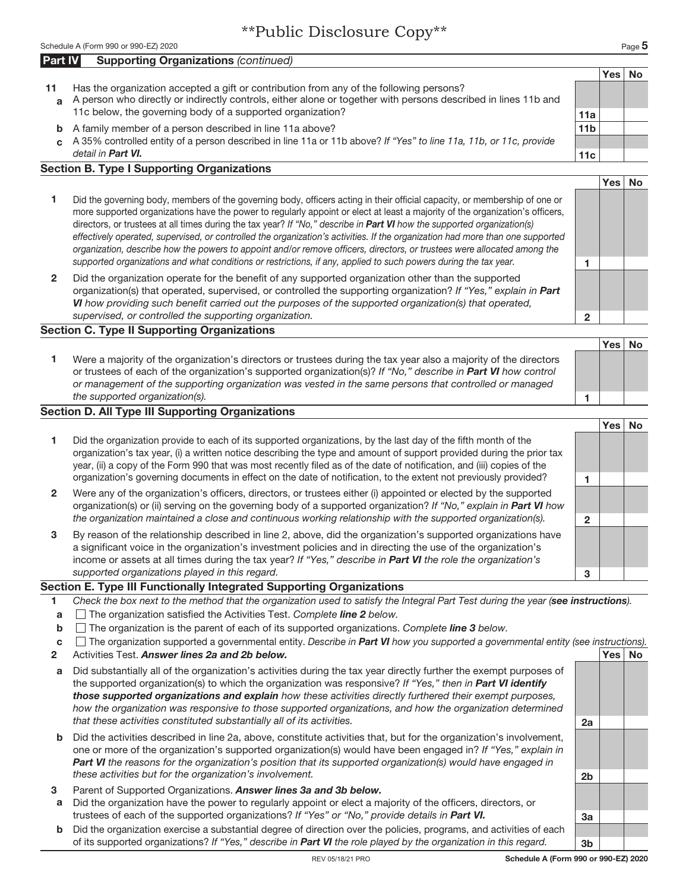#### **Part IV Supporting Organizations (continued)**

- **11** Has the organization accepted a gift or contribution from any of the following persons? **a** A person who directly or indirectly controls, either alone or together with persons described in lines 11b and 11c below, the governing body of a supported organization? **11a**
	- **b** A family member of a person described in line 11a above? **11b 11b**
	- **c** A 35% controlled entity of a person described in line 11a or 11b above? If "Yes" to line 11a, 11b, or 11c, provide detail in *Part VI.* **11c**

#### **Section B. Type I Supporting Organizations**

- **1** Did the governing body, members of the governing body, officers acting in their official capacity, or membership of one or more supported organizations have the power to regularly appoint or elect at least a majority of the organization's officers, directors, or trustees at all times during the tax year? If "No," describe in *Part VI* how the supported organization(s) effectively operated, supervised, or controlled the organization's activities. If the organization had more than one supported organization, describe how the powers to appoint and/or remove officers, directors, or trustees were allocated among the supported organizations and what conditions or restrictions, if any, applied to such powers during the tax year. **1**
- **2** Did the organization operate for the benefit of any supported organization other than the supported organization(s) that operated, supervised, or controlled the supporting organization? If "Yes," explain in *Part VI* how providing such benefit carried out the purposes of the supported organization(s) that operated, supervised, or controlled the supporting organization. **2**

#### **Section C. Type II Supporting Organizations**

**1** Were a majority of the organization's directors or trustees during the tax year also a majority of the directors or trustees of each of the organization's supported organization(s)? If "No," describe in *Part VI* how control or management of the supporting organization was vested in the same persons that controlled or managed the supported organization(s). **1**

#### **Section D. All Type III Supporting Organizations**

**Yes No 1** Did the organization provide to each of its supported organizations, by the last day of the fifth month of the organization's tax year, (i) a written notice describing the type and amount of support provided during the prior tax year, (ii) a copy of the Form 990 that was most recently filed as of the date of notification, and (iii) copies of the organization's governing documents in effect on the date of notification, to the extent not previously provided? **1 2** Were any of the organization's officers, directors, or trustees either (i) appointed or elected by the supported organization(s) or (ii) serving on the governing body of a supported organization? If "No," explain in *Part VI* how the organization maintained a close and continuous working relationship with the supported organization(s). **2 3** By reason of the relationship described in line 2, above, did the organization's supported organizations have a significant voice in the organization's investment policies and in directing the use of the organization's income or assets at all times during the tax year? If "Yes," describe in *Part VI* the role the organization's

#### **Section E. Type III Functionally Integrated Supporting Organizations**

**1** Check the box next to the method that the organization used to satisfy the Integral Part Test during the year (*see instructions*).

supported organizations played in this regard. **3**

- **a** The organization satisfied the Activities Test. Complete **line 2** below.
- **b** The organization is the parent of each of its supported organizations. Complete **line 3** below.
- **c** The organization supported a governmental entity. Describe in *Part VI* how you supported a governmental entity (see instructions).
- **2** Activities Test. *Answer lines 2a and 2b below.* **Yes No**
- **a** Did substantially all of the organization's activities during the tax year directly further the exempt purposes of the supported organization(s) to which the organization was responsive? If "Yes," then in *Part VI identify those supported organizations and explain* how these activities directly furthered their exempt purposes, how the organization was responsive to those supported organizations, and how the organization determined that these activities constituted substantially all of its activities. **2a**
- **b** Did the activities described in line 2a, above, constitute activities that, but for the organization's involvement, one or more of the organization's supported organization(s) would have been engaged in? If "Yes," explain in **Part VI** the reasons for the organization's position that its supported organization(s) would have engaged in these activities but for the organization's involvement. **2b**
- **3** Parent of Supported Organizations. *Answer lines 3a and 3b below.*
- **a** Did the organization have the power to regularly appoint or elect a majority of the officers, directors, or trustees of each of the supported organizations? If "Yes" or "No," provide details in *Part VI.* **3a**
- **b** Did the organization exercise a substantial degree of direction over the policies, programs, and activities of each of its supported organizations? If "Yes," describe in *Part VI* the role played by the organization in this regard. **3b**



**Yes No**

**Yes No**

# **Yes No**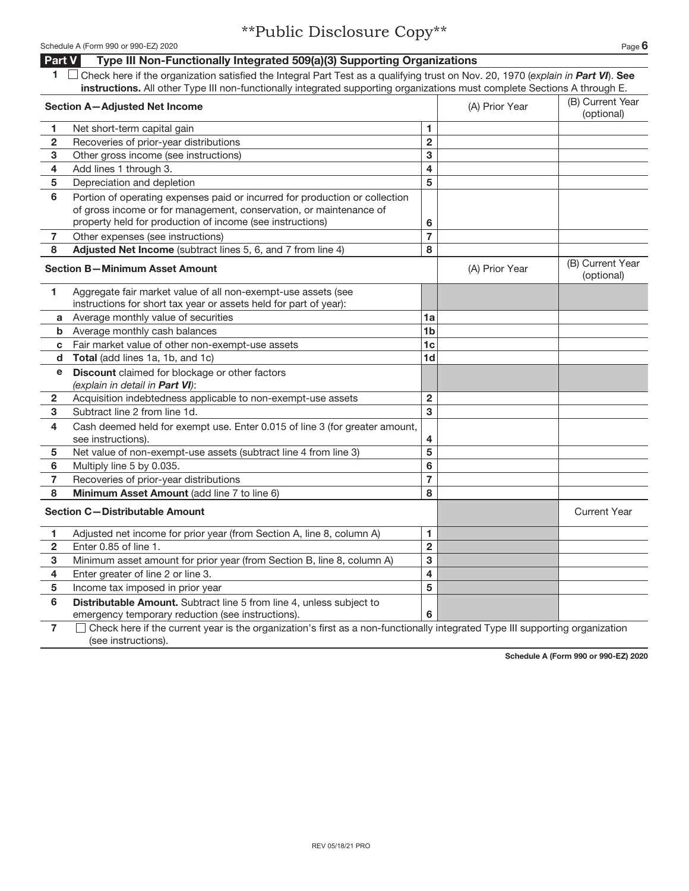Schedule A (Form 990 or 990-EZ) 2020 **Page 6** Page 1 **Page 1** 

#### **Part V Type III Non-Functionally Integrated 509(a)(3) Supporting Organizations**

**1** Check here if the organization satisfied the Integral Part Test as a qualifying trust on Nov. 20, 1970 (explain in *Part VI*). **See instructions.** All other Type III non-functionally integrated supporting organizations must complete Sections A through E.

|                | Section A-Adjusted Net Income                                                                     |                         | (A) Prior Year | (B) Current Year<br>(optional) |
|----------------|---------------------------------------------------------------------------------------------------|-------------------------|----------------|--------------------------------|
| 1              | Net short-term capital gain                                                                       | 1                       |                |                                |
| $\overline{2}$ | Recoveries of prior-year distributions                                                            | $\overline{\mathbf{2}}$ |                |                                |
| 3              | Other gross income (see instructions)                                                             | 3                       |                |                                |
| 4              | Add lines 1 through 3.                                                                            | 4                       |                |                                |
| 5              | Depreciation and depletion                                                                        | 5                       |                |                                |
| 6              | Portion of operating expenses paid or incurred for production or collection                       |                         |                |                                |
|                | of gross income or for management, conservation, or maintenance of                                |                         |                |                                |
|                | property held for production of income (see instructions)                                         | 6                       |                |                                |
| 7              | Other expenses (see instructions)                                                                 | $\overline{7}$          |                |                                |
| 8              | Adjusted Net Income (subtract lines 5, 6, and 7 from line 4)                                      | 8                       |                |                                |
|                | <b>Section B-Minimum Asset Amount</b>                                                             |                         | (A) Prior Year | (B) Current Year<br>(optional) |
| 1              | Aggregate fair market value of all non-exempt-use assets (see                                     |                         |                |                                |
|                | instructions for short tax year or assets held for part of year):                                 |                         |                |                                |
| a              | Average monthly value of securities                                                               | 1a                      |                |                                |
| b              | Average monthly cash balances                                                                     | 1 <sub>b</sub>          |                |                                |
| C              | Fair market value of other non-exempt-use assets                                                  | 1 <sub>c</sub>          |                |                                |
| d              | Total (add lines 1a, 1b, and 1c)                                                                  | 1 <sub>d</sub>          |                |                                |
| е              | Discount claimed for blockage or other factors<br>(explain in detail in Part VI):                 |                         |                |                                |
| $\overline{2}$ | Acquisition indebtedness applicable to non-exempt-use assets                                      | $\overline{2}$          |                |                                |
| 3              | Subtract line 2 from line 1d.                                                                     | 3                       |                |                                |
| 4              | Cash deemed held for exempt use. Enter 0.015 of line 3 (for greater amount,<br>see instructions). | 4                       |                |                                |
| 5              | Net value of non-exempt-use assets (subtract line 4 from line 3)                                  | 5                       |                |                                |
| 6              | Multiply line 5 by 0.035.                                                                         | 6                       |                |                                |
| $\overline{7}$ | Recoveries of prior-year distributions                                                            | $\overline{7}$          |                |                                |
| 8              | Minimum Asset Amount (add line 7 to line 6)                                                       | 8                       |                |                                |
|                | <b>Section C-Distributable Amount</b>                                                             |                         |                | <b>Current Year</b>            |
| 1              | Adjusted net income for prior year (from Section A, line 8, column A)                             | 1                       |                |                                |
| $\overline{2}$ | Enter 0.85 of line 1.                                                                             | $\overline{2}$          |                |                                |
| 3              | Minimum asset amount for prior year (from Section B, line 8, column A)                            | 3                       |                |                                |
| 4              | Enter greater of line 2 or line 3.                                                                | $\overline{\mathbf{4}}$ |                |                                |
| 5              | Income tax imposed in prior year                                                                  | 5                       |                |                                |
| 6              | Distributable Amount. Subtract line 5 from line 4, unless subject to                              |                         |                |                                |
|                | emergency temporary reduction (see instructions).                                                 | 6                       |                |                                |

**7** □ Check here if the current year is the organization's first as a non-functionally integrated Type III supporting organization (see instructions).

**Schedule A (Form 990 or 990-EZ) 2020**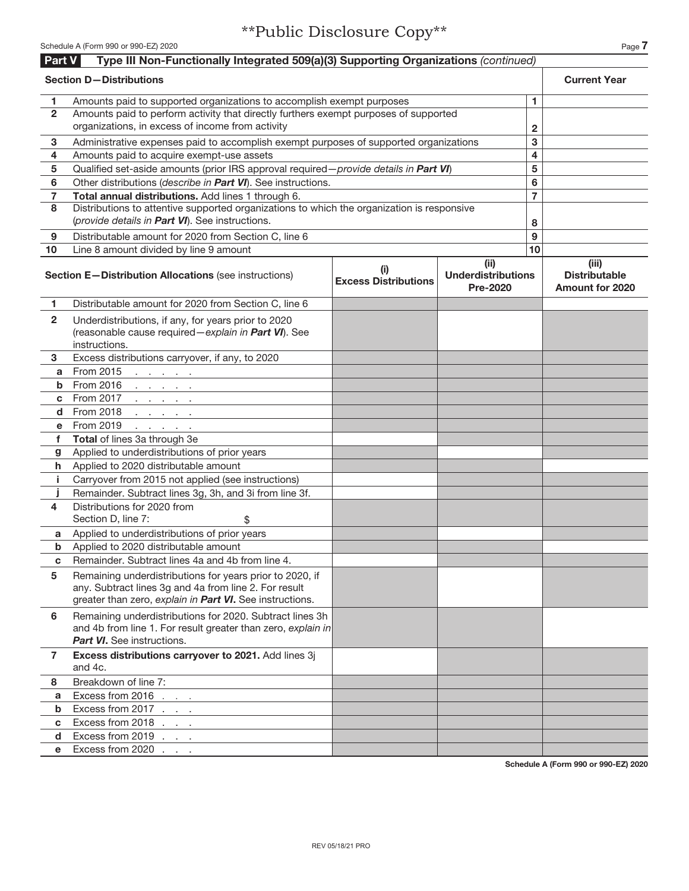Schedule A (Form 990 or 990-EZ) 2020

| Part V         | Type III Non-Functionally Integrated 509(a)(3) Supporting Organizations (continued)                                                                           |                                    |                                               |    |                                                         |
|----------------|---------------------------------------------------------------------------------------------------------------------------------------------------------------|------------------------------------|-----------------------------------------------|----|---------------------------------------------------------|
|                | <b>Section D-Distributions</b>                                                                                                                                |                                    |                                               |    | <b>Current Year</b>                                     |
| 1              | Amounts paid to supported organizations to accomplish exempt purposes                                                                                         |                                    |                                               | 1  |                                                         |
| $\overline{2}$ | Amounts paid to perform activity that directly furthers exempt purposes of supported                                                                          |                                    |                                               |    |                                                         |
|                | organizations, in excess of income from activity                                                                                                              |                                    |                                               | 2  |                                                         |
| 3              | Administrative expenses paid to accomplish exempt purposes of supported organizations                                                                         |                                    |                                               | 3  |                                                         |
| 4              | Amounts paid to acquire exempt-use assets                                                                                                                     |                                    |                                               | 4  |                                                         |
| 5              | Qualified set-aside amounts (prior IRS approval required-provide details in Part VI)                                                                          |                                    |                                               | 5  |                                                         |
| 6              | Other distributions (describe in Part VI). See instructions.                                                                                                  |                                    |                                               | 6  |                                                         |
| 7              | Total annual distributions. Add lines 1 through 6.                                                                                                            |                                    |                                               | 7  |                                                         |
| 8              | Distributions to attentive supported organizations to which the organization is responsive                                                                    |                                    |                                               |    |                                                         |
|                | (provide details in Part VI). See instructions.                                                                                                               |                                    |                                               | 8  |                                                         |
| 9              | Distributable amount for 2020 from Section C, line 6                                                                                                          |                                    |                                               | 9  |                                                         |
| 10             | Line 8 amount divided by line 9 amount                                                                                                                        |                                    |                                               | 10 |                                                         |
|                | Section E-Distribution Allocations (see instructions)                                                                                                         | (i)<br><b>Excess Distributions</b> | (ii)<br><b>Underdistributions</b><br>Pre-2020 |    | (iii)<br><b>Distributable</b><br><b>Amount for 2020</b> |
| 1.             | Distributable amount for 2020 from Section C, line 6                                                                                                          |                                    |                                               |    |                                                         |
| $\overline{2}$ | Underdistributions, if any, for years prior to 2020                                                                                                           |                                    |                                               |    |                                                         |
|                | (reasonable cause required - explain in Part VI). See                                                                                                         |                                    |                                               |    |                                                         |
|                | instructions.                                                                                                                                                 |                                    |                                               |    |                                                         |
| 3              | Excess distributions carryover, if any, to 2020                                                                                                               |                                    |                                               |    |                                                         |
| a              | From 2015<br>contractors and a                                                                                                                                |                                    |                                               |    |                                                         |
| b              | From 2016<br>the company of the company                                                                                                                       |                                    |                                               |    |                                                         |
| c              | From 2017<br>and a strategic and an                                                                                                                           |                                    |                                               |    |                                                         |
| d              | From 2018<br>the contract of the con-                                                                                                                         |                                    |                                               |    |                                                         |
| е              | From 2019<br>and a strategic and                                                                                                                              |                                    |                                               |    |                                                         |
| f              | Total of lines 3a through 3e                                                                                                                                  |                                    |                                               |    |                                                         |
| g              | Applied to underdistributions of prior years                                                                                                                  |                                    |                                               |    |                                                         |
| h.             | Applied to 2020 distributable amount                                                                                                                          |                                    |                                               |    |                                                         |
| j.             | Carryover from 2015 not applied (see instructions)                                                                                                            |                                    |                                               |    |                                                         |
| Ĵ              | Remainder. Subtract lines 3g, 3h, and 3i from line 3f.                                                                                                        |                                    |                                               |    |                                                         |
| 4              | Distributions for 2020 from<br>Section D, line 7:<br>\$                                                                                                       |                                    |                                               |    |                                                         |
| a              | Applied to underdistributions of prior years                                                                                                                  |                                    |                                               |    |                                                         |
| b              | Applied to 2020 distributable amount                                                                                                                          |                                    |                                               |    |                                                         |
| C              | Remainder. Subtract lines 4a and 4b from line 4.                                                                                                              |                                    |                                               |    |                                                         |
| 5              | Remaining underdistributions for years prior to 2020, if                                                                                                      |                                    |                                               |    |                                                         |
|                | any. Subtract lines 3g and 4a from line 2. For result                                                                                                         |                                    |                                               |    |                                                         |
|                | greater than zero, explain in Part VI. See instructions.                                                                                                      |                                    |                                               |    |                                                         |
| 6              | Remaining underdistributions for 2020. Subtract lines 3h<br>and 4b from line 1. For result greater than zero, explain in<br><b>Part VI.</b> See instructions. |                                    |                                               |    |                                                         |
| $\overline{7}$ | Excess distributions carryover to 2021. Add lines 3j<br>and 4c.                                                                                               |                                    |                                               |    |                                                         |
| 8              | Breakdown of line 7:                                                                                                                                          |                                    |                                               |    |                                                         |
| a              | Excess from 2016 $\ldots$                                                                                                                                     |                                    |                                               |    |                                                         |
| b              | Excess from 2017 $\ldots$ $\qquad \qquad$                                                                                                                     |                                    |                                               |    |                                                         |
| C              | Excess from 2018 $\ldots$ $\ldots$                                                                                                                            |                                    |                                               |    |                                                         |
| d              | Excess from 2019 $\ldots$                                                                                                                                     |                                    |                                               |    |                                                         |
| е              | Excess from 2020                                                                                                                                              |                                    |                                               |    |                                                         |

**Schedule A (Form 990 or 990-EZ) 2020**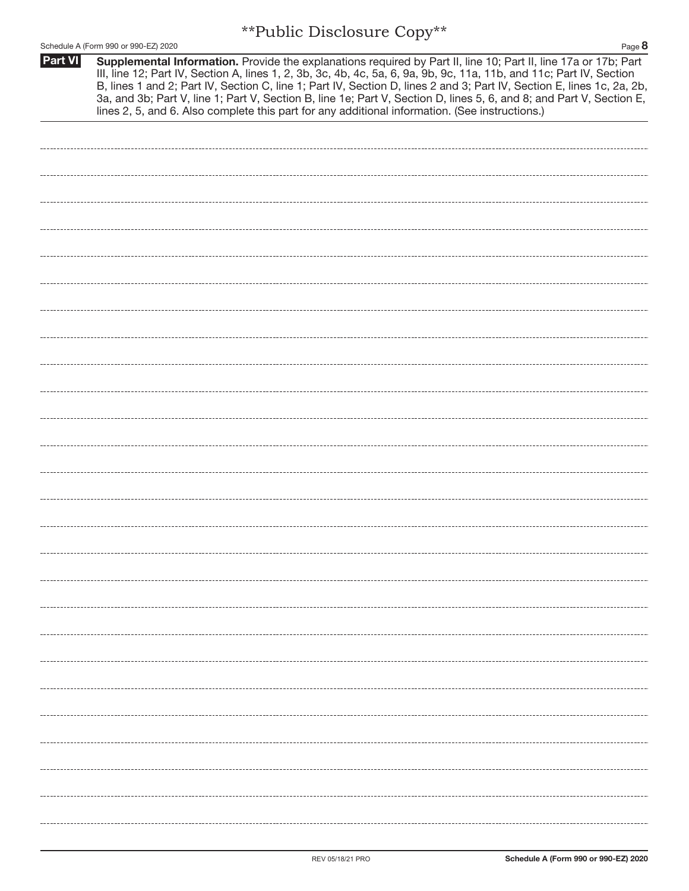|                | Schedule A (Form 990 or 990-EZ) 2020<br>Page $8$                                                                                                                                                                                                                                                                                                                                                                                                                                                                                                                                            |
|----------------|---------------------------------------------------------------------------------------------------------------------------------------------------------------------------------------------------------------------------------------------------------------------------------------------------------------------------------------------------------------------------------------------------------------------------------------------------------------------------------------------------------------------------------------------------------------------------------------------|
| <b>Part VI</b> | Supplemental Information. Provide the explanations required by Part II, line 10; Part II, line 17a or 17b; Part<br>III, line 12; Part IV, Section A, lines 1, 2, 3b, 3c, 4b, 4c, 5a, 6, 9a, 9b, 9c, 11a, 11b, and 11c; Part IV, Section<br>B, lines 1 and 2; Part IV, Section C, line 1; Part IV, Section D, lines 2 and 3; Part IV, Section E, lines 1c, 2a, 2b,<br>3a, and 3b; Part V, line 1; Part V, Section B, line 1e; Part V, Section D, lines 5, 6, and 8; and Part V, Section E,<br>lines 2, 5, and 6. Also complete this part for any additional information. (See instructions.) |
|                |                                                                                                                                                                                                                                                                                                                                                                                                                                                                                                                                                                                             |
|                |                                                                                                                                                                                                                                                                                                                                                                                                                                                                                                                                                                                             |
|                |                                                                                                                                                                                                                                                                                                                                                                                                                                                                                                                                                                                             |
|                |                                                                                                                                                                                                                                                                                                                                                                                                                                                                                                                                                                                             |
|                |                                                                                                                                                                                                                                                                                                                                                                                                                                                                                                                                                                                             |
|                |                                                                                                                                                                                                                                                                                                                                                                                                                                                                                                                                                                                             |
|                |                                                                                                                                                                                                                                                                                                                                                                                                                                                                                                                                                                                             |
|                |                                                                                                                                                                                                                                                                                                                                                                                                                                                                                                                                                                                             |
|                |                                                                                                                                                                                                                                                                                                                                                                                                                                                                                                                                                                                             |
|                |                                                                                                                                                                                                                                                                                                                                                                                                                                                                                                                                                                                             |
|                |                                                                                                                                                                                                                                                                                                                                                                                                                                                                                                                                                                                             |
|                |                                                                                                                                                                                                                                                                                                                                                                                                                                                                                                                                                                                             |
|                |                                                                                                                                                                                                                                                                                                                                                                                                                                                                                                                                                                                             |
|                |                                                                                                                                                                                                                                                                                                                                                                                                                                                                                                                                                                                             |
|                |                                                                                                                                                                                                                                                                                                                                                                                                                                                                                                                                                                                             |
|                |                                                                                                                                                                                                                                                                                                                                                                                                                                                                                                                                                                                             |
|                |                                                                                                                                                                                                                                                                                                                                                                                                                                                                                                                                                                                             |
|                |                                                                                                                                                                                                                                                                                                                                                                                                                                                                                                                                                                                             |
|                |                                                                                                                                                                                                                                                                                                                                                                                                                                                                                                                                                                                             |
|                |                                                                                                                                                                                                                                                                                                                                                                                                                                                                                                                                                                                             |
|                |                                                                                                                                                                                                                                                                                                                                                                                                                                                                                                                                                                                             |
|                |                                                                                                                                                                                                                                                                                                                                                                                                                                                                                                                                                                                             |
|                |                                                                                                                                                                                                                                                                                                                                                                                                                                                                                                                                                                                             |
|                |                                                                                                                                                                                                                                                                                                                                                                                                                                                                                                                                                                                             |
|                |                                                                                                                                                                                                                                                                                                                                                                                                                                                                                                                                                                                             |
|                |                                                                                                                                                                                                                                                                                                                                                                                                                                                                                                                                                                                             |
|                |                                                                                                                                                                                                                                                                                                                                                                                                                                                                                                                                                                                             |
|                |                                                                                                                                                                                                                                                                                                                                                                                                                                                                                                                                                                                             |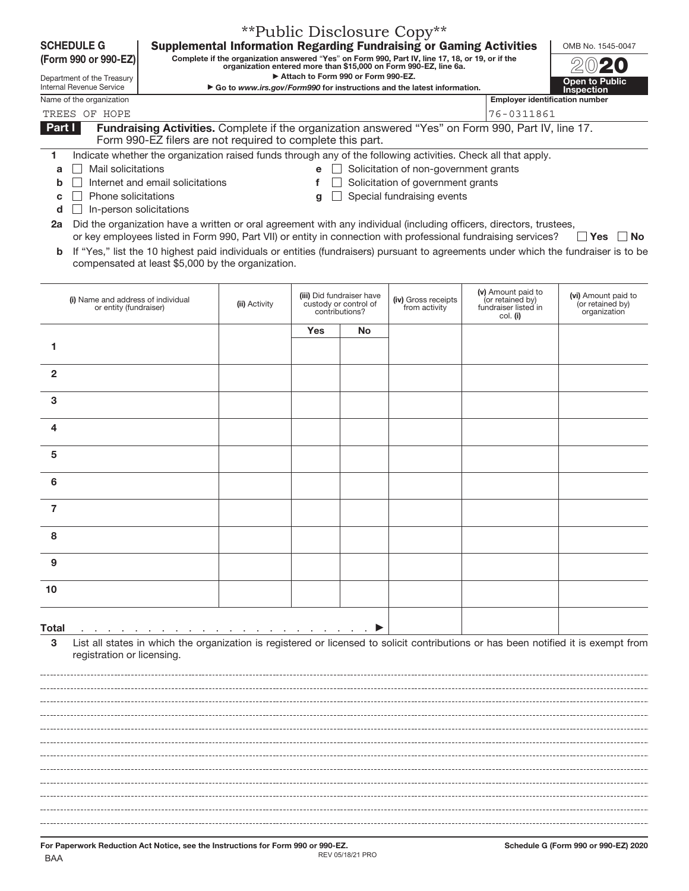|                |                                                                                                                                                                                          |               |                                    |                                                                      | ** Public Disclosure Copy**                                                                     |                                                                                                    |                                                                                                                                     |
|----------------|------------------------------------------------------------------------------------------------------------------------------------------------------------------------------------------|---------------|------------------------------------|----------------------------------------------------------------------|-------------------------------------------------------------------------------------------------|----------------------------------------------------------------------------------------------------|-------------------------------------------------------------------------------------------------------------------------------------|
|                | <b>SCHEDULE G</b><br>(Form 990 or 990-EZ)                                                                                                                                                |               |                                    |                                                                      | Complete if the organization answered "Yes" on Form 990, Part IV, line 17, 18, or 19, or if the | Supplemental Information Regarding Fundraising or Gaming Activities                                | OMB No. 1545-0047                                                                                                                   |
|                | Department of the Treasury                                                                                                                                                               |               | Attach to Form 990 or Form 990-EZ. |                                                                      | organization entered more than \$15,000 on Form 990-EZ, line 6a.                                |                                                                                                    |                                                                                                                                     |
|                | Internal Revenue Service                                                                                                                                                                 |               |                                    |                                                                      | Go to www.irs.gov/Form990 for instructions and the latest information.                          |                                                                                                    | <b>Open to Public</b><br><b>Inspection</b>                                                                                          |
|                | Name of the organization                                                                                                                                                                 |               |                                    |                                                                      |                                                                                                 |                                                                                                    | <b>Employer identification number</b>                                                                                               |
|                | TREES OF HOPE                                                                                                                                                                            |               |                                    |                                                                      |                                                                                                 | 76–0311861                                                                                         |                                                                                                                                     |
| Part I         | Form 990-EZ filers are not required to complete this part.                                                                                                                               |               |                                    |                                                                      |                                                                                                 | Fundraising Activities. Complete if the organization answered "Yes" on Form 990, Part IV, line 17. |                                                                                                                                     |
| 1              | Indicate whether the organization raised funds through any of the following activities. Check all that apply.                                                                            |               |                                    |                                                                      |                                                                                                 |                                                                                                    |                                                                                                                                     |
| a              | Mail solicitations                                                                                                                                                                       |               |                                    |                                                                      | <b>e</b> $\Box$ Solicitation of non-government grants                                           |                                                                                                    |                                                                                                                                     |
| b<br>C         | Internet and email solicitations<br>Phone solicitations                                                                                                                                  |               | f<br>g                             |                                                                      | Solicitation of government grants<br>Special fundraising events                                 |                                                                                                    |                                                                                                                                     |
| d              | In-person solicitations                                                                                                                                                                  |               |                                    |                                                                      |                                                                                                 |                                                                                                    |                                                                                                                                     |
| 2a             | Did the organization have a written or oral agreement with any individual (including officers, directors, trustees,                                                                      |               |                                    |                                                                      |                                                                                                 |                                                                                                    |                                                                                                                                     |
|                | or key employees listed in Form 990, Part VII) or entity in connection with professional fundraising services?                                                                           |               |                                    |                                                                      |                                                                                                 |                                                                                                    | ∣ ⊺Yes<br>∣No                                                                                                                       |
| b              | If "Yes," list the 10 highest paid individuals or entities (fundraisers) pursuant to agreements under which the fundraiser is to be<br>compensated at least \$5,000 by the organization. |               |                                    |                                                                      |                                                                                                 |                                                                                                    |                                                                                                                                     |
|                | (i) Name and address of individual<br>or entity (fundraiser)                                                                                                                             | (ii) Activity |                                    | (iii) Did fundraiser have<br>custody or control of<br>contributions? | (iv) Gross receipts<br>from activity                                                            | (v) Amount paid to<br>(or retained by)<br>fundraiser listed in                                     | (vi) Amount paid to<br>(or retained by)<br>organization                                                                             |
|                |                                                                                                                                                                                          |               | Yes                                | No                                                                   |                                                                                                 | col. (i)                                                                                           |                                                                                                                                     |
| 1              |                                                                                                                                                                                          |               |                                    |                                                                      |                                                                                                 |                                                                                                    |                                                                                                                                     |
| $\mathbf{2}$   |                                                                                                                                                                                          |               |                                    |                                                                      |                                                                                                 |                                                                                                    |                                                                                                                                     |
| 3              |                                                                                                                                                                                          |               |                                    |                                                                      |                                                                                                 |                                                                                                    |                                                                                                                                     |
| 4              |                                                                                                                                                                                          |               |                                    |                                                                      |                                                                                                 |                                                                                                    |                                                                                                                                     |
| 5              |                                                                                                                                                                                          |               |                                    |                                                                      |                                                                                                 |                                                                                                    |                                                                                                                                     |
| 6              |                                                                                                                                                                                          |               |                                    |                                                                      |                                                                                                 |                                                                                                    |                                                                                                                                     |
|                |                                                                                                                                                                                          |               |                                    |                                                                      |                                                                                                 |                                                                                                    |                                                                                                                                     |
| $\overline{7}$ |                                                                                                                                                                                          |               |                                    |                                                                      |                                                                                                 |                                                                                                    |                                                                                                                                     |
| 8              |                                                                                                                                                                                          |               |                                    |                                                                      |                                                                                                 |                                                                                                    |                                                                                                                                     |
| 9              |                                                                                                                                                                                          |               |                                    |                                                                      |                                                                                                 |                                                                                                    |                                                                                                                                     |
| 10             |                                                                                                                                                                                          |               |                                    |                                                                      |                                                                                                 |                                                                                                    |                                                                                                                                     |
| Total          |                                                                                                                                                                                          |               | the contract of the contract of    |                                                                      |                                                                                                 |                                                                                                    |                                                                                                                                     |
| 3              | registration or licensing.                                                                                                                                                               |               |                                    |                                                                      |                                                                                                 |                                                                                                    | List all states in which the organization is registered or licensed to solicit contributions or has been notified it is exempt from |
|                |                                                                                                                                                                                          |               |                                    |                                                                      |                                                                                                 |                                                                                                    |                                                                                                                                     |
|                |                                                                                                                                                                                          |               |                                    |                                                                      |                                                                                                 |                                                                                                    |                                                                                                                                     |
|                |                                                                                                                                                                                          |               |                                    |                                                                      |                                                                                                 |                                                                                                    |                                                                                                                                     |
|                |                                                                                                                                                                                          |               |                                    |                                                                      |                                                                                                 |                                                                                                    |                                                                                                                                     |
|                |                                                                                                                                                                                          |               |                                    |                                                                      |                                                                                                 |                                                                                                    |                                                                                                                                     |
|                |                                                                                                                                                                                          |               |                                    |                                                                      |                                                                                                 |                                                                                                    |                                                                                                                                     |
|                |                                                                                                                                                                                          |               |                                    |                                                                      |                                                                                                 |                                                                                                    |                                                                                                                                     |
|                |                                                                                                                                                                                          |               |                                    |                                                                      |                                                                                                 |                                                                                                    |                                                                                                                                     |
|                |                                                                                                                                                                                          |               |                                    |                                                                      |                                                                                                 |                                                                                                    |                                                                                                                                     |
|                |                                                                                                                                                                                          |               |                                    |                                                                      |                                                                                                 |                                                                                                    |                                                                                                                                     |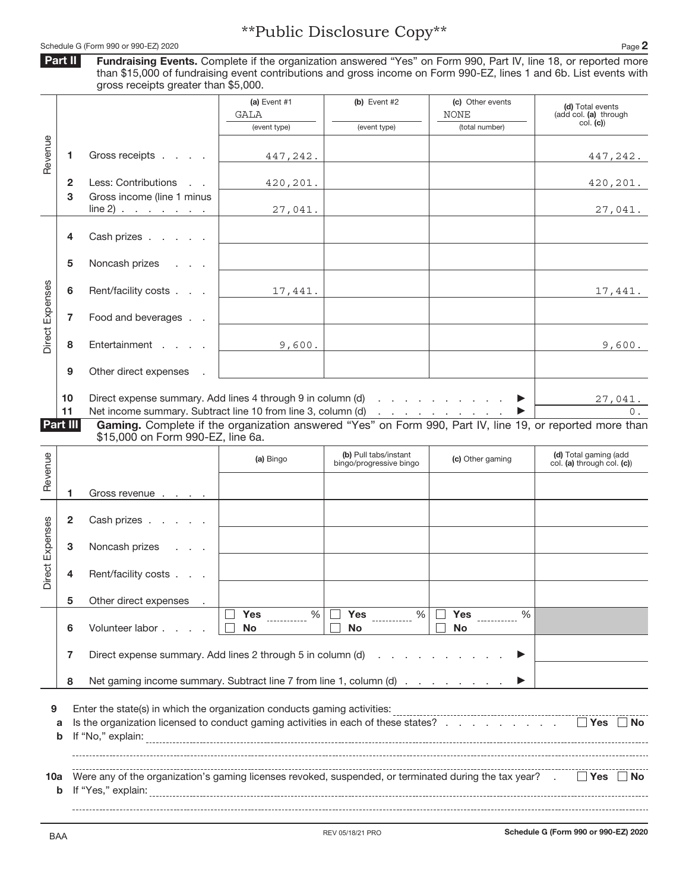Schedule G (Form 990 or 990-EZ) 2020 Page 2 **Part II Fundraising Events.** Complete if the organization answered "Yes" on Form 990, Part IV, line 18, or reported more than \$15,000 of fundraising event contributions and gross income on Form 990-EZ, lines 1 and 6b. List events with

|                 |                      | gross receipts greater than \$5,000.                                                                                                                                                                                                                                         |                                 |                                                  |                                 |                                                     |
|-----------------|----------------------|------------------------------------------------------------------------------------------------------------------------------------------------------------------------------------------------------------------------------------------------------------------------------|---------------------------------|--------------------------------------------------|---------------------------------|-----------------------------------------------------|
|                 |                      |                                                                                                                                                                                                                                                                              | (a) Event #1<br><b>GALA</b>     | $(b)$ Event #2                                   | (c) Other events<br><b>NONE</b> | (d) Total events<br>(add col. (a) through           |
|                 |                      |                                                                                                                                                                                                                                                                              | (event type)                    | (event type)                                     | (total number)                  | col. (c)                                            |
| Revenue         | 1                    | Gross receipts                                                                                                                                                                                                                                                               | 447,242.                        |                                                  |                                 | 447,242.                                            |
|                 | 2                    | Less: Contributions                                                                                                                                                                                                                                                          | 420,201.                        |                                                  |                                 | 420,201.                                            |
|                 | 3                    | Gross income (line 1 minus<br>line 2)                                                                                                                                                                                                                                        | 27,041.                         |                                                  |                                 | 27,041.                                             |
|                 | 4                    | Cash prizes                                                                                                                                                                                                                                                                  |                                 |                                                  |                                 |                                                     |
|                 | 5                    | Noncash prizes                                                                                                                                                                                                                                                               |                                 |                                                  |                                 |                                                     |
| Direct Expenses | 6                    | Rent/facility costs                                                                                                                                                                                                                                                          | 17,441.                         |                                                  |                                 | 17,441.                                             |
|                 | $\overline{7}$       | Food and beverages                                                                                                                                                                                                                                                           |                                 |                                                  |                                 |                                                     |
|                 | 8                    | Entertainment                                                                                                                                                                                                                                                                | 9,600.                          |                                                  |                                 | 9,600.                                              |
|                 | 9                    | Other direct expenses                                                                                                                                                                                                                                                        |                                 |                                                  |                                 |                                                     |
|                 | 10<br>11<br>Part III | Direct expense summary. Add lines 4 through 9 in column (d)<br>Net income summary. Subtract line 10 from line 3, column (d)<br>Gaming. Complete if the organization answered "Yes" on Form 990, Part IV, line 19, or reported more than<br>\$15,000 on Form 990-EZ, line 6a. |                                 |                                                  | ▶                               | 27,041.<br>$0$ .                                    |
|                 |                      |                                                                                                                                                                                                                                                                              |                                 |                                                  |                                 |                                                     |
|                 |                      |                                                                                                                                                                                                                                                                              | (a) Bingo                       | (b) Pull tabs/instant<br>bingo/progressive bingo | (c) Other gaming                | (d) Total gaming (add<br>col. (a) through col. (c)) |
| Revenue         | 1                    | Gross revenue                                                                                                                                                                                                                                                                |                                 |                                                  |                                 |                                                     |
|                 | $\mathbf{2}$         |                                                                                                                                                                                                                                                                              |                                 |                                                  |                                 |                                                     |
|                 | 3                    | Cash prizes<br>Noncash prizes                                                                                                                                                                                                                                                |                                 |                                                  |                                 |                                                     |
|                 | 4                    | Rent/facility costs                                                                                                                                                                                                                                                          |                                 |                                                  |                                 |                                                     |
| Direct Expenses | 5                    | Other direct expenses                                                                                                                                                                                                                                                        |                                 |                                                  |                                 |                                                     |
|                 | 6                    | Volunteer labor                                                                                                                                                                                                                                                              | $\%$<br><b>Yes</b><br><b>No</b> | <b>Yes</b><br>%<br><b>No</b>                     | <b>Yes</b><br>%<br><b>No</b>    |                                                     |
|                 | 7                    | Direct expense summary. Add lines 2 through 5 in column (d)                                                                                                                                                                                                                  |                                 |                                                  |                                 |                                                     |
|                 | 8                    | Net gaming income summary. Subtract line 7 from line 1, column (d)                                                                                                                                                                                                           |                                 |                                                  |                                 |                                                     |
| 9               | a<br>b               | Enter the state(s) in which the organization conducts gaming activities:<br>Is the organization licensed to conduct gaming activities in each of these states?<br>If "No," explain:                                                                                          |                                 |                                                  |                                 | $\Box$ Yes $\Box$ No                                |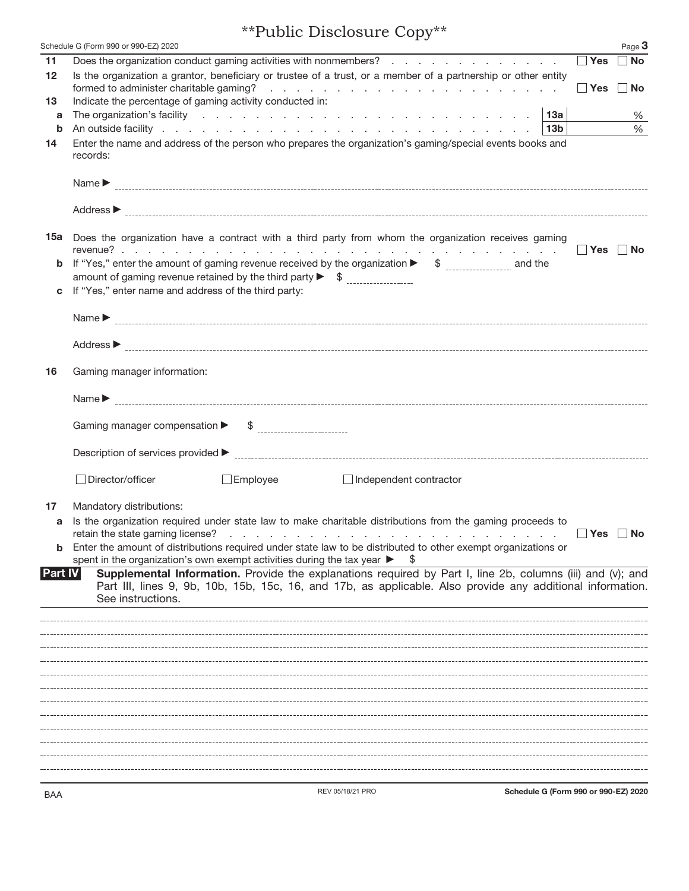|                | Schedule G (Form 990 or 990-EZ) 2020                                                                                                                                                                                                                                                                                                                                                                                                                                                       |                      | Page 3    |
|----------------|--------------------------------------------------------------------------------------------------------------------------------------------------------------------------------------------------------------------------------------------------------------------------------------------------------------------------------------------------------------------------------------------------------------------------------------------------------------------------------------------|----------------------|-----------|
| 11             | Does the organization conduct gaming activities with nonmembers?                                                                                                                                                                                                                                                                                                                                                                                                                           | $\Box$ Yes           | $\Box$ No |
| 12             | Is the organization a grantor, beneficiary or trustee of a trust, or a member of a partnership or other entity                                                                                                                                                                                                                                                                                                                                                                             | $\Box$ Yes $\Box$ No |           |
| 13             | Indicate the percentage of gaming activity conducted in:                                                                                                                                                                                                                                                                                                                                                                                                                                   |                      |           |
| a<br>b         | The organization's facility respectively and the contract of the contract of the contract of the contract of the contract of the contract of the contract of the contract of the contract of the contract of the contract of t<br>13a<br>An outside facility enterpreterate and contact the contact of the contact of the contact of the contact of the contact of the contact of the contact of the contact of the contact of the contact of the contact of the contac<br>13 <sub>b</sub> |                      | %<br>$\%$ |
| 14             | Enter the name and address of the person who prepares the organization's gaming/special events books and<br>records:                                                                                                                                                                                                                                                                                                                                                                       |                      |           |
|                |                                                                                                                                                                                                                                                                                                                                                                                                                                                                                            |                      |           |
|                |                                                                                                                                                                                                                                                                                                                                                                                                                                                                                            |                      |           |
|                |                                                                                                                                                                                                                                                                                                                                                                                                                                                                                            |                      |           |
| 15a            | Does the organization have a contract with a third party from whom the organization receives gaming                                                                                                                                                                                                                                                                                                                                                                                        |                      |           |
|                |                                                                                                                                                                                                                                                                                                                                                                                                                                                                                            | $\Box$ Yes $\Box$ No |           |
| b              |                                                                                                                                                                                                                                                                                                                                                                                                                                                                                            |                      |           |
|                | amount of gaming revenue retained by the third party $\blacktriangleright$ \$ \\ \times \\ \times \times \times \times \times \times \times \times \times \times \times \times \times \times \times \times \times \times \times \times \time                                                                                                                                                                                                                                               |                      |           |
|                | If "Yes," enter name and address of the third party:                                                                                                                                                                                                                                                                                                                                                                                                                                       |                      |           |
|                |                                                                                                                                                                                                                                                                                                                                                                                                                                                                                            |                      |           |
|                |                                                                                                                                                                                                                                                                                                                                                                                                                                                                                            |                      |           |
| 16             | Gaming manager information:                                                                                                                                                                                                                                                                                                                                                                                                                                                                |                      |           |
|                |                                                                                                                                                                                                                                                                                                                                                                                                                                                                                            |                      |           |
|                |                                                                                                                                                                                                                                                                                                                                                                                                                                                                                            |                      |           |
|                | Description of services provided $\blacktriangleright$ [100011] [10001] [10001] [10001] [10001] [10001] [10001] [10001] [10001] [10001] [10001] [10001] [10001] [10001] [10001] [10001] [10001] [10001] [10001] [10001] [10001] [10001] [100                                                                                                                                                                                                                                               |                      |           |
|                | □ Director/officer<br>$\Box$ Employee<br>□ Independent contractor                                                                                                                                                                                                                                                                                                                                                                                                                          |                      |           |
| 17             | Mandatory distributions:                                                                                                                                                                                                                                                                                                                                                                                                                                                                   |                      |           |
| a              | Is the organization required under state law to make charitable distributions from the gaming proceeds to                                                                                                                                                                                                                                                                                                                                                                                  | <b>No</b>            |           |
| b              | Enter the amount of distributions required under state law to be distributed to other exempt organizations or<br>spent in the organization's own exempt activities during the tax year ▶<br>\$                                                                                                                                                                                                                                                                                             |                      |           |
| <b>Part IV</b> | Supplemental Information. Provide the explanations required by Part I, line 2b, columns (iii) and (v); and<br>Part III, lines 9, 9b, 10b, 15b, 15c, 16, and 17b, as applicable. Also provide any additional information.<br>See instructions.                                                                                                                                                                                                                                              |                      |           |
|                |                                                                                                                                                                                                                                                                                                                                                                                                                                                                                            |                      |           |
|                |                                                                                                                                                                                                                                                                                                                                                                                                                                                                                            |                      |           |
|                |                                                                                                                                                                                                                                                                                                                                                                                                                                                                                            |                      |           |
|                |                                                                                                                                                                                                                                                                                                                                                                                                                                                                                            |                      |           |
|                |                                                                                                                                                                                                                                                                                                                                                                                                                                                                                            |                      |           |
|                |                                                                                                                                                                                                                                                                                                                                                                                                                                                                                            |                      |           |
|                |                                                                                                                                                                                                                                                                                                                                                                                                                                                                                            |                      |           |
|                |                                                                                                                                                                                                                                                                                                                                                                                                                                                                                            |                      |           |
|                |                                                                                                                                                                                                                                                                                                                                                                                                                                                                                            |                      |           |
|                |                                                                                                                                                                                                                                                                                                                                                                                                                                                                                            |                      |           |
|                |                                                                                                                                                                                                                                                                                                                                                                                                                                                                                            |                      |           |
| BAA            | Schedule G (Form 990 or 990-EZ) 2020<br>REV 05/18/21 PRO                                                                                                                                                                                                                                                                                                                                                                                                                                   |                      |           |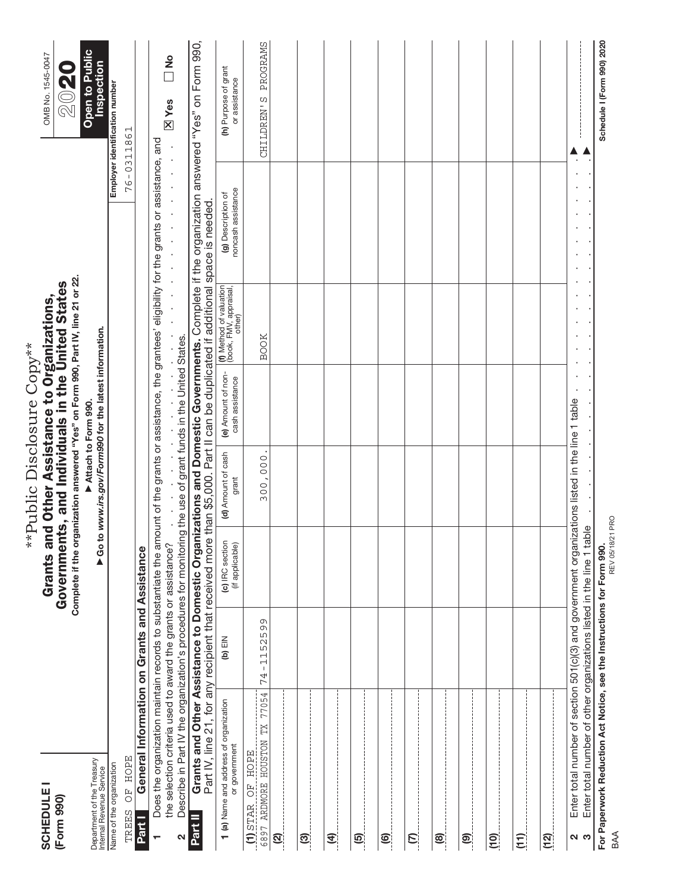| <b>SCHEDULE</b>                                                               |                                                                                                                                      |                                    | Grants and Other Assistance to Organizations,<br>**Public Disclosure Copy**    |                                       |                                                                                                                              |                                                                                                                                                                                                                                                | OMB No. 1545-0047                                                                                                                        |
|-------------------------------------------------------------------------------|--------------------------------------------------------------------------------------------------------------------------------------|------------------------------------|--------------------------------------------------------------------------------|---------------------------------------|------------------------------------------------------------------------------------------------------------------------------|------------------------------------------------------------------------------------------------------------------------------------------------------------------------------------------------------------------------------------------------|------------------------------------------------------------------------------------------------------------------------------------------|
| (Form 990)                                                                    |                                                                                                                                      | Government                         |                                                                                |                                       | Complete if the organization answered "Yes" on Form 990, Part IV, line 21 or 22.<br>ts, and Individuals in the United States |                                                                                                                                                                                                                                                | 2020                                                                                                                                     |
| Department of the Treasury<br>Internal Revenue Service                        |                                                                                                                                      |                                    | ▶ Go to www.irs.gov/Form990 for the latest information.<br>Attach to Form 990. |                                       |                                                                                                                              |                                                                                                                                                                                                                                                | <b>Open to Public</b><br>Inspection                                                                                                      |
| Name of the organization                                                      |                                                                                                                                      |                                    |                                                                                |                                       |                                                                                                                              |                                                                                                                                                                                                                                                | Employer identification number                                                                                                           |
| OF HOPE<br><b>TREES</b><br>Part I                                             | General Information on Grants and Assistance                                                                                         |                                    |                                                                                |                                       |                                                                                                                              |                                                                                                                                                                                                                                                | 76-0311861                                                                                                                               |
|                                                                               |                                                                                                                                      |                                    |                                                                                |                                       |                                                                                                                              |                                                                                                                                                                                                                                                |                                                                                                                                          |
| ↽                                                                             | the selection criteria used to award the grants or assistance?                                                                       |                                    |                                                                                |                                       | l,<br>l,<br>l,                                                                                                               | Does the organization maintain records to substantiate the amount of the grants or assistance, the grantees' eligibility for the grants or assistance, and<br>$\ddot{\cdot}$<br>l,<br>l,<br>$\ddot{\cdot}$<br>l,<br>l,<br>$\ddot{\phantom{0}}$ | $\frac{1}{2}$<br>X <sub>Yes</sub><br>$\frac{1}{2}$                                                                                       |
| $\mathbf{\Omega}$                                                             | Describe in Part IV the organization's procedures for monitoring the use of grant funds in the United States.                        |                                    |                                                                                |                                       |                                                                                                                              | l,                                                                                                                                                                                                                                             |                                                                                                                                          |
| Part                                                                          | Part IV, line 21, for any recipient that received more                                                                               |                                    |                                                                                |                                       | than \$5,000. Part II can be duplicated if additional space is needed.                                                       |                                                                                                                                                                                                                                                | Grants and Other Assistance to Domestic Organizations and Domestic Governments. Complete if the organization answered "Yes" on Form 990, |
| 1 (a) Name and address of organization<br>or government                       | $(b)$ EIN                                                                                                                            | (c) IRC section<br>(if applicable) | (d) Amount of cash<br>grant                                                    | (e) Amount of non-<br>cash assistance | (f) Method of valuation<br>(book, FMV, appraisal,<br>other)                                                                  | noncash assistance<br>(g) Description of                                                                                                                                                                                                       | (h) Purpose of grant<br>or assistance                                                                                                    |
| 6897 ARDMORE HOUSTON TX 77054<br>HOPE<br>F<br>O<br>$(1)$ STAR                 | $74 - 1152599$                                                                                                                       |                                    | 300,000                                                                        |                                       | <b>BOOK</b>                                                                                                                  |                                                                                                                                                                                                                                                | CHILDREN'S PROGRAMS                                                                                                                      |
| $\mathbf{\Omega}$                                                             |                                                                                                                                      |                                    |                                                                                |                                       |                                                                                                                              |                                                                                                                                                                                                                                                |                                                                                                                                          |
| <u>ල</u>                                                                      |                                                                                                                                      |                                    |                                                                                |                                       |                                                                                                                              |                                                                                                                                                                                                                                                |                                                                                                                                          |
| $\overline{a}$                                                                |                                                                                                                                      |                                    |                                                                                |                                       |                                                                                                                              |                                                                                                                                                                                                                                                |                                                                                                                                          |
| <u>ල</u>                                                                      |                                                                                                                                      |                                    |                                                                                |                                       |                                                                                                                              |                                                                                                                                                                                                                                                |                                                                                                                                          |
| $\bullet$                                                                     |                                                                                                                                      |                                    |                                                                                |                                       |                                                                                                                              |                                                                                                                                                                                                                                                |                                                                                                                                          |
| $\overline{C}$                                                                |                                                                                                                                      |                                    |                                                                                |                                       |                                                                                                                              |                                                                                                                                                                                                                                                |                                                                                                                                          |
| <u>ම</u>                                                                      |                                                                                                                                      |                                    |                                                                                |                                       |                                                                                                                              |                                                                                                                                                                                                                                                |                                                                                                                                          |
| $\overline{6}$                                                                |                                                                                                                                      |                                    |                                                                                |                                       |                                                                                                                              |                                                                                                                                                                                                                                                |                                                                                                                                          |
| $\overline{10}$                                                               |                                                                                                                                      |                                    |                                                                                |                                       |                                                                                                                              |                                                                                                                                                                                                                                                |                                                                                                                                          |
| $\overline{11}$                                                               |                                                                                                                                      |                                    |                                                                                |                                       |                                                                                                                              |                                                                                                                                                                                                                                                |                                                                                                                                          |
| (12)                                                                          |                                                                                                                                      |                                    |                                                                                |                                       |                                                                                                                              |                                                                                                                                                                                                                                                |                                                                                                                                          |
| <b>Q</b> ຕ                                                                    | Enter total number of section 501(c)(3) and government organiz<br>Enter total number of other organizations listed in the line 1 tab | $\overline{\mathsf{D}}$            | ations listed in the line 1 table                                              |                                       |                                                                                                                              |                                                                                                                                                                                                                                                |                                                                                                                                          |
| For Paperwork Reduction Act Notice, see the Instructions for Form 990.<br>BAA |                                                                                                                                      | REV 05/18/21 PRO                   |                                                                                |                                       |                                                                                                                              |                                                                                                                                                                                                                                                | Schedule I (Form 990) 2020                                                                                                               |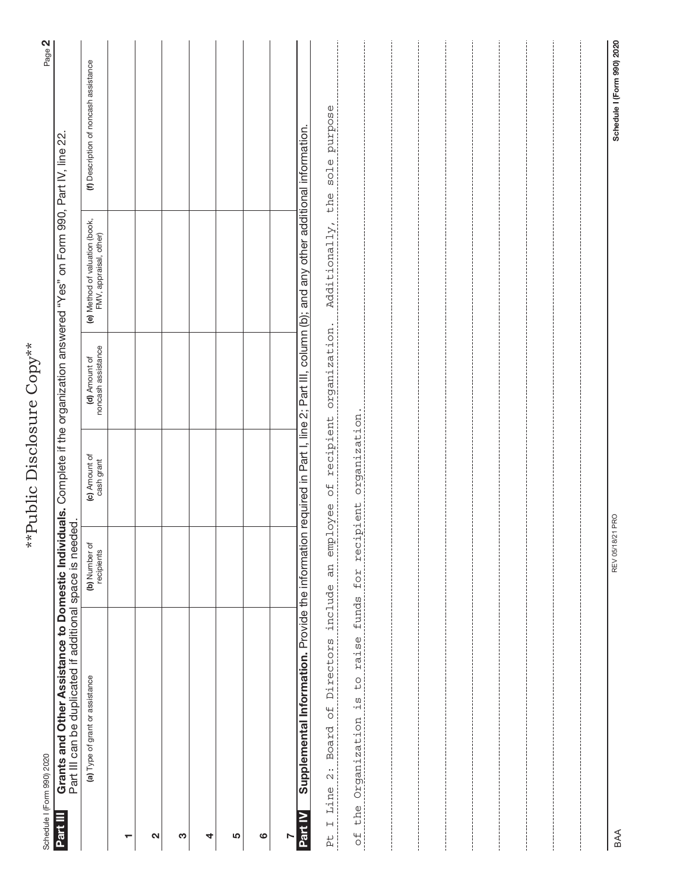| Part III                                                  | Grants and Other Assistance to Domestic Individuals. Complete if the organization answered "Yes" on Form 990, Part IV, line 22<br>Part III can be duplicated if additional space is needed. |                             |                             |                                     |                                                          |                                       |
|-----------------------------------------------------------|---------------------------------------------------------------------------------------------------------------------------------------------------------------------------------------------|-----------------------------|-----------------------------|-------------------------------------|----------------------------------------------------------|---------------------------------------|
|                                                           | (a) Type of grant or assistance                                                                                                                                                             | (b) Number of<br>recipients | (c) Amount of<br>cash grant | (d) Amount of<br>noncash assistance | (e) Method of valuation (book,<br>FMV, appraisal, other) | (f) Description of noncash assistance |
| ↽                                                         |                                                                                                                                                                                             |                             |                             |                                     |                                                          |                                       |
| N                                                         |                                                                                                                                                                                             |                             |                             |                                     |                                                          |                                       |
| က                                                         |                                                                                                                                                                                             |                             |                             |                                     |                                                          |                                       |
| 4                                                         |                                                                                                                                                                                             |                             |                             |                                     |                                                          |                                       |
| LO,                                                       |                                                                                                                                                                                             |                             |                             |                                     |                                                          |                                       |
| $\circ$                                                   |                                                                                                                                                                                             |                             |                             |                                     |                                                          |                                       |
| N                                                         |                                                                                                                                                                                             |                             |                             |                                     |                                                          |                                       |
| Part IV                                                   | Supplemental Information. Provide the information required in Part I, line 2; Part III, column (b); and any other additional information.                                                   |                             |                             |                                     |                                                          |                                       |
| Pt<br>P                                                   | of Directors include<br>2: Board<br>I Line                                                                                                                                                  | employee<br>an              |                             | of recipient organization.          | Additionally,                                            | purpose<br>sole<br>the                |
| $\begin{array}{c}\n\mathbb{H} \\ \mathbb{O}\n\end{array}$ | funds<br>the Organization is to raise                                                                                                                                                       | for                         | recipient organization.     |                                     |                                                          |                                       |
|                                                           |                                                                                                                                                                                             |                             |                             |                                     |                                                          |                                       |
|                                                           |                                                                                                                                                                                             |                             |                             |                                     |                                                          |                                       |
|                                                           |                                                                                                                                                                                             |                             |                             |                                     |                                                          |                                       |
|                                                           |                                                                                                                                                                                             |                             |                             |                                     |                                                          |                                       |
|                                                           |                                                                                                                                                                                             |                             |                             |                                     |                                                          |                                       |
|                                                           |                                                                                                                                                                                             |                             |                             |                                     |                                                          |                                       |
|                                                           |                                                                                                                                                                                             |                             |                             |                                     |                                                          |                                       |
|                                                           |                                                                                                                                                                                             |                             |                             |                                     |                                                          |                                       |
|                                                           |                                                                                                                                                                                             |                             |                             |                                     |                                                          |                                       |
| BAA                                                       |                                                                                                                                                                                             | REV 05/18/21 PRO            |                             |                                     |                                                          | Schedule I (Form 990) 2020            |

Schedule I (Form 990) 2020 Page **2**  Schedule I (Form 990) 2020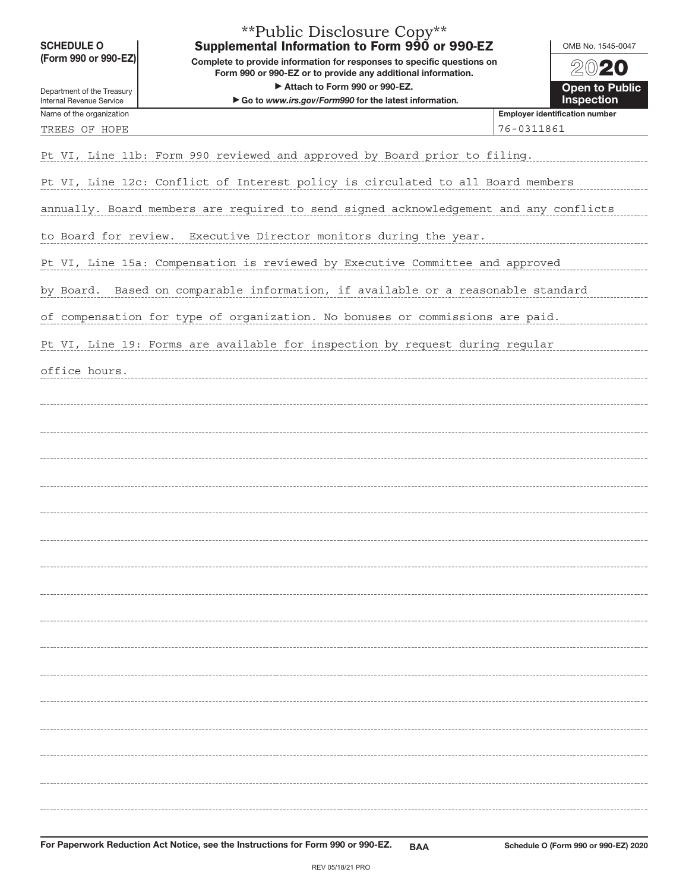**SCHEDULE O (Form 990 or 990-EZ)**

Department of the Treasury Internal Revenue Service

#### **Supplemental Information to Form 990 or 990-EZ** \*\*Public Disclosure Copy\*\*

**Complete to provide information for responses to specific questions on Form 990 or 990-EZ or to provide any additional information.**

Attach to Form 990 or 990-EZ.

▶ Go to *www.irs.gov/Form990* for the latest information.



| Name of the organization | <b>Employer identification number</b> |
|--------------------------|---------------------------------------|
| TREES OF HOPE            | 0311861<br>$76 - 11$                  |

| Pt VI, Line 11b: Form 990 reviewed and approved by Board prior to filing.             |
|---------------------------------------------------------------------------------------|
| Pt VI, Line 12c: Conflict of Interest policy is circulated to all Board members       |
| annually. Board members are required to send signed acknowledgement and any conflicts |
| to Board for review. Executive Director monitors during the year.                     |
| Pt VI, Line 15a: Compensation is reviewed by Executive Committee and approved         |
| by Board. Based on comparable information, if available or a reasonable standard      |
| of compensation for type of organization. No bonuses or commissions are paid.         |
| Pt VI, Line 19: Forms are available for inspection by request during regular          |
| office hours.                                                                         |
|                                                                                       |
|                                                                                       |
|                                                                                       |
|                                                                                       |
|                                                                                       |
|                                                                                       |
|                                                                                       |
|                                                                                       |
|                                                                                       |
|                                                                                       |
|                                                                                       |
|                                                                                       |
|                                                                                       |
|                                                                                       |
|                                                                                       |
|                                                                                       |
|                                                                                       |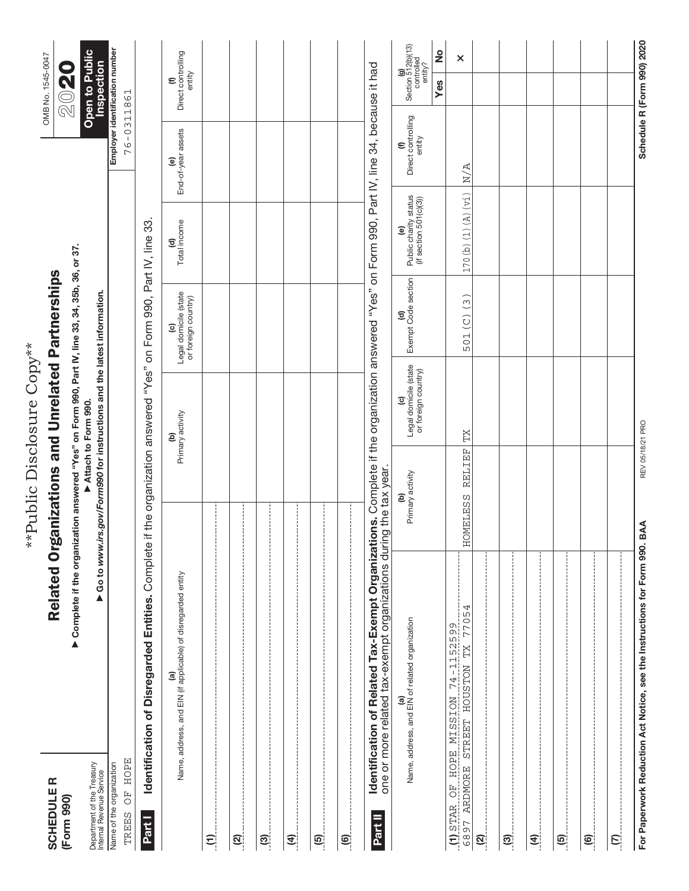|                                                             |                                                                                                                                                                                                                    | *Public Disclosure Copy**<br>$\star$                                                                                                                 |                                                                        |                                                                   |                                                      |                                            |                                                    |               |
|-------------------------------------------------------------|--------------------------------------------------------------------------------------------------------------------------------------------------------------------------------------------------------------------|------------------------------------------------------------------------------------------------------------------------------------------------------|------------------------------------------------------------------------|-------------------------------------------------------------------|------------------------------------------------------|--------------------------------------------|----------------------------------------------------|---------------|
| <b>SCHEDULER</b><br>(Form 990)                              |                                                                                                                                                                                                                    | ▶ Complete if the organization answered "Yes" on Form 990, Part IV, line 33, 34, 35b, 36, or 37.<br>Related Organizations and Unrelated Partnerships |                                                                        |                                                                   |                                                      |                                            | OMB No. 1545-0047<br><b>OC</b>                     |               |
| Department of the Treasury<br>Internal Revenue Service      |                                                                                                                                                                                                                    | ▶ Go to www.irs.gov/Form990 for instructions and the latest information.                                                                             | Attach to Form 990.                                                    |                                                                   |                                                      |                                            | <b>Open to Public</b><br>Inspection                |               |
| <b>HOPE</b><br>Name of the organization<br>FJ<br>O<br>TREES |                                                                                                                                                                                                                    |                                                                                                                                                      |                                                                        |                                                                   |                                                      | 76-0311861                                 | Employer identification number                     |               |
| Part I                                                      | Complete<br>Identification of Disregarded Entities.                                                                                                                                                                | if the organization answered "Yes" on Form 990, Part IV, line 33.                                                                                    |                                                                        |                                                                   |                                                      |                                            |                                                    |               |
|                                                             | (a)<br>Name, address, and EIN (if applicable) of disregarded entity                                                                                                                                                |                                                                                                                                                      | Primary activity<br>€                                                  | Legal domicile (state<br>or foreign country)<br>$\widehat{\circ}$ | Total income<br>Ξ                                    | End-of-year assets<br>$\circledcirc$       | Direct controlling<br>entity<br>ε                  |               |
| $\widehat{z}$                                               |                                                                                                                                                                                                                    |                                                                                                                                                      |                                                                        |                                                                   |                                                      |                                            |                                                    |               |
| $\Omega$                                                    |                                                                                                                                                                                                                    |                                                                                                                                                      |                                                                        |                                                                   |                                                      |                                            |                                                    |               |
| <u>ල</u>                                                    |                                                                                                                                                                                                                    |                                                                                                                                                      |                                                                        |                                                                   |                                                      |                                            |                                                    |               |
| E                                                           |                                                                                                                                                                                                                    |                                                                                                                                                      |                                                                        |                                                                   |                                                      |                                            |                                                    |               |
| <u>ම</u>                                                    |                                                                                                                                                                                                                    |                                                                                                                                                      |                                                                        |                                                                   |                                                      |                                            |                                                    |               |
| $\bullet$                                                   |                                                                                                                                                                                                                    |                                                                                                                                                      |                                                                        |                                                                   |                                                      |                                            |                                                    |               |
| Part II                                                     | Identification of Related Tax-Exempt Organizations. Complete if the organization answered "Yes" on Form 990, Part IV, line 34, because it had<br>one or more related tax-exempt organizations during the tax year. |                                                                                                                                                      |                                                                        |                                                                   |                                                      |                                            |                                                    |               |
|                                                             | (a)<br>Name, address, and EIN of related organization                                                                                                                                                              | Primary activity<br>€                                                                                                                                | Legal domicile (state<br>or foreign country)<br>$\widehat{\mathbf{c}}$ | (d)<br>Exempt Code section                                        | Public charity status<br>(if section 501(c)(3))<br>ම | Direct controlling<br>entity<br>$\epsilon$ | (g)<br>Section 512(b)(13)<br>controlled<br>entity? |               |
|                                                             |                                                                                                                                                                                                                    |                                                                                                                                                      |                                                                        |                                                                   |                                                      |                                            | Yes                                                | $\frac{1}{2}$ |
| ହା                                                          | 6897 ARDMORE STREET HOUSTON TX 77054<br>(1) STAR OF HOPE MISSION $74 - 1152599$                                                                                                                                    | RELIEF<br><b>HOMELESS</b>                                                                                                                            | ΣZ                                                                     | $501(C)$ (3)                                                      | 170(b) (1) (A) (v1)                                  | N/A                                        |                                                    | $\times$      |
| $\overline{\mathbf{e}}$                                     |                                                                                                                                                                                                                    |                                                                                                                                                      |                                                                        |                                                                   |                                                      |                                            |                                                    |               |
| $\overline{4}$                                              |                                                                                                                                                                                                                    |                                                                                                                                                      |                                                                        |                                                                   |                                                      |                                            |                                                    |               |
| <u>(5)</u>                                                  |                                                                                                                                                                                                                    |                                                                                                                                                      |                                                                        |                                                                   |                                                      |                                            |                                                    |               |
| $\circledcirc$                                              |                                                                                                                                                                                                                    |                                                                                                                                                      |                                                                        |                                                                   |                                                      |                                            |                                                    |               |
| E                                                           |                                                                                                                                                                                                                    |                                                                                                                                                      |                                                                        |                                                                   |                                                      |                                            |                                                    |               |
|                                                             | For Paperwork Reduction Act Notice, see the Instructions for Form 990.                                                                                                                                             | BAA                                                                                                                                                  | REV 05/18/21 PRO                                                       |                                                                   |                                                      |                                            | Schedule R (Form 990) 2020                         |               |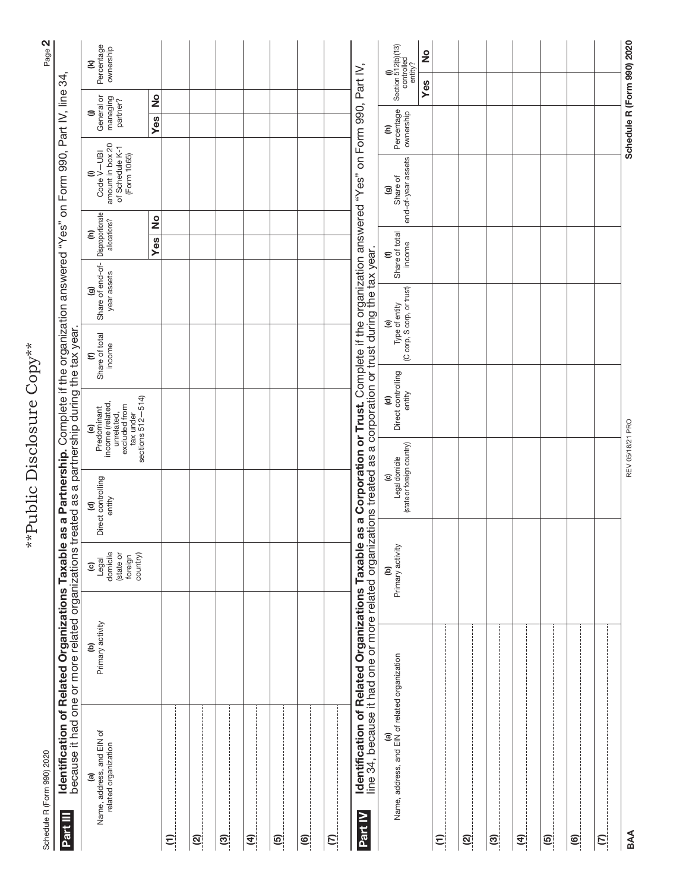| Schedule R (Form 990) 2020 |                                                                             |                                                                                                                                                                    |                                                                            |                                                                        |                                                                                                       | 4                                                      | ١                                                                      |                                      |                                        |                                                                                              |                                         |               | Page 2                                                                                                             |
|----------------------------|-----------------------------------------------------------------------------|--------------------------------------------------------------------------------------------------------------------------------------------------------------------|----------------------------------------------------------------------------|------------------------------------------------------------------------|-------------------------------------------------------------------------------------------------------|--------------------------------------------------------|------------------------------------------------------------------------|--------------------------------------|----------------------------------------|----------------------------------------------------------------------------------------------|-----------------------------------------|---------------|--------------------------------------------------------------------------------------------------------------------|
| Part III                   |                                                                             | Identification of Related Organizations Taxable<br>because it had one or more related organizations                                                                |                                                                            | treated as a partnership during the tax year.                          |                                                                                                       |                                                        |                                                                        |                                      |                                        | as a Partnership. Complete if the organization answered "Yes" on Form 990, Part IV, line 34, |                                         |               |                                                                                                                    |
|                            | Name, address, and EIN of<br>related organization<br>$\widehat{\mathbf{c}}$ | Primary activity<br>$\widehat{e}$                                                                                                                                  | Legal<br>domicile<br>(state or<br>foreign<br>country)<br>$\widehat{\circ}$ | (d)<br>Direct controlling<br>entity                                    | tax under<br>sections 512-514)<br>income (related,<br>excluded from<br>Predominant<br>unrelated,<br>ම |                                                        | Share of total<br>income<br>$\bm{\epsilon}$                            | Share of end-of-<br>year assets<br>ම | Disproportionate<br>Ξ                  | amount in box 20<br>of Schedule K-1<br>Code V-UBI<br>(Form 1065)<br>ε                        | General or<br>managing<br>partner?<br>⊜ |               | Percentage<br>ownership<br>E                                                                                       |
|                            |                                                                             |                                                                                                                                                                    |                                                                            |                                                                        |                                                                                                       |                                                        |                                                                        |                                      | Yes                                    | $\frac{1}{2}$                                                                                | Yes                                     | $\frac{1}{2}$ |                                                                                                                    |
| $\widehat{E}$              |                                                                             |                                                                                                                                                                    |                                                                            |                                                                        |                                                                                                       |                                                        |                                                                        |                                      |                                        |                                                                                              |                                         |               |                                                                                                                    |
| ହ                          |                                                                             |                                                                                                                                                                    |                                                                            |                                                                        |                                                                                                       |                                                        |                                                                        |                                      |                                        |                                                                                              |                                         |               |                                                                                                                    |
| $\odot$                    |                                                                             |                                                                                                                                                                    |                                                                            |                                                                        |                                                                                                       |                                                        |                                                                        |                                      |                                        |                                                                                              |                                         |               |                                                                                                                    |
| $\overline{f}$             |                                                                             |                                                                                                                                                                    |                                                                            |                                                                        |                                                                                                       |                                                        |                                                                        |                                      |                                        |                                                                                              |                                         |               |                                                                                                                    |
| $\overline{[6]}$           |                                                                             |                                                                                                                                                                    |                                                                            |                                                                        |                                                                                                       |                                                        |                                                                        |                                      |                                        |                                                                                              |                                         |               |                                                                                                                    |
| $\odot$                    |                                                                             |                                                                                                                                                                    |                                                                            |                                                                        |                                                                                                       |                                                        |                                                                        |                                      |                                        |                                                                                              |                                         |               |                                                                                                                    |
| $\overline{C}$             |                                                                             |                                                                                                                                                                    |                                                                            |                                                                        |                                                                                                       |                                                        |                                                                        |                                      |                                        |                                                                                              |                                         |               |                                                                                                                    |
| Part IV                    |                                                                             | line 34, because it had one or more related organizations treated as a corporation or trust during the tax year<br>Identification of Related Organizations Taxable |                                                                            |                                                                        |                                                                                                       |                                                        |                                                                        |                                      |                                        | as a Corporation or Trust. Complete if the organization answered "Yes" on Form 990, Part IV, |                                         |               |                                                                                                                    |
|                            | Name, address, and EIN of related organization<br>$\widehat{\mathbf{c}}$    |                                                                                                                                                                    | Primary activity<br>ව                                                      | (state or foreign country)<br>Legal domicile<br>$\widehat{\mathbf{c}}$ |                                                                                                       | Direct controlling<br>entity<br>$\widehat{\mathbf{c}}$ | (C corp, S corp, or trust)<br>Type of entity<br>$\widehat{\mathbf{e}}$ |                                      | Share of total<br>income<br>$\epsilon$ | end-of-year assets<br>Share of<br>$\widehat{\mathbf{e}}$                                     | Percentage<br>ownership<br>ε            |               | $\begin{array}{c}\n\text{(i)}\\ \n\text{Section 512(b)(13)}\\ \n\text{controlled}\\ \n\text{entity?}\n\end{array}$ |
|                            |                                                                             |                                                                                                                                                                    |                                                                            |                                                                        |                                                                                                       |                                                        |                                                                        |                                      |                                        |                                                                                              |                                         | Yes           | $\frac{1}{2}$                                                                                                      |
| $\widehat{E}$              |                                                                             |                                                                                                                                                                    |                                                                            |                                                                        |                                                                                                       |                                                        |                                                                        |                                      |                                        |                                                                                              |                                         |               |                                                                                                                    |
| ହା                         |                                                                             |                                                                                                                                                                    |                                                                            |                                                                        |                                                                                                       |                                                        |                                                                        |                                      |                                        |                                                                                              |                                         |               |                                                                                                                    |
| $\odot$                    |                                                                             |                                                                                                                                                                    |                                                                            |                                                                        |                                                                                                       |                                                        |                                                                        |                                      |                                        |                                                                                              |                                         |               |                                                                                                                    |
| $\overline{4}$             |                                                                             |                                                                                                                                                                    |                                                                            |                                                                        |                                                                                                       |                                                        |                                                                        |                                      |                                        |                                                                                              |                                         |               |                                                                                                                    |
| $\overline{[6]}$           |                                                                             |                                                                                                                                                                    |                                                                            |                                                                        |                                                                                                       |                                                        |                                                                        |                                      |                                        |                                                                                              |                                         |               |                                                                                                                    |
| $\bullet$                  |                                                                             |                                                                                                                                                                    |                                                                            |                                                                        |                                                                                                       |                                                        |                                                                        |                                      |                                        |                                                                                              |                                         |               |                                                                                                                    |
| $\overline{C}$             |                                                                             |                                                                                                                                                                    |                                                                            |                                                                        |                                                                                                       |                                                        |                                                                        |                                      |                                        |                                                                                              |                                         |               |                                                                                                                    |
| BAA                        |                                                                             |                                                                                                                                                                    |                                                                            |                                                                        | <b>REV 05/18/21 PRO</b>                                                                               |                                                        |                                                                        |                                      |                                        |                                                                                              | Schedule R (Form 990) 2020              |               |                                                                                                                    |

# \*\*Public Disclosure Copy\*\* \*\*Public Disclosure Copy\*\*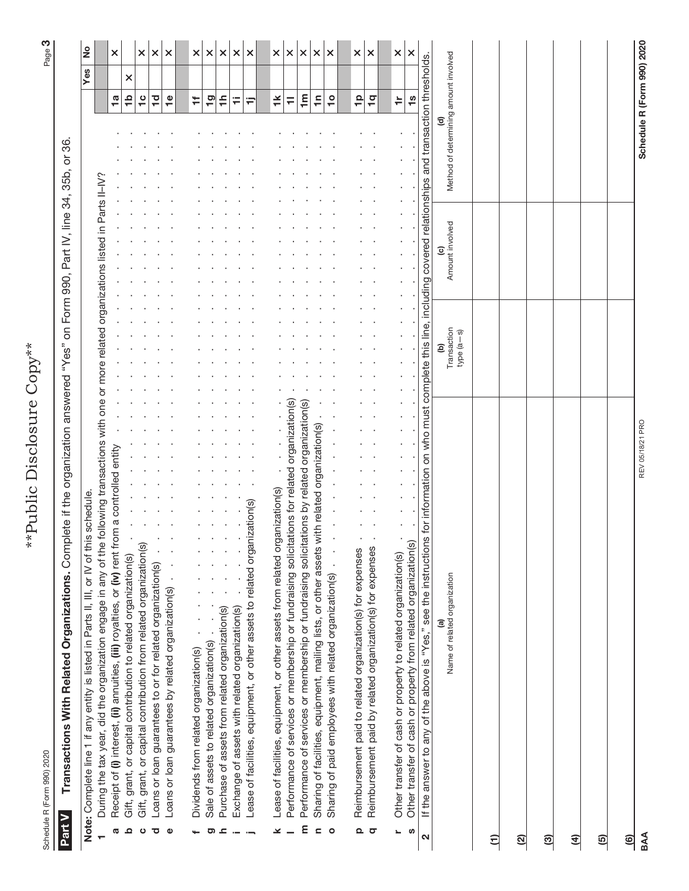| j                                                                            |  |  |  |
|------------------------------------------------------------------------------|--|--|--|
|                                                                              |  |  |  |
|                                                                              |  |  |  |
|                                                                              |  |  |  |
|                                                                              |  |  |  |
|                                                                              |  |  |  |
|                                                                              |  |  |  |
|                                                                              |  |  |  |
|                                                                              |  |  |  |
|                                                                              |  |  |  |
|                                                                              |  |  |  |
|                                                                              |  |  |  |
|                                                                              |  |  |  |
|                                                                              |  |  |  |
|                                                                              |  |  |  |
|                                                                              |  |  |  |
|                                                                              |  |  |  |
|                                                                              |  |  |  |
|                                                                              |  |  |  |
|                                                                              |  |  |  |
|                                                                              |  |  |  |
|                                                                              |  |  |  |
|                                                                              |  |  |  |
|                                                                              |  |  |  |
|                                                                              |  |  |  |
|                                                                              |  |  |  |
|                                                                              |  |  |  |
|                                                                              |  |  |  |
|                                                                              |  |  |  |
|                                                                              |  |  |  |
|                                                                              |  |  |  |
|                                                                              |  |  |  |
|                                                                              |  |  |  |
|                                                                              |  |  |  |
|                                                                              |  |  |  |
|                                                                              |  |  |  |
|                                                                              |  |  |  |
|                                                                              |  |  |  |
|                                                                              |  |  |  |
|                                                                              |  |  |  |
|                                                                              |  |  |  |
|                                                                              |  |  |  |
|                                                                              |  |  |  |
|                                                                              |  |  |  |
|                                                                              |  |  |  |
|                                                                              |  |  |  |
|                                                                              |  |  |  |
|                                                                              |  |  |  |
|                                                                              |  |  |  |
|                                                                              |  |  |  |
|                                                                              |  |  |  |
|                                                                              |  |  |  |
|                                                                              |  |  |  |
|                                                                              |  |  |  |
|                                                                              |  |  |  |
|                                                                              |  |  |  |
|                                                                              |  |  |  |
|                                                                              |  |  |  |
|                                                                              |  |  |  |
|                                                                              |  |  |  |
|                                                                              |  |  |  |
|                                                                              |  |  |  |
|                                                                              |  |  |  |
|                                                                              |  |  |  |
|                                                                              |  |  |  |
|                                                                              |  |  |  |
|                                                                              |  |  |  |
| ׇ֧֦֦֦֦֦֧ׅ֧֦֧֪֦֧֛֛֛֛֦֧ׅ֧֦֛֛֛֛֛֛֛֛֛֛֛֛֛֛֛֚֚֡֓֝֝֘֝֘֝֬֜֝֓֜֝֜֝֜֜֜֜֓֜֜֜֜֜֜֜֜֜֜֜֜֜֜ |  |  |  |
| I                                                                            |  |  |  |
|                                                                              |  |  |  |
| $\ddot{\phantom{a}}$<br>i                                                    |  |  |  |
| ļ<br>$\overline{\phantom{a}}$                                                |  |  |  |
|                                                                              |  |  |  |
| l                                                                            |  |  |  |
| Schar<br><sup>2</sup>                                                        |  |  |  |
|                                                                              |  |  |  |

Transactions With Related Organizations. Complete if the organization answered "Yes" on Form 990, Part IV, line 34, 35b, or 36. **Part V Transactions With Related Organizations.** Complete if the organization answered "Yes" on Form 990, Part IV, line 34, 35b, or 36. Part V

|                   |     | Schedule R (Form 990) 2020            |                 |                                 | REV 05/18/21 PRO                                                                                                                                                                                                                                 | BAA              |
|-------------------|-----|---------------------------------------|-----------------|---------------------------------|--------------------------------------------------------------------------------------------------------------------------------------------------------------------------------------------------------------------------------------------------|------------------|
|                   |     |                                       |                 |                                 |                                                                                                                                                                                                                                                  | 9                |
|                   |     |                                       |                 |                                 |                                                                                                                                                                                                                                                  | ම                |
|                   |     |                                       |                 |                                 |                                                                                                                                                                                                                                                  | E                |
|                   |     |                                       |                 |                                 |                                                                                                                                                                                                                                                  | ම                |
|                   |     |                                       |                 |                                 |                                                                                                                                                                                                                                                  | ସ                |
|                   |     |                                       |                 |                                 |                                                                                                                                                                                                                                                  | $\widehat{\tau}$ |
|                   |     | Method of determining amount involved | Amount involved | Transaction<br>$type(a-s)$<br>ම | Name of related organization                                                                                                                                                                                                                     |                  |
|                   |     |                                       |                 |                                 | for information on who must complete this line, including covered relationships and transaction thresholds.<br>If the answer to any of the above is "Yes," see the instructions<br>2                                                             |                  |
| ×                 |     | $\frac{6}{1}$                         |                 |                                 | Other transfer of cash or property from related organization(s)<br>ဖ                                                                                                                                                                             |                  |
| $\times$          |     | $\frac{1}{\tau}$                      |                 |                                 | Other transfer of cash or property to related organization(s)<br>L,                                                                                                                                                                              |                  |
| $\mathsf{\times}$ |     | $\frac{1}{2}$                         |                 |                                 | Reimbursement paid by related organization(s) for expenses<br>ਰ                                                                                                                                                                                  |                  |
| $\pmb{\times}$    |     | $\frac{1}{1}$                         |                 |                                 | Reimbursement paid to related organization(s) for expenses<br>Q                                                                                                                                                                                  |                  |
| $\times$          |     | $\frac{1}{1}$                         |                 |                                 | Sharing of paid employees with related organization(s).<br>$\circ$                                                                                                                                                                               |                  |
| $\times$          |     | $\tilde{=}$                           |                 |                                 | th related organization(s)<br>Sharing of facilities, equipment, mailing lists, or other assets wi<br>$\blacksquare$                                                                                                                              |                  |
| $\times$          |     | $\mathbf{m}$                          |                 |                                 | Performance of services or membership or fundraising solicitations by related organization(s)<br>٤                                                                                                                                               |                  |
| ×                 |     | ╤                                     |                 |                                 | Performance of services or membership or fundraising solicitations for related organization(s)                                                                                                                                                   |                  |
| $\times$          |     | $\ddot{=}$                            |                 |                                 | Lease of facilities, equipment, or other assets from related organization(s)<br>×                                                                                                                                                                |                  |
| $\times$          |     | ₽                                     |                 |                                 | Lease of facilities, equipment, or other assets to related organization(s)                                                                                                                                                                       |                  |
| $\times$          |     | ₩                                     |                 |                                 | Exchange of assets with related organization(s)                                                                                                                                                                                                  |                  |
| $\times$          |     | 즊                                     |                 |                                 | Purchase of assets from related organization(s)<br>ᇰ                                                                                                                                                                                             |                  |
| $\times$          |     | $\overline{9}$                        |                 |                                 | Sale of assets to related organization(s)                                                                                                                                                                                                        |                  |
| $\times$          |     | $\ddot{}$                             |                 |                                 | Dividends from related organization(s)                                                                                                                                                                                                           |                  |
| $\times$          |     | $\frac{6}{1}$                         |                 |                                 | Loans or loan guarantees by related organization(s)<br>Φ                                                                                                                                                                                         |                  |
| $\times$          |     | $\overline{C}$                        |                 |                                 | Loans or loan guarantees to or for related organization(s)<br>ਹ                                                                                                                                                                                  |                  |
| $\pmb{\times}$    |     | $\frac{1}{1}$                         |                 |                                 | Gift, grant, or capital contribution from related organization(s)<br>ပ                                                                                                                                                                           |                  |
|                   | ×   | $\frac{1}{2}$                         |                 |                                 | Gift, grant, or capital contribution to related organization(s)<br>ء                                                                                                                                                                             |                  |
| $\times$          |     | $\frac{a}{b}$                         |                 |                                 | Receipt of (i) interest, (ii) annuities, (iii) royalties, or (iv) rent from a controlled entity<br>a                                                                                                                                             |                  |
| ž                 | Yes |                                       |                 |                                 | During the tax year, did the organization engage in any of the following transactions with one or more related organizations listed in Parts II-IV?<br>schedule<br>Note: Complete line 1 if any entity is listed in Parts II, III, or IV of this |                  |
|                   |     |                                       |                 |                                 |                                                                                                                                                                                                                                                  |                  |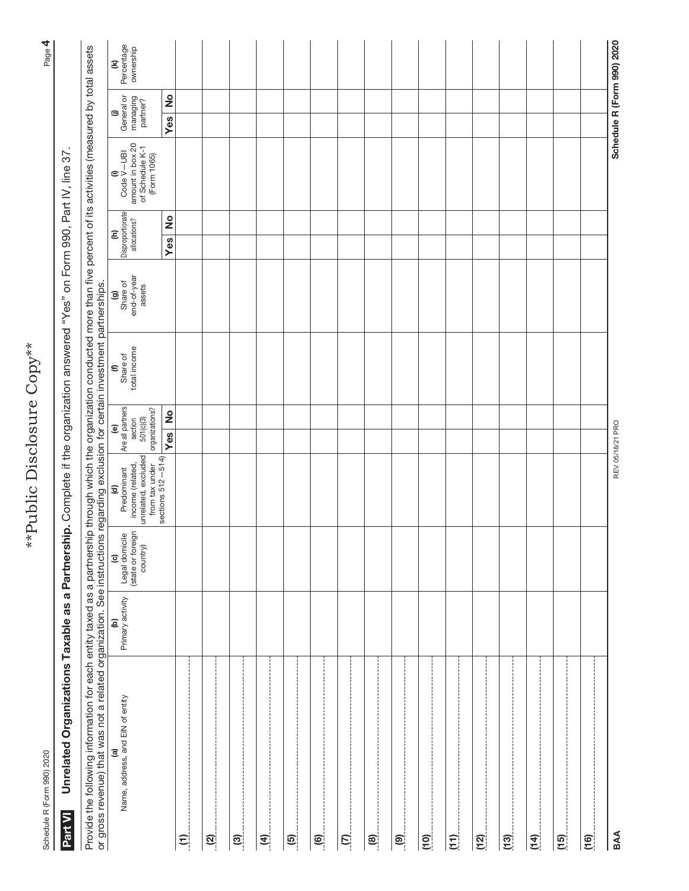| Provide the following information for each entity taxed as a partnership through which the organization conducted more than five percent of its activities (measured by total assets<br>Unrelated Organizations Taxable as a Partnership. Complete if the organization answered "Yes" on Form 990, Part IV, line 37.<br>Part VI |                       |                                                            |                                                                                                    |                                                                                                         |                                        |                                                             |                             |                                                                       |                                         |                         |
|---------------------------------------------------------------------------------------------------------------------------------------------------------------------------------------------------------------------------------------------------------------------------------------------------------------------------------|-----------------------|------------------------------------------------------------|----------------------------------------------------------------------------------------------------|---------------------------------------------------------------------------------------------------------|----------------------------------------|-------------------------------------------------------------|-----------------------------|-----------------------------------------------------------------------|-----------------------------------------|-------------------------|
| or gross revenue) that was not a related organization. See instructions regarding exclusion for certain investment partnerships.                                                                                                                                                                                                |                       |                                                            |                                                                                                    |                                                                                                         |                                        |                                                             |                             |                                                                       |                                         |                         |
| Name, address, and EIN of entity<br>ම                                                                                                                                                                                                                                                                                           | Primary activity<br>ê | Legal domicile<br>(state or foreign<br>country)<br>$\circ$ | unrelated, excluded<br>Predominant<br>income (related,<br>from tax under<br>$\widehat{\mathbf{c}}$ | (e)<br>Are all partners<br>section<br>$\begin{array}{c} 501(0)(3) \\ \text{organizations?} \end{array}$ | Share of<br>total income<br>$\epsilon$ | end-of-year<br>Share of<br>assets<br>$\widehat{\mathbf{e}}$ | Disproportionate<br>Ξ       | amount in box 20<br>of Schedule K-1<br>Code V-UBI<br>(Form 1065)<br>Ξ | General or<br>managing<br>partner?<br>Ξ | Percentage<br>ownership |
|                                                                                                                                                                                                                                                                                                                                 |                       |                                                            | sections $512 - 514$ )                                                                             | $\frac{1}{2}$<br> Yes                                                                                   |                                        |                                                             | $\frac{1}{2}$<br><b>Yes</b> |                                                                       | Yes                                     | $\frac{1}{2}$           |
| $\widehat{\tau}$                                                                                                                                                                                                                                                                                                                |                       |                                                            |                                                                                                    |                                                                                                         |                                        |                                                             |                             |                                                                       |                                         |                         |
| $\Omega$                                                                                                                                                                                                                                                                                                                        |                       |                                                            |                                                                                                    |                                                                                                         |                                        |                                                             |                             |                                                                       |                                         |                         |
| $\mathbf{G}$                                                                                                                                                                                                                                                                                                                    |                       |                                                            |                                                                                                    |                                                                                                         |                                        |                                                             |                             |                                                                       |                                         |                         |
| $\overline{4}$                                                                                                                                                                                                                                                                                                                  |                       |                                                            |                                                                                                    |                                                                                                         |                                        |                                                             |                             |                                                                       |                                         |                         |
| <u>(5)</u>                                                                                                                                                                                                                                                                                                                      |                       |                                                            |                                                                                                    |                                                                                                         |                                        |                                                             |                             |                                                                       |                                         |                         |
| $\bullet$                                                                                                                                                                                                                                                                                                                       |                       |                                                            |                                                                                                    |                                                                                                         |                                        |                                                             |                             |                                                                       |                                         |                         |
| $\overline{c}$                                                                                                                                                                                                                                                                                                                  |                       |                                                            |                                                                                                    |                                                                                                         |                                        |                                                             |                             |                                                                       |                                         |                         |
| $\circ$                                                                                                                                                                                                                                                                                                                         |                       |                                                            |                                                                                                    |                                                                                                         |                                        |                                                             |                             |                                                                       |                                         |                         |
| $\overline{6}$                                                                                                                                                                                                                                                                                                                  |                       |                                                            |                                                                                                    |                                                                                                         |                                        |                                                             |                             |                                                                       |                                         |                         |
| $\overline{10}$                                                                                                                                                                                                                                                                                                                 |                       |                                                            |                                                                                                    |                                                                                                         |                                        |                                                             |                             |                                                                       |                                         |                         |
| $\overline{[11]}$                                                                                                                                                                                                                                                                                                               |                       |                                                            |                                                                                                    |                                                                                                         |                                        |                                                             |                             |                                                                       |                                         |                         |
| (12)                                                                                                                                                                                                                                                                                                                            |                       |                                                            |                                                                                                    |                                                                                                         |                                        |                                                             |                             |                                                                       |                                         |                         |
| (13)                                                                                                                                                                                                                                                                                                                            |                       |                                                            |                                                                                                    |                                                                                                         |                                        |                                                             |                             |                                                                       |                                         |                         |
| (14)                                                                                                                                                                                                                                                                                                                            |                       |                                                            |                                                                                                    |                                                                                                         |                                        |                                                             |                             |                                                                       |                                         |                         |
| (15)                                                                                                                                                                                                                                                                                                                            |                       |                                                            |                                                                                                    |                                                                                                         |                                        |                                                             |                             |                                                                       |                                         |                         |
| (16)                                                                                                                                                                                                                                                                                                                            |                       |                                                            |                                                                                                    |                                                                                                         |                                        |                                                             |                             |                                                                       |                                         |                         |
| BAA                                                                                                                                                                                                                                                                                                                             |                       |                                                            |                                                                                                    | REV 05/18/21 PRO                                                                                        |                                        |                                                             |                             |                                                                       | Schedule R (Form 990) 2020              |                         |

\*\*Public Disclosure Copy\*\* \*\*Public Disclosure Copy\*\*

Schedule R (Form 990) 2020 Page **4** Schedule R (Form 990) 2020

Page 4